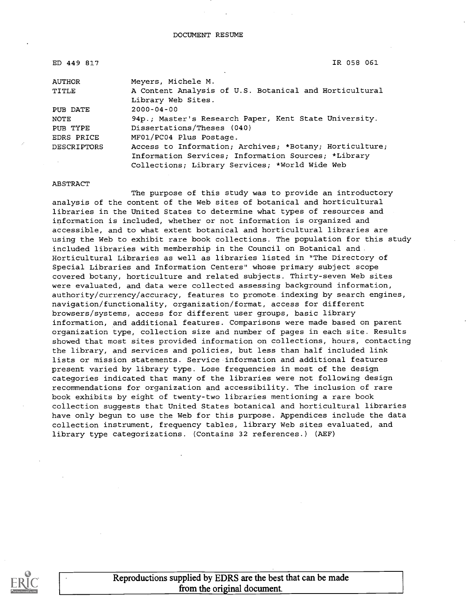| ED 449 817         | IR 058 061                                              |
|--------------------|---------------------------------------------------------|
| <b>AUTHOR</b>      | Meyers, Michele M.                                      |
| TITLE              | A Content Analysis of U.S. Botanical and Horticultural  |
|                    | Library Web Sites.                                      |
| PUB DATE           | $2000 - 04 - 00$                                        |
| NOTE               | 94p.; Master's Research Paper, Kent State University.   |
| PUB TYPE           | Dissertations/Theses (040)                              |
| EDRS PRICE         | MF01/PC04 Plus Postage.                                 |
| <b>DESCRIPTORS</b> | Access to Information; Archives; *Botany; Horticulture; |
|                    | Information Services; Information Sources; *Library     |
|                    | Collections; Library Services; *World Wide Web          |

### ABSTRACT

The purpose of this study was to provide an introductory analysis of the content of the Web sites of botanical and horticultural libraries in the United States to determine what types of resources and information is included, whether or not information is organized and accessible, and to what extent botanical and horticultural libraries are using the Web to exhibit rare book collections. The population for this study included libraries with membership in the Council on Botanical and Horticultural Libraries as well as libraries listed in "The Directory of Special Libraries and Information Centers" whose primary subject scope covered botany, horticulture and related subjects. Thirty-seven Web sites were evaluated, and data were collected assessing background information, authority/currency/accuracy, features to promote indexing by search engines, navigation/functionality, organization/format, access for different browsers/systems, access for different user groups, basic library information, and additional features. Comparisons were made based on parent organization type, collection size and number of pages in each site. Results showed that most sites provided information on collections, hours, contacting the library, and services and policies, but less than half included link lists or mission statements. Service information and additional features present varied by library type. Lose frequencies in most of the design categories indicated that many of the libraries were not following design recommendations for organization and accessibility. The inclusion of rare book exhibits by eight of twenty-two libraries mentioning a rare book collection suggests that United States botanical and horticultural libraries have only begun to use the Web for this purpose. Appendices include the data collection instrument, frequency tables, library Web sites evaluated, and library type categorizations. (Contains 32 references.) (AEF)

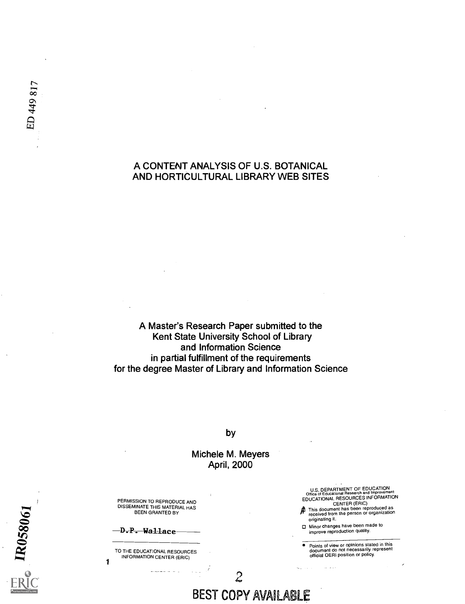# A CONTENT ANALYSIS OF U.S. BOTANICAL AND HORTICULTURAL LIBRARY WEB SITES

A Master's Research Paper submitted to the Kent State University School of Library and Information Science in partial fulfillment of the requirements for the degree Master of Library and Information Science

by

Michele M. Meyers April, 2000

2

BEST COPY AVAILABLE

PERMISSION TO REPRODUCE AND DISSEMINATE THIS MATERIAL HAS BEEN GRANTED BY

D.P. Wallace

1 TO THE EDUCATIONAL RESOURCES INFORMATION CENTER (ERIC)

and state and state of

U.S. DEPARTMENT OF EDUCATION<br>Office of Educational Research and Improvement<br>EDUCATIONAL RESOURCES INFORMATION

CENTER (ERIC) AI This document has been reproduced as received from the person or organization originating it.

O Minor changes have been made to improve reproduction quality.

 $\omega = \omega / \omega$  .

6 Points of view or opinions stated in this document do not necessarily represent official OERI position or policy.

R058061

ED 449 817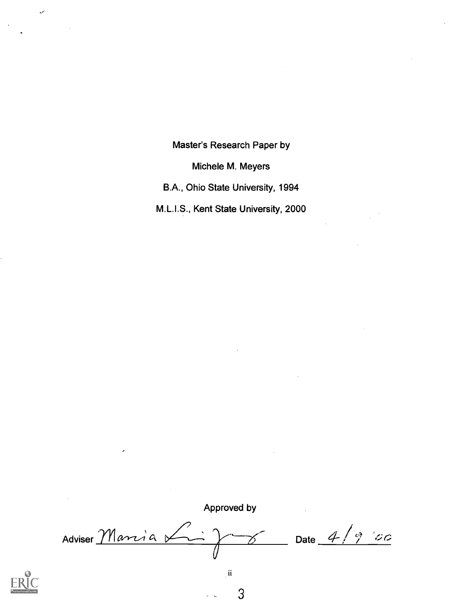Master's Research Paper by

Michele M. Meyers

B.A., Ohio State University, 1994

M.L.I.S., Kent State University, 2000

Approved by Adviser <u>Marria</u>  $\delta$  Date  $\frac{4/9}{2}$  OC

ii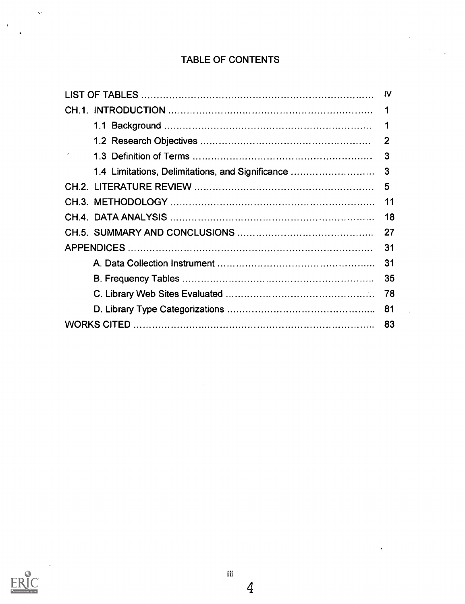# TABLE OF CONTENTS

|                                                  | IV             |
|--------------------------------------------------|----------------|
|                                                  | 1              |
|                                                  | 1              |
|                                                  | $\overline{2}$ |
|                                                  | 3              |
| 1.4 Limitations, Delimitations, and Significance | 3              |
|                                                  | -5             |
|                                                  | 11             |
|                                                  |                |
|                                                  | -27            |
|                                                  | 31             |
|                                                  |                |
|                                                  | 35             |
|                                                  |                |
|                                                  |                |
|                                                  |                |



 $\ddot{\phantom{a}}$ 

 $\mathcal{A}$ 

iii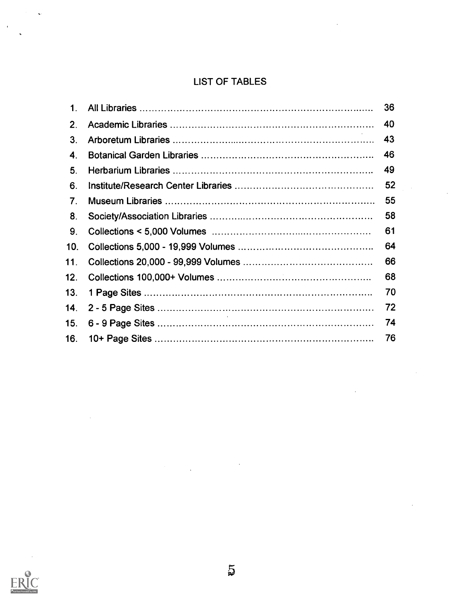# LIST OF TABLES

| 1 <sub>1</sub> | 36  |
|----------------|-----|
| 2 <sub>1</sub> | -40 |
| 3.             |     |
| 4.             | -46 |
| 5.             | 49  |
| 6.             | 52  |
| 7 <sub>1</sub> | 55  |
| 8.             | 58  |
| 9.             | 61  |
| 10.            | 64  |
| 11.            | 66  |
| 12.            | 68  |
| 13.            | 70  |
| 14.            | 72  |
|                | 74  |
| 16.            | 76  |



 $\ddot{\phantom{a}}$ 

 $\bar{\beta}$ 

 $\ddot{\phantom{0}}$ 

 $\mathcal{L}(\mathcal{L})$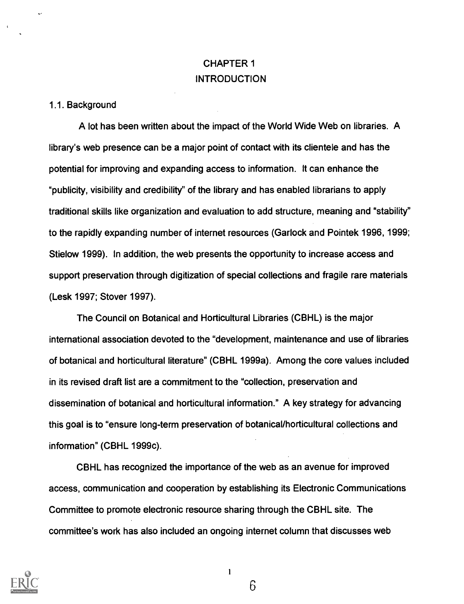# CHAPTER 1 INTRODUCTION

### 1.1. Background

A lot has been written about the impact of the World Wide Web on libraries. A library's web presence can be a major point of contact with its clientele and has the potential for improving and expanding access to information. It can enhance the "publicity, visibility and credibility" of the library and has enabled librarians to apply traditional skills like organization and evaluation to add structure, meaning and "stability" to the rapidly expanding number of internet resources (Garlock and Pointek 1996, 1999; Stielow 1999). In addition, the web presents the opportunity to increase access and support preservation through digitization of special collections and fragile rare materials (Lesk 1997; Stover 1997).

The Council on Botanical and Horticultural Libraries (CBHL) is the major international association devoted to the "development, maintenance and use of libraries of botanical and horticultural literature" (CBHL 1999a). Among the core values included in its revised draft list are a commitment to the "collection, preservation and dissemination of botanical and horticultural information." A key strategy for advancing this goal is to "ensure long-term preservation of botanical/horticultural collections and information" (CBHL 1999c).

CBHL has recognized the importance of the web as an avenue for improved access, communication and cooperation by establishing its Electronic Communications Committee to promote electronic resource sharing through the CBHL site. The committee's work has also included an ongoing internet column that discusses web



6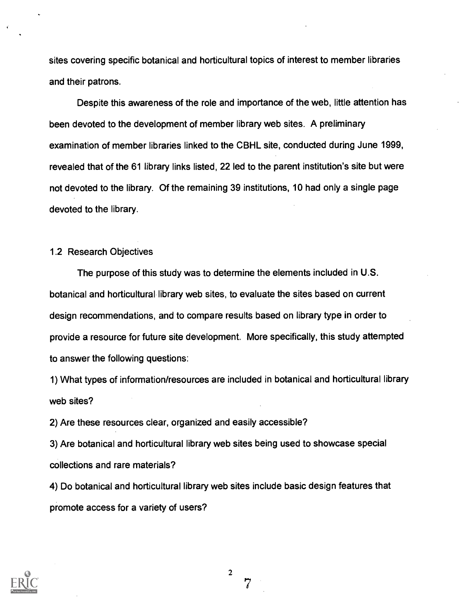sites covering specific botanical and horticultural topics of interest to member libraries and their patrons.

Despite this awareness of the role and importance of the web, little attention has been devoted to the development of member library web sites. A preliminary examination of member libraries linked to the CBHL site, conducted during June 1999, revealed that of the 61 library links listed, 22 led to the parent institution's site but were not devoted to the library. Of the remaining 39 institutions, 10 had only a single page devoted to the library.

### 1.2 Research Objectives

The purpose of this study was to determine the elements included in U.S. botanical and horticultural library web sites, to evaluate the sites based on current design recommendations, and to compare results based on library type in order to provide a resource for future site development. More specifically, this study attempted to answer the following questions:

1) What types of information/resources are included in botanical and horticultural library web sites?

2) Are these resources clear, organized and easily accessible?

3) Are botanical and horticultural library web sites being used to showcase special collections and rare materials?

4) Do botanical and horticultural library web sites include basic design features that promote access for a variety of users?

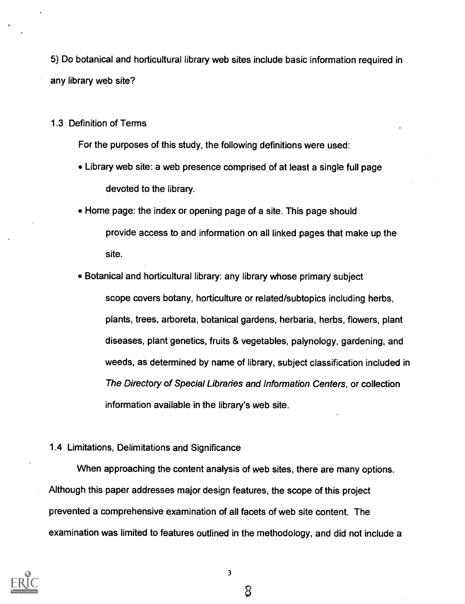5) Do botanical and horticultural library web sites include basic information required in any library web site?

## 1.3 Definition of Terms

For the purposes of this study, the following definitions were used:

- Library web site: a web presence comprised of at least a single full page devoted to the library.
- Home page: the index or opening page of a site. This page should provide access to and information on all linked pages that make up the site.
- Botanical and horticultural library: any library whose primary subject scope covers botany, horticulture or related/subtopics including herbs, plants, trees, arboreta, botanical gardens, herbaria, herbs, flowers, plant diseases, plant genetics, fruits .& vegetables, palynology, gardening, and weeds, as determined by name of library, subject classification included in The Directory of Special Libraries and Information Centers, or collection information available in the library's web site.

# 1.4 Limitations, Delimitations and Significance

When approaching the content analysis of web sites, there are many options. Although this paper addresses major design features, the scope of this project prevented a comprehensive examination of all facets of web site content. The examination was limited to features outlined in the methodology, and did not include a

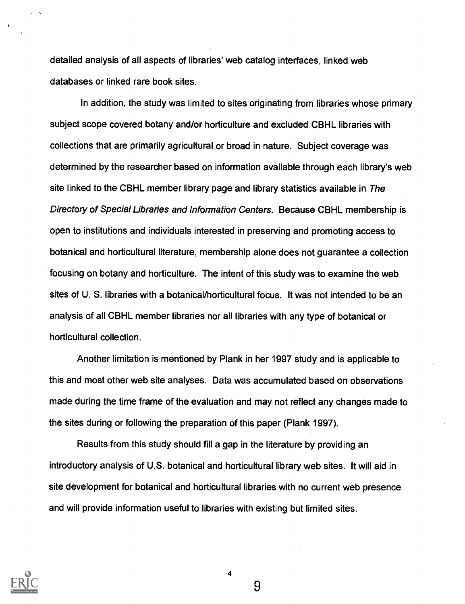detailed analysis of all aspects of libraries' web catalog interfaces, linked web databases or linked rare book sites.

In addition, the study was limited to sites originating from libraries whose primary subject scope covered botany and/or horticulture and excluded. CBHL libraries with collections that are primarily agricultural or broad in nature. Subject coverage was determined by the researcher based on information available through each library's web site linked to the CBHL member library page and library statistics available in The Directory of Special Libraries and Information Centers. Because CBHL membership is open to institutions and individuals interested in preserving and promoting access to botanical and horticultural literature, membership alone does not guarantee a collection focusing on botany and horticulture. The intent of this study was to examine the web sites of U. S. libraries with a botanical/horticultural focus. It was not intended to be an analysis of all CBHL member libraries nor all libraries with any type of botanical or horticultural collection.

Another limitation is mentioned by Plank in her 1997 study and is applicable to this and most other web site analyses. Data was accumulated based on observations made during the time frame of the evaluation and may not reflect any changes made to the sites during or following the preparation of this paper (Plank 1997).

Results from this study should fill a gap in the literature by providing an introductory analysis of U.S. botanical and horticultural library web sites. It will aid in site development for botanical and horticultural libraries with no current web presence and will provide information useful to libraries with existing but limited sites.



4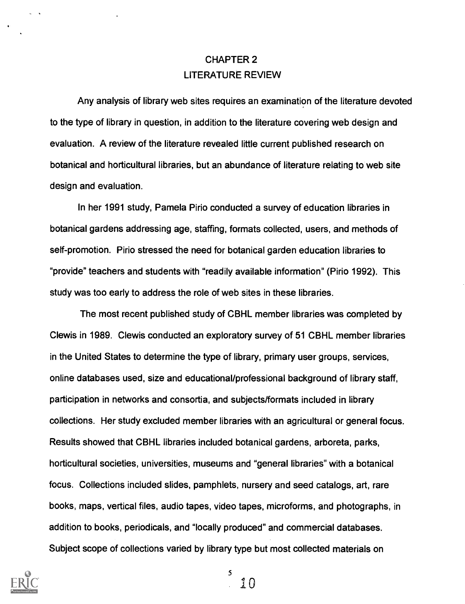# CHAPTER 2 LITERATURE REVIEW

Any analysis of library web sites requires an examination of the literature devoted to the type of library in question, in addition to the literature covering web design and evaluation. A review of the literature revealed little current published research on botanical and horticultural libraries, but an abundance of literature relating to web site design and evaluation.

In her 1991 study, Pamela Pirio conducted a survey of education libraries in botanical gardens addressing age, staffing, formats collected, users, and methods of self-promotion. Pirio stressed the need for botanical garden education libraries to "provide" teachers and students with "readily available information" (Pirio 1992). This study was too early to address the role of web sites in these libraries.

The most recent published study of CBHL member libraries was completed by Clewis in 1989. Clewis conducted an exploratory survey of 51 CBHL member libraries in the United States to determine the type of library, primary user groups, services, online databases used, size and educational/professional background of library staff, participation in networks and consortia, and subjects/formats included in library collections. Her study excluded member libraries with an agricultural or general focus. Results showed that CBHL libraries included botanical gardens, arboreta, parks, horticultural societies, universities, museums and "general libraries" with a botanical focus. Collections included slides, pamphlets, nursery and seed catalogs, art, rare books, maps, vertical files, audio tapes, video tapes, microforms, and photographs, in addition to books, periodicals, and "locally produced" and commercial databases. Subject scope of collections varied by library type but most collected materials on

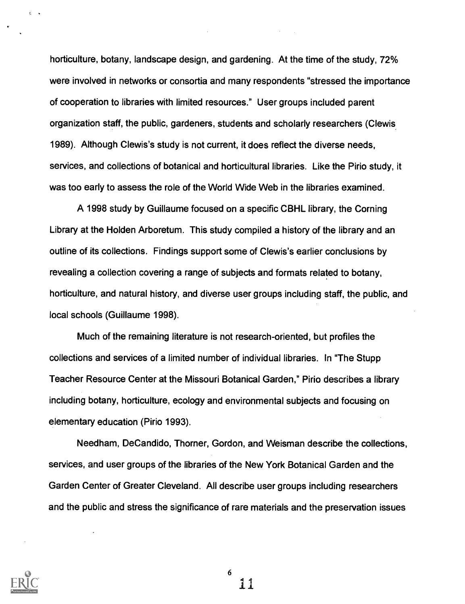horticulture, botany, landscape design, and gardening. At the time of the study, 72% were involved in networks or consortia and many respondents "stressed the importance of cooperation to libraries with limited resources." User groups included parent organization staff, the public, gardeners, students and scholarly researchers (Clewis 1989). Although Clewis's study is not current, it does reflect the diverse needs, services, and collections of botanical and horticultural libraries. Like the Pirio study, it was too early to assess the role of the World Wide Web in the libraries examined.

A 1998 study by Guillaume focused on a specific CBHL library, the Corning Library at the Holden Arboretum. This study compiled a history of the library and an outline of its collections. Findings support some of Clewis's earlier conclusions by revealing a collection covering a range of subjects and formats related to botany, horticulture, and natural history, and diverse user groups including staff, the public, and local schools (Guillaume 1998).

Much of the remaining literature is not research-oriented, but profiles the collections and services of a limited number of individual libraries. In "The Stupp Teacher Resource Center at the Missouri Botanical Garden," Pirio describes a library including botany, horticulture, ecology and environmental subjects and focusing on elementary education (Pirio 1993).

Needham, DeCandido, Thorner, Gordon, and Weisman describe the collections, services, and user groups of the libraries of the New York Botanical Garden and the Garden Center of Greater Cleveland. All describe user groups including researchers and the public and stress the significance of rare materials and the preservation issues



 $\epsilon$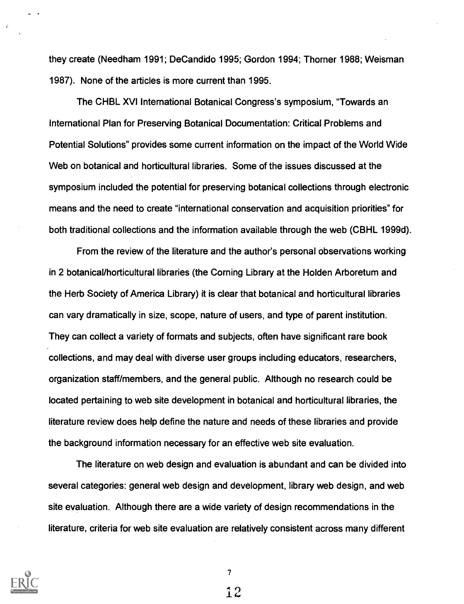they create (Needham 1991; DeCandido 1995; Gordon 1994; Thorner 1988; Weisman 1987). None of the articles is more current than 1995.

The CHBL XVI International Botanical Congress's symposium, "Towards an International Plan for Preserving Botanical Documentation: Critical Problems and Potential Solutions" provides some current information on the impact of the World Wide Web on botanical and horticultural libraries. Some of the issues discussed at the symposium included the potential for preserving botanical collections through electronic means and the need to create "international conservation and acquisition priorities" for both traditional collections and the information available through the web (CBHL 1999d).

From the review of the literature and the author's personal observations working in 2 botanical/horticultural libraries (the Corning Library at the Holden Arboretum and the Herb Society of America Library) it is clear that botanical and horticultural libraries can vary dramatically in size, scope, nature of users, and type of parent institution. They can collect a variety of formats and subjects, often have significant rare book collections, and may deal with diverse user groups including educators, researchers, organization staff/members, and the general public. Although no research could be located pertaining to web site development in botanical and horticultural libraries, the literature review does help define the nature and needs of these libraries and provide the background information necessary for an effective web site evaluation.

The literature on web design and evaluation is abundant and can be divided into several categories: general web design and development, library web design, and web site evaluation. Although there are a wide variety of design recommendations in the literature, criteria for web site evaluation are relatively consistent across many different



7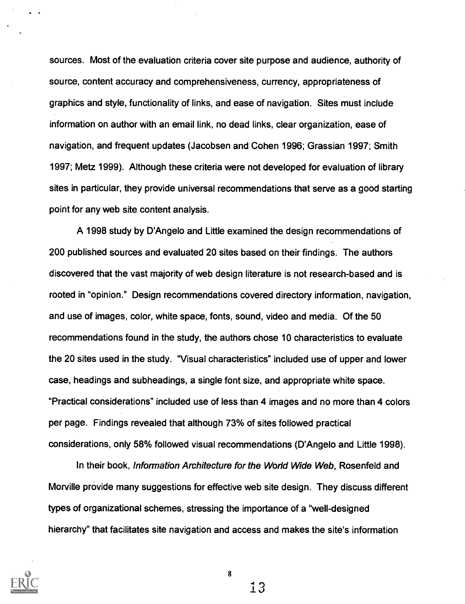sources. Most of the evaluation criteria cover site purpose and audience, authority of source, content accuracy and comprehensiveness, currency, appropriateness of graphics and style, functionality of links, and ease of navigation. Sites must include information on author with an email link, no dead links, clear organization, ease of navigation, and frequent updates (Jacobsen and Cohen 1996; Grassian 1997; Smith 1997; Metz 1999). Although these criteria were not developed for evaluation of library sites in particular, they provide universal recommendations that serve as a good starting point for any web site content analysis.

A 1998 study by D'Angelo and Little examined the design recommendations of 200 published sources and evaluated 20 sites based on their findings. The authors discovered that the vast majority of web design literature is not research-based and is rooted in "opinion." Design recommendations covered directory information, navigation, and use of images, color, white space, fonts, sound, video and media. Of the 50 recommendations found in the study, the authors chose 10 characteristics to evaluate the 20 sites used in the study. "Visual characteristics" included use of upper and lower case, headings and subheadings, a single font size, and appropriate white space. "Practical considerations" included use of less than 4 images and no more than 4 colors per page. Findings revealed that although 73% of sites followed practical considerations, only 58% followed visual recommendations (D'Angelo and Little 1998).

In their book, Information Architecture for the World Wide Web, Rosenfeld and Morville provide many suggestions for effective web site design. They discuss different types of organizational schemes, stressing the importance of a "well-designed hierarchy" that facilitates site navigation and access and makes the site's information

8

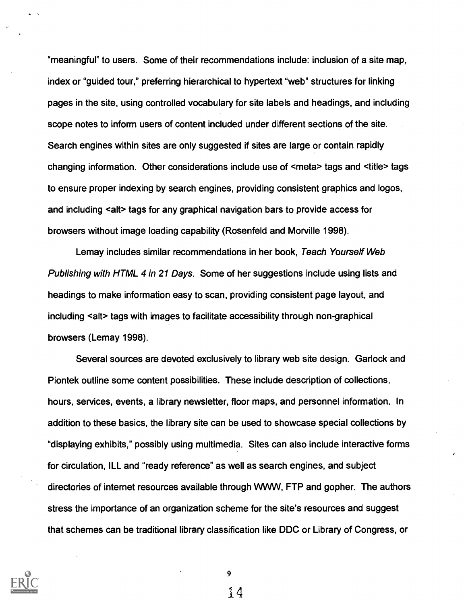"meaningful" to users. Some of their recommendations include: inclusion of a site map, index or "guided tour," preferring hierarchical to hypertext "web" structures for linking pages in the site, using controlled vocabulary for site labels and headings, and including scope notes to inform users of content included under different sections of the site. Search engines within sites are only suggested if sites are large or contain rapidly changing information. Other considerations include use of <meta> tags and <title> tags to ensure proper indexing by search engines, providing consistent graphics and logos, and including <alt> tags for any graphical navigation bars to provide access for browsers without image loading capability (Rosenfeld and Morville 1998).

Lemay includes similar recommendations in her book, Teach Yourself Web Publishing with HTML 4 in 21 Days. Some of her suggestions include using lists and headings to make information easy to scan, providing consistent page layout, and including <alt> tags with images to facilitate accessibility through non-graphical browsers (Lemay 1998).

Several sources are devoted exclusively to library web site design. Garlock and Piontek outline some content possibilities. These include description of collections, hours, services, events, a library newsletter, floor maps, and personnel information. In addition to these basics, the library site can be used to showcase special collections by "displaying exhibits," possibly using multimedia. Sites can also include interactive forms for circulation, ILL and "ready reference" as well as search engines, and subject directories of internet resources available through WWW, FTP and gopher. The authors stress the importance of an organization scheme for the site's resources and suggest that schemes can be traditional library classification like DDC or Library of Congress, or



9

i4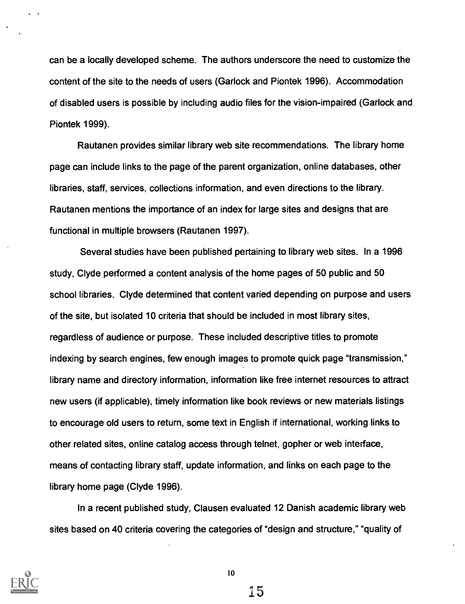can be a locally developed scheme. The authors underscore the need to customize the content of the site to the needs of users (Garlock and Piontek 1996). Accommodation of disabled users is possible by including audio files for the vision-impaired (Garlock and Piontek 1999).

Rautanen provides similar library web site recommendations. The library home page can include links to the page of the parent organization, online databases, other libraries, staff, services, collections information, and even directions to the library. Rautanen mentions the importance of an index for large sites and designs that are functional in multiple browsers (Rautanen 1997).

Several studies have been published pertaining to library web sites. In a 1996 study, Clyde performed a content analysis of the home pages of 50 public and 50 school libraries. Clyde determined that content varied depending on purpose and users of the site, but isolated 10 criteria that should be included in most library sites, regardless of audience or purpose. These included descriptive titles to promote indexing by search engines, few enough images to promote quick page "transmission," library name and directory information, information like free internet resources to attract new users (if applicable), timely information like book reviews or new materials listings to encourage old users to return, some text in English if international, working links to other related sites, online catalog access through telnet, gopher or web interface, means of contacting library staff, update information, and links on each page to the library home page (Clyde 1996).

In a recent published study, Clausen evaluated 12 Danish academic library web sites based on 40 criteria covering the categories of "design and structure," "quality of



10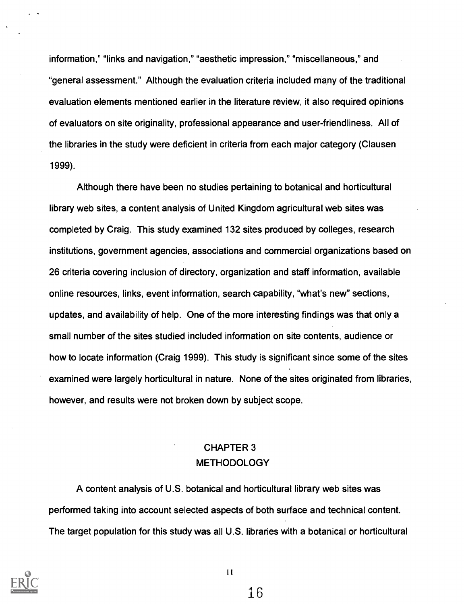information," "links and navigation," "aesthetic impression," "miscellaneous," and "general assessment." Although the evaluation criteria included many of the traditional evaluation elements mentioned earlier in the literature review, it also required opinions of evaluators on site originality, professional appearance and user-friendliness. All of the libraries in the study were deficient in criteria from each major category (Clausen 1999).

Although there have been no studies pertaining to botanical and horticultural library web sites, a content analysis of United Kingdom agricultural web sites was completed by Craig. This study examined 132 sites produced by colleges, research institutions, government agencies, associations and commercial organizations based on 26 criteria covering inclusion of directory, organization and staff information, available online resources, links, event information, search capability, "what's new" sections, updates, and availability of help. One of the more interesting findings was that only a small number of the sites studied included information on site contents, audience or how to locate information (Craig 1999). This study is significant since some of the sites examined were largely horticultural in nature. None of the sites originated from libraries, however, and results were not broken down by subject scope.

# CHAPTER 3 **METHODOLOGY**

A content analysis of U.S. botanical and horticultural library web sites was performed taking into account selected aspects of both surface and technical content. The target population for this study was all U.S. libraries with a botanical or horticultural



11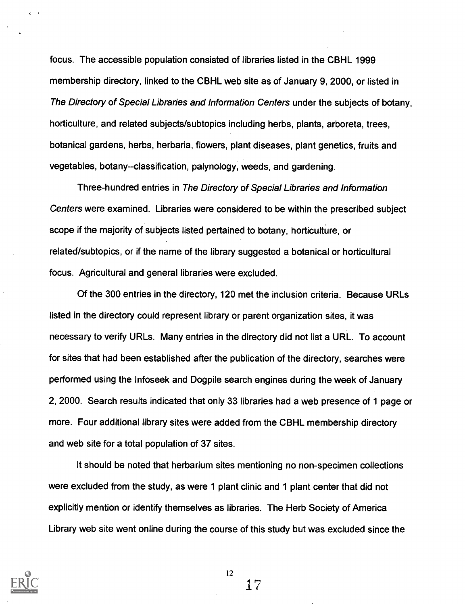focus. The accessible population consisted of libraries listed in the CBHL 1999 membership directory, linked to the CBHL web site as of January 9, 2000, or listed in The Directory of Special Libraries and Information Centers under the subjects of botany, horticulture, and related subjects/subtopics including herbs, plants, arboreta, trees, botanical gardens, herbs, herbaria, flowers, plant diseases, plant genetics, fruits and vegetables, botany--classification, palynology, weeds, and gardening.

Three-hundred entries in The Directory of Special Libraries and Information Centers were examined. Libraries were considered to be within the prescribed subject scope if the majority of subjects listed pertained to botany, horticulture, or related/subtopics, or if the name of the library suggested a botanical or horticultural focus. Agricultural and general libraries were excluded.

Of the 300 entries in the directory, 120 met the inclusion criteria. Because URLs listed in the directory could represent library or parent organization sites, it was necessary to verify URLs. Many entries in the directory did not list a URL. To account for sites that had been established after the publication of the directory, searches were performed using the Infoseek and Dogpile search engines during the week of January 2, 2000. Search results indicated that only 33 libraries had a web presence of 1 page or more. Four additional library sites were added from the CBHL membership directory and web site for a total population of 37 sites.

It should be noted that herbarium sites mentioning no non-specimen collections were excluded from the study, as were 1 plant clinic and 1 plant center that did not explicitly mention or identify themselves as libraries. The Herb Society of America Library web site went online during the course of this study but was excluded since the

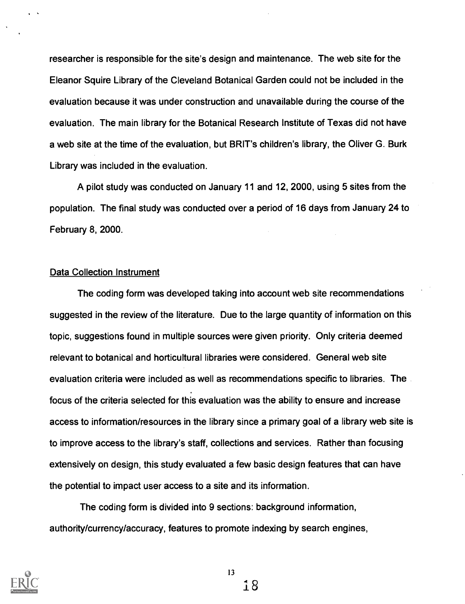researcher is responsible for the site's design and maintenance. The web site for the Eleanor Squire Library of the Cleveland Botanical Garden could not be included in the evaluation because it was under construction and unavailable during the course of the evaluation. The main library for the Botanical Research Institute of Texas did not have a web site at the time of the evaluation, but BRIT's children's library, the Oliver G. Burk Library was included in the evaluation.

A pilot study was conducted on January 11 and 12, 2000, using 5 sites from the population. The final study was conducted over a period of 16 days from January 24 to February 8, 2000.

### Data Collection Instrument

The coding form was developed taking into account web site recommendations suggested in the review of the literature. Due to the large quantity of information on this topic, suggestions found in multiple sources were given priority. Only criteria deemed relevant to botanical and horticultural libraries were considered. General web site evaluation criteria were included as well as recommendations specific to libraries. The focus of the criteria selected for this evaluation was the ability to ensure and increase access to information/resources in the library since a primary goal of a library web site is to improve access to the library's staff, collections and services. Rather than focusing extensively on design, this study evaluated a few basic design features that can have the potential to impact user access to a site and its information.

The coding form is divided into 9 sections: background information, authority/currency/accuracy, features to promote indexing by search engines,

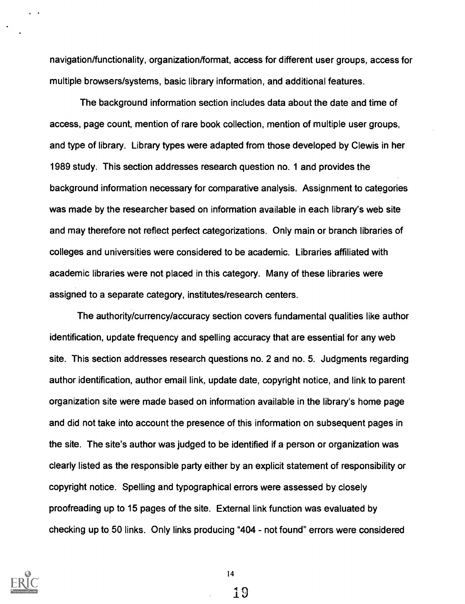navigation/functionality, organization/format, access for different user groups, access for multiple browsers/systems, basic library information, and additional features.

The background information section includes data about the date and time of access, page count, mention of rare book collection, mention of multiple user groups, and type of library. Library types were adapted from those developed by Clewis in her 1989 study. This section addresses research question no. 1 and provides the background information necessary for comparative analysis. Assignment to categories was made by the researcher based on information available in each library's web site and may therefore not reflect perfect categorizations. Only main or branch libraries of colleges and universities were considered to be academic. Libraries affiliated with academic libraries were not placed in this category. Many of these libraries were assigned to a separate category, institutes/research centers.

The authority/currency/accuracy section covers fundamental qualities like author identification, update frequency and spelling accuracy that are essential for any web site. This section addresses research questions no. 2 and no. 5. Judgments regarding author identification, author email link, update date, copyright notice, and link to parent organization site were made based on information available in the library's home page and did not take into account the presence of this information on subsequent pages in the site. The site's author was judged to be identified if a person or organization was clearly listed as the responsible party either by an explicit statement of responsibility or copyright notice. Spelling and typographical errors were assessed by closely proofreading up to 15 pages of the site. External link function was evaluated by checking up to 50 links. Only links producing "404 - not found" errors were considered



14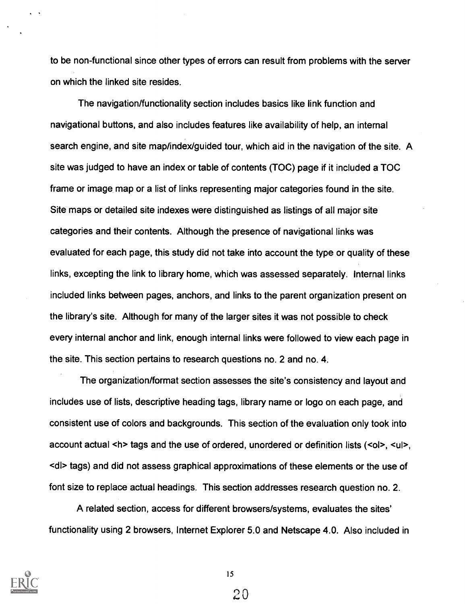to be non-functional since other types of errors can result from problems with the server on which the linked site resides.

The navigation/functionality section includes basics like link function and navigational buttons, and also includes features like availability of help, an internal search engine, and site map/index/guided tour, which aid in the navigation of the site. A site was judged to have an index or table of contents (TOC) page if it included a TOC frame or image map or a list of links representing major categories found in the site. Site maps or detailed site indexes were distinguished as listings of all major site categories and their contents. Although the presence of navigational links was evaluated for each page, this study did not take into account the type or quality of these links, excepting the link to library home, which was assessed separately. Internal links included links between pages, anchors, and links to the parent organization present on the library's site. Although for many of the larger sites it was not possible to check every internal anchor and link, enough internal links were followed to view each page in the site. This section pertains to research questions no. 2 and no. 4.

The organization/format section assesses the site's consistency and layout and includes use of lists, descriptive heading tags, library name or logo on each page, and consistent use of colors and backgrounds. This section of the evaluation only took into account actual <h> tags and the use of ordered, unordered or definition lists (<ol>, <ul>, <dl> tags) and did not assess graphical approximations of these elements or the use of font size to replace actual headings. This section addresses research question no. 2.

A related section, access for different browsers/systems, evaluates the sites' functionality using 2 browsers, Internet Explorer 5.0 and Netscape 4.0. Also included in

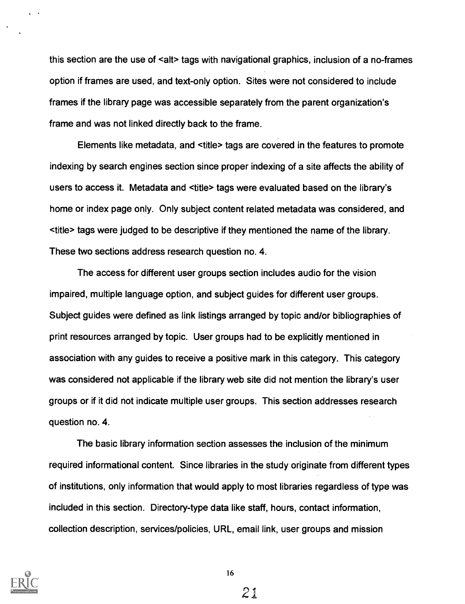this section are the use of  $\leq$  alt> tags with navigational graphics, inclusion of a no-frames option if frames are used, and text-only option. Sites were not considered to include frames if the library page was accessible separately from the parent organization's frame and was not linked directly back to the frame.

Elements like metadata, and <title> tags are covered in the features to promote indexing by search engines section since proper indexing of a site affects the ability of users to access it. Metadata and <title> tags were evaluated based on the library's home or index page only. Only subject content related metadata was considered, and <title> tags were judged to be descriptive if they mentioned the name of the library. These two sections address research question no. 4.

The access for different user groups section includes audio for the vision impaired, multiple language option, and subject guides for different user groups. Subject guides were defined as link listings arranged by topic and/or bibliographies of print resources arranged by topic. User groups had to be explicitly mentioned in association with any guides to receive a positive mark in this category. This category was considered not applicable if the library web site did not mention the library's user groups or if it did not indicate multiple user groups. This section addresses research question no. 4.

The basic library information section assesses the inclusion of the minimum required informational content. Since libraries in the study originate from different types of institutions, only information that would apply to most libraries regardless of type was included in this section. Directory-type data like staff, hours, contact information, collection description, services/policies, URL, email link, user groups and mission



16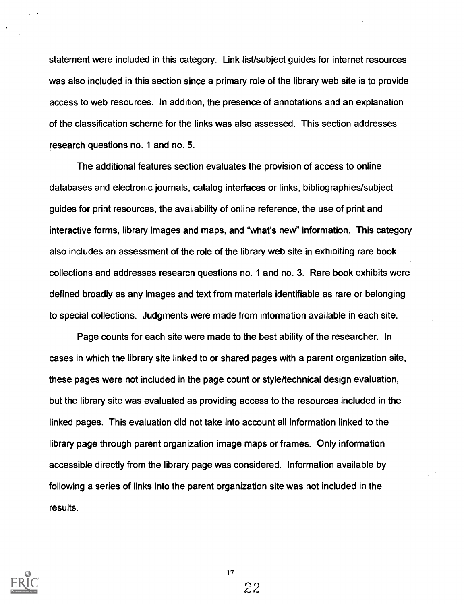statement were included in this category. Link list/subject guides for internet resources was also included in this section since a primary role of the library web site is to provide access to web resources. In addition, the presence of annotations and an explanation of the classification scheme for the links was also assessed. This section addresses research questions no. 1 and no. 5.

The additional features section evaluates the provision of access to online databases and electronic journals, catalog interfaces or links, bibliographies/subject guides for print resources, the availability of online reference, the use of print and interactive forms, library images and maps, and "what's new" information. This category also includes an assessment of the role of the library web site in exhibiting rare book collections and addresses research questions no. 1 and no. 3. Rare book exhibits were defined broadly as any images and text from materials identifiable as rare or belonging to special collections. Judgments were made from information available in each site.

Page counts for each site were made to the best ability of the researcher. In cases in which the library site linked to or shared pages with a parent organization site, these pages were not included in the page count or style/technical design evaluation, but the library site was evaluated as providing access to the resources included in the linked pages. This evaluation did not take into account all information linked to the library page through parent organization image maps or frames. Only information accessible directly from the library page was considered. Information available by following a series of links into the parent organization site was not included in the results.



17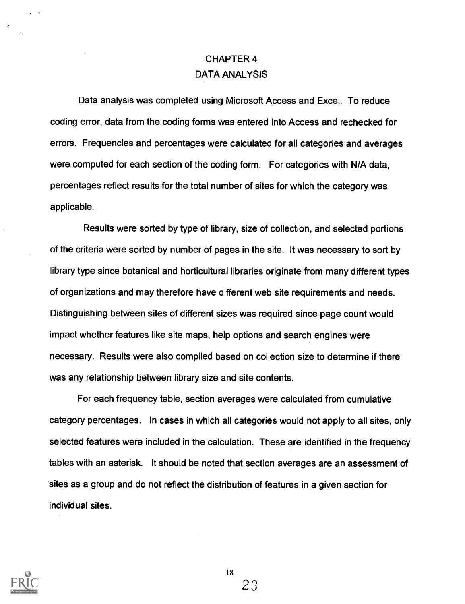# CHAPTER 4 DATA ANALYSIS

Data analysis was completed using Microsoft Access and Excel. To reduce coding error, data from the coding forms was entered into Access and rechecked for errors. Frequencies and percentages were calculated for all categories and averages were computed for each section of the coding form. For categories with N/A data, percentages reflect results for the total number of sites for which the category was applicable.

Results were sorted by type of library, size of collection, and selected portions of the criteria were sorted by number of pages in the site. It was necessary to sort by library type since botanical and horticultural libraries originate from many different types of organizations and may therefore have different web site requirements and needs. Distinguishing between sites of different sizes was required since page count would impact whether features like site maps, help options and search engines were necessary. Results were also compiled based on collection size to determine if there was any relationship between library size and site contents.

For each frequency table, section averages were calculated from cumulative category percentages. In cases in which all categories would not apply to all sites, only selected features were included in the calculation. These are identified in the frequency tables with an asterisk. It should be noted that section averages are an assessment of sites as a group and do not reflect the distribution of features in a given section for individual sites.

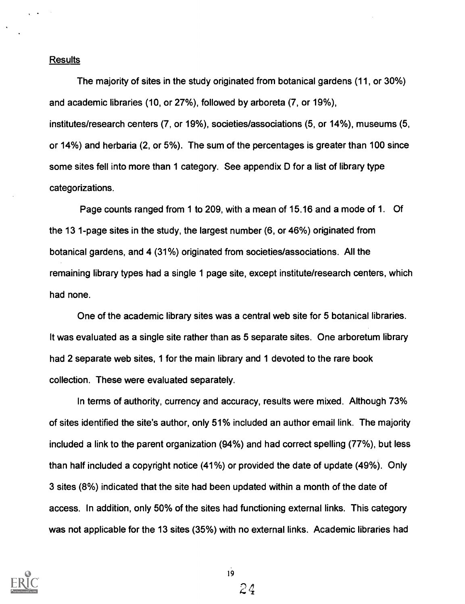### **Results**

The majority of sites in the study originated from botanical gardens (11, or 30%) and academic libraries (10, or 27%), followed by arboreta (7, or 19%), institutes/research centers (7, or 19%), societies/associations (5, or 14%), museums (5, or 14%) and herbaria (2, or 5%). The sum of the percentages is greater than 100 since some sites fell into more than 1 category. See appendix D for a list of library type categorizations.

Page counts ranged from 1 to 209, with a mean of 15.16 and a mode of 1. Of the 13 1-page sites in the study, the largest number (6, or 46%) originated from botanical gardens, and 4 (31%) originated from societies/associations. All the remaining library types had a single 1 page site, except institute/research centers, which had none.

One of the academic library sites was a central web site for 5 botanical libraries. It was evaluated as a single site rather than as 5 separate sites. One arboretum library had 2 separate web sites, 1 for the main library and 1 devoted to the rare book collection. These were evaluated separately.

In terms of authority, currency and accuracy, results were mixed. Although 73% of sites identified the site's author, only 51% included an author email link. The majority included a link to the parent organization (94%) and had correct spelling (77%), but less than half included a copyright notice (41%) or provided the date of update (49%). Only 3 sites (8%) indicated that the site had been updated within a month of the date of access. In addition, only 50% of the sites had functioning external links. This category was not applicable for the 13 sites (35%) with no external links. Academic libraries had

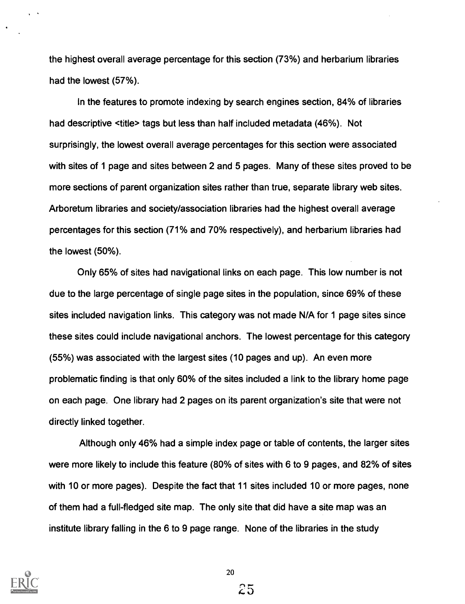the highest overall average percentage for this section (73%) and herbarium libraries had the lowest (57%).

In the features to promote indexing by search engines section, 84% of libraries had descriptive <title> tags but less than half included metadata (46%). Not surprisingly, the lowest overall average percentages for this section were associated with sites of 1 page and sites between 2 and 5 pages. Many of these sites proved to be more sections of parent organization sites rather than true, separate library web sites. Arboretum libraries and society/association libraries had the highest overall average percentages for this section (71% and 70% respectively), and herbarium libraries had the lowest (50%).

Only 65% of sites had navigational links on each page. This low number is not due to the large percentage of single page sites in the population, since 69% of these sites included navigation links. This category was not made N/A for 1 page sites since these sites could include navigational anchors. The lowest percentage for this category (55%) was associated with the largest sites (10 pages and up). An even more problematic finding is that only 60% of the sites included a link to the library home page on each page. One library had 2 pages on its parent organization's site that were not directly linked together.

Although only 46% had a simple index page or table of contents, the larger sites were more likely to include this feature (80% of sites with 6 to 9 pages, and 82% of sites with 10 or more pages). Despite the fact that 11 sites included 10 or more pages, none of them had a full-fledged site map. The only site that did have a site map was an institute library falling in the 6 to 9 page range. None of the libraries in the study

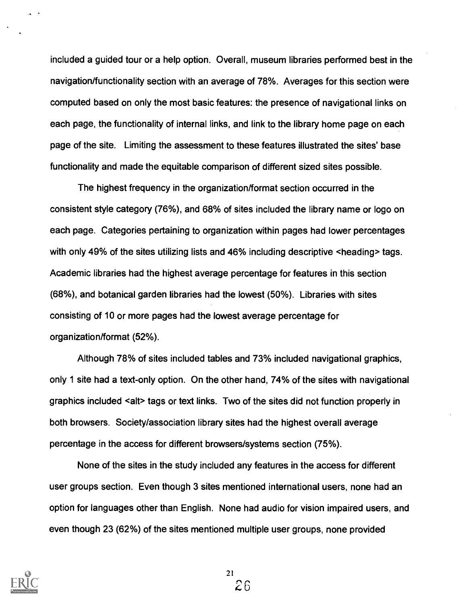included a guided tour or a help option. Overall, museum libraries performed best in the navigation/functionality section with an average of 78%. Averages for this section were computed based on only the most basic features: the presence of navigational links on each page, the functionality of internal links, and link to the library home page on each page of the site. Limiting the assessment to these features illustrated the sites' base functionality and made the equitable comparison of different sized sites possible.

The highest frequency in the organization/format section occurred in the consistent style category (76%), and 68% of sites included the library name or logo on each page. Categories pertaining to organization within pages had lower percentages with only 49% of the sites utilizing lists and 46% including descriptive <heading> tags. Academic libraries had the highest average percentage for features in this section (68%), and botanical garden libraries had the lowest (50%). Libraries with sites consisting of 10 or more pages had the lowest average percentage for organization/format (52%).

Although 78% of sites included tables and 73% included navigational graphics, only 1 site had a text-only option. On the other hand, 74% of the sites with navigational graphics included <alt> tags or text links. Two of the sites did not function properly in both browsers. Society/association library sites had the highest overall average percentage in the access for different browsers/systems section (75%).

None of the sites in the study included any features in the access for different user groups section. Even though 3 sites mentioned international users, none had an option for languages other than English. None had audio for vision impaired users, and even though 23 (62%) of the sites mentioned multiple user groups, none provided

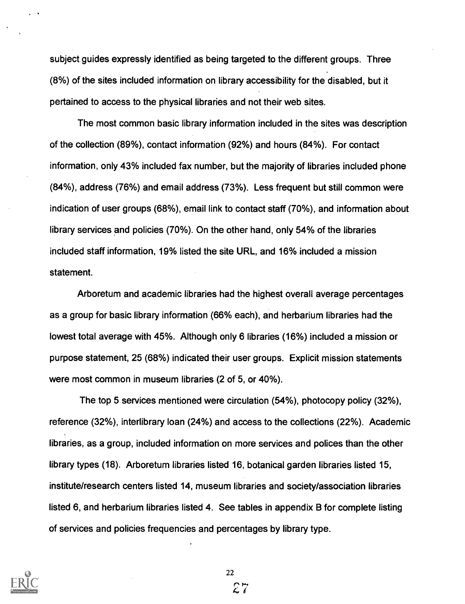subject guides expressly identified as being targeted to the different groups. Three (8%) of the sites included information on library accessibility for the disabled, but it pertained to access to the physical libraries and not their web sites.

The most common basic library information included in the sites was description of the collection (89%), contact information (92%) and hours (84%). For contact information, only 43% included fax number, but the majority of libraries included phone (84%), address (76%) and email address (73%). Less frequent but still common were indication of user groups (68%), email link to contact staff (70%), and information about library services and policies (70%). On the other hand, only 54% of the libraries included staff information, 19% listed the site URL, and 16% included a mission statement.

Arboretum and academic libraries had the highest overall average percentages as a group for basic library information (66% each), and herbarium libraries had the lowest total average with 45%. Although only 6 libraries (16%) included a mission or purpose statement, 25 (68%) indicated their user groups. Explicit mission statements were most common in museum libraries (2 of 5, or 40%).

The top 5 services mentioned were circulation (54%), photocopy policy (32%), reference (32%), interlibrary loan (24%) and access to the collections (22%). Academic libraries, as a group, included information on more services and polices than the other library types (18). Arboretum libraries listed 16, botanical garden libraries listed 15, institute/research centers listed 14, museum libraries and society/association libraries listed 6, and herbarium libraries listed 4. See tables in appendix B for complete listing of services and policies frequencies and percentages by library type.

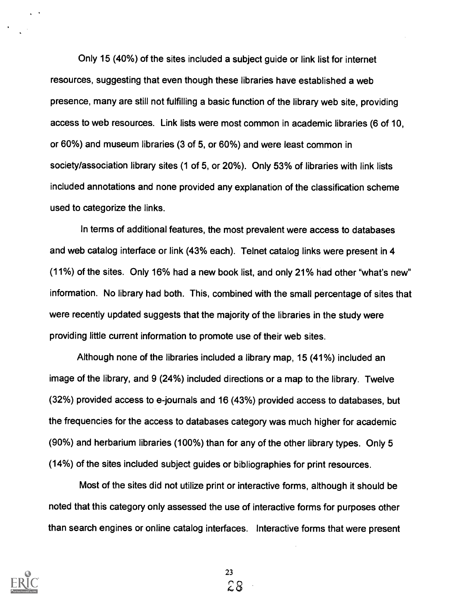Only 15 (40%) of the sites included a subject guide or link list for internet resources, suggesting that even though these libraries have established a web presence, many are still not fulfilling a basic function of the library web site, providing access to web resources. Link lists were most common in academic libraries (6 of 10, or 60%) and museum libraries (3 of 5, or 60%) and were least common in society/association library sites (1 of 5, or 20%). Only 53% of libraries with link lists included annotations and none provided any explanation of the classification scheme used to categorize the links.

In terms of additional features, the most prevalent were access to databases and web catalog interface or link (43% each). Telnet catalog links were present in 4 (11%) of the sites. Only 16% had a new book list, and only 21% had other "what's new" information. No library had both. This, combined with the small percentage of sites that were recently updated suggests that the majority of the libraries in the study were providing little current information to promote use of their web sites.

Although none of the libraries included a library map, 15 (41%) included an image of the library, and 9 (24%) included directions or a map to the library. Twelve (32%) provided access to e-journals and 16 (43%) provided access to databases, but the frequencies for the access to databases category was much higher for academic (90%) and herbarium libraries (100%) than for any of the other library types. Only 5 (14%) of the sites included subject guides or bibliographies for print resources.

Most of the sites did not utilize print or interactive forms, although it should be noted that this category only assessed the use of interactive forms for purposes other than search engines or online catalog interfaces. Interactive forms that were present

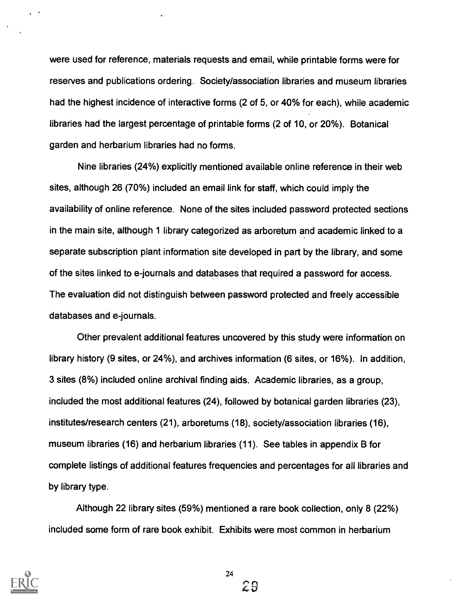were used for reference, materials requests and email, while printable forms were for reserves and publications ordering. Society/association libraries and museum libraries had the highest incidence of interactive forms (2 of 5, or 40% for each), while academic libraries had the largest percentage of printable forms (2 of 10, or 20%). Botanical garden and herbarium libraries had no forms.

Nine libraries (24%) explicitly mentioned available online reference in their web sites, although 26 (70%) included an email link for staff, which could imply the availability of online reference. None of the sites included password protected sections in the main site, although 1 library categorized as arboretum and academic linked to a separate subscription plant information site developed in part by the library, and some of the sites linked to e-journals and databases that required a password for access. The evaluation did not distinguish between password protected and freely accessible databases and e-journals.

Other prevalent additional features uncovered by this study were information on library history (9 sites, or 24%), and archives information (6 sites, or 16%). In addition, 3 sites (8%) included online archival finding aids. Academic libraries, as a group, included the most additional features (24), followed by botanical garden libraries (23), institutes/research centers (21), arboretums (18), society/association libraries (16), museum libraries (16) and herbarium libraries (11). See tables in appendix B for complete listings of additional features frequencies and percentages for all libraries and by library type.

Although 22 library sites (59%) mentioned a rare book collection, only 8 (22%) included some form of rare book exhibit. Exhibits were most common in herbarium

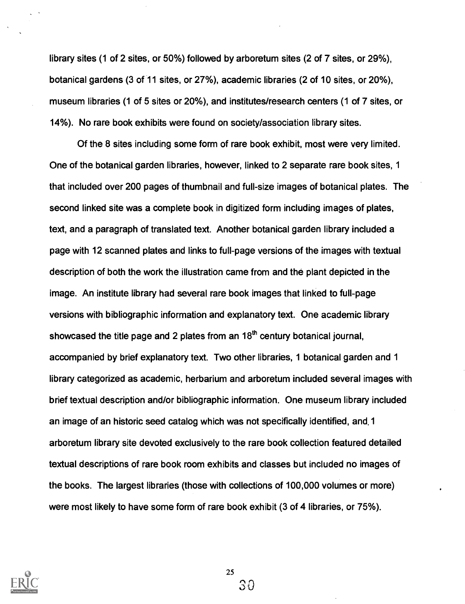library sites (1 of 2 sites, or 50%) followed by arboretum sites (2 of 7 sites, or 29%), botanical gardens (3 of 11 sites, or 27%), academic libraries (2 of 10 sites, or 20%), museum libraries (1 of 5 sites or 20%), and institutes/research centers (1 of 7 sites, or 14%). No rare book exhibits were found on society/association library sites.

Of the 8 sites including some form of rare book exhibit, most were very limited. One of the botanical garden libraries, however, linked to 2 separate rare book sites, 1 that included over 200 pages of thumbnail and full-size images of botanical plates. The second linked site was a complete book in digitized form including images of plates, text, and a paragraph of translated text. Another botanical garden library included a page with 12 scanned plates and links to full-page versions of the images with textual description of both the work the illustration came from and the plant depicted in the image. An institute library had several rare book images that linked to full-page versions with bibliographic information and explanatory text. One academic library showcased the title page and 2 plates from an  $18<sup>th</sup>$  century botanical journal, accompanied by brief explanatory text. Two other libraries, 1 botanical garden and 1 library categorized as academic, herbarium and arboretum included several images with brief textual description and/or bibliographic information. One museum library included an image of an historic seed catalog which was not specifically identified, and, 1 arboretum library site devoted exclusively to the rare book collection featured detailed textual descriptions of rare book room exhibits and classes but included no images of the books. The largest libraries (those with collections of 100,000 volumes or more) were most likely to have some form of rare book exhibit (3 of 4 libraries, or 75%).

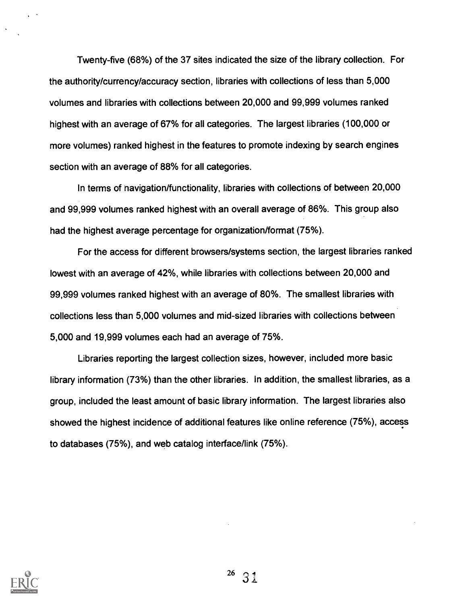Twenty-five (68%) of the 37 sites indicated the size of the library collection. For the authority/currency/accuracy section, libraries with collections of less than 5,000 volumes and libraries with collections between 20,000 and 99,999 volumes ranked highest with an average of 67% for all categories. The largest libraries (100,000 or more volumes) ranked highest in the features to promote indexing by search engines section with an average of 88% for all categories.

In terms of navigation/functionality, libraries with collections of between 20,000 and 99,999 volumes ranked highest with an overall average of 86%. This group also had the highest average percentage for organization/format (75%).

For the access for different browsers/systems section, the largest libraries ranked lowest with an average of 42%, while libraries with collections between 20,000 and 99,999 volumes ranked highest with an average of 80%. The smallest libraries with collections less than 5,000 volumes and mid-sized libraries with collections between 5,000 and 19,999 volumes each had an average of 75%.

Libraries reporting the largest collection sizes, however, included more basic library information (73%) than the other libraries. In addition, the smallest libraries, as a group, included the least amount of basic library information. The largest libraries also showed the highest incidence of additional features like online reference (75%), access to databases (75%), and web catalog interface/link (75%).

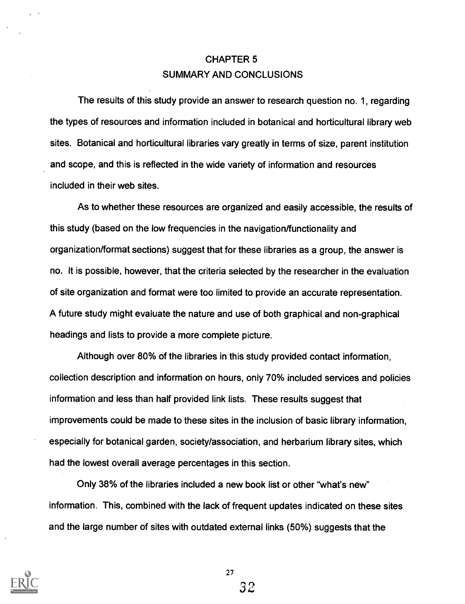# CHAPTER 5 SUMMARY AND CONCLUSIONS

The results of this study provide an answer to research question no. 1, regarding the types of resources and information included in botanical and horticultural library web sites. Botanical and horticultural libraries vary greatly in terms of size, parent institution and scope, and this is reflected in the wide variety of information and resources included in their web sites.

As to whether these resources are organized and easily accessible, the results of this study (based on the low frequencies in the navigation/functionality and organization/format sections) suggest that for these libraries as a group, the answer is no. It is possible, however, that the criteria selected by the researcher in the evaluation of site organization and format were too limited to provide an accurate representation. A future study might evaluate the nature and use of both graphical and non-graphical headings and lists to provide a more complete picture.

Although over 80% of the libraries in this study provided contact information, collection description and information on hours, only 70% included services and policies information and less than half provided link lists. These results suggest that improvements could be made to these sites in the inclusion of basic library information, especially for botanical garden, society/association, and herbarium library sites, which had the lowest overall average percentages in this section.

Only 38% of the libraries included a new book list or other "what's new" information. This, combined with the lack of frequent updates indicated on these sites and the large number of sites with outdated external links (50%) suggests that the

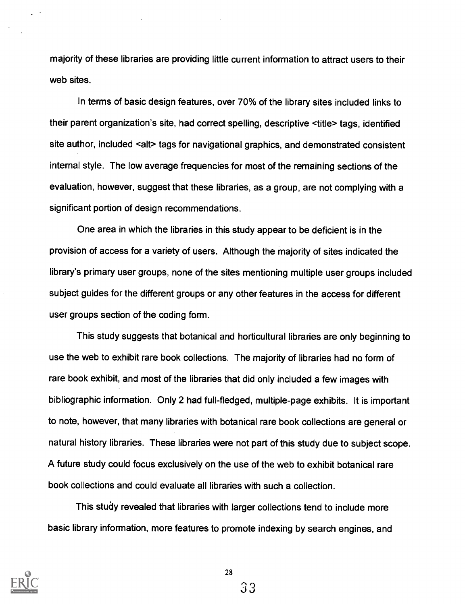majority of these libraries are providing little current information to attract users to their web sites.

In terms of basic design features, over 70% of the library sites included links to their parent organization's site, had correct spelling, descriptive <title> tags, identified site author, included <alt> tags for navigational graphics, and demonstrated consistent internal style. The low average frequencies for most of the remaining sections of the evaluation, however, suggest that these libraries, as a group, are not complying with a significant portion of design recommendations.

One area in which the libraries in this study appear to be deficient is in the provision of access for a variety of users. Although the majority of sites indicated the library's primary user groups, none of the sites mentioning multiple user groups included subject guides for the different groups or any other features in the access for different user groups section of the coding form.

This study suggests that botanical and horticultural libraries are only beginning to use the web to exhibit rare book collections. The majority of libraries had no form of rare book exhibit, and most of the libraries that did only included a few images with bibliographic information. Only 2 had full-fledged, multiple-page exhibits. It is important to note, however, that many libraries with botanical rare book collections are general or natural history libraries. These libraries were not part of this study due to subject scope. A future study could focus exclusively on the use of the web to exhibit botanical rare book collections and could evaluate all libraries with such a collection.

This study revealed that libraries with larger collections tend to include more basic library information, more features to promote indexing by search engines, and

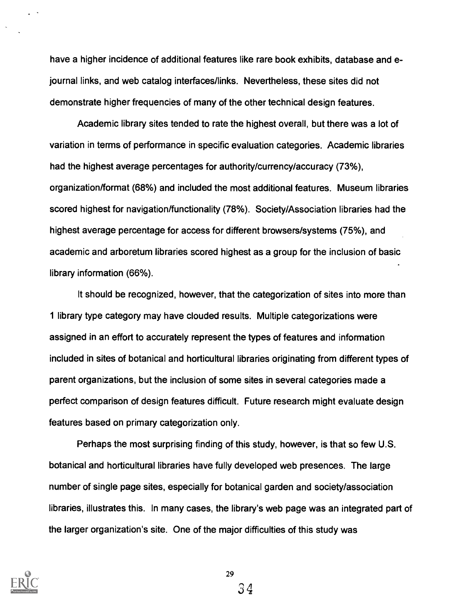have a higher incidence of additional features like rare book exhibits, database and ejournal links, and web catalog interfaces/links. Nevertheless, these sites did not demonstrate higher frequencies of many of the other technical design features.

Academic library sites tended to rate the highest overall, but there was a lot of variation in terms of performance in specific evaluation categories. Academic libraries had the highest average percentages for authority/currency/accuracy (73%), organization/format (68%) and included the most additional features. Museum libraries scored highest for navigation/functionality (78%). Society/Association libraries had the highest average percentage for access for different browsers/systems (75%), and academic and arboretum libraries scored highest as a group for the inclusion of basic library information (66%).

It should be recognized, however, that the categorization of sites into more than 1 library type category may have clouded results. Multiple categorizations were assigned in an effort to accurately represent the types of features and information included in sites of botanical and horticultural libraries originating from different types of parent organizations, but the inclusion of some sites in several categories made a perfect comparison of design features difficult. Future research might evaluate design features based on primary categorization only.

Perhaps the most surprising finding of this study, however, is that so few U.S. botanical and horticultural libraries have fully developed web presences. The large number of single page sites, especially for botanical garden and society/association libraries, illustrates this. In many cases, the library's web page was an integrated part of the larger organization's site. One of the major difficulties of this study was

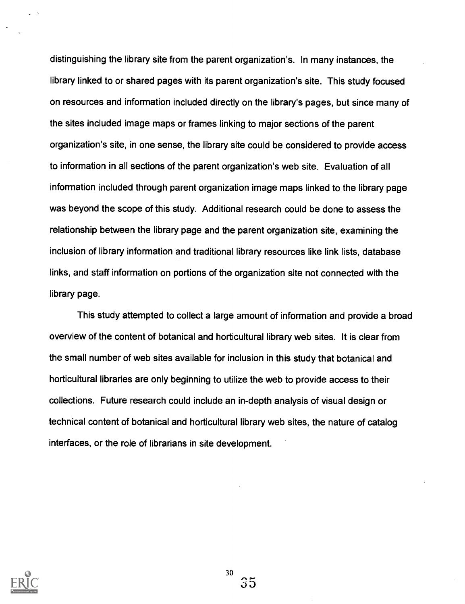distinguishing the library site from the parent organization's. In many instances, the library linked to or shared pages with its parent organization's site. This study focused on resources and information included directly on the library's pages, but since many of the sites included image maps or frames linking to major sections of the parent organization's site, in one sense, the library site could be considered to provide access to information in all sections of the parent organization's web site. Evaluation of all information included through parent organization image maps linked to the library page was beyond the scope of this study. Additional research could be done to assess the relationship between the library page and the parent organization site, examining the inclusion of library information and traditional library resources like link lists, database links, and staff information on portions of the organization site not connected with the library page.

This study attempted to collect a large amount of information and provide a broad overview of the content of botanical and horticultural library web sites. It is clear from the small number of web sites available for inclusion in this study that botanical and horticultural libraries are only beginning to utilize the web to provide access to their collections. Future research could include an in-depth analysis of visual design or technical content of botanical and horticultural library web sites, the nature of catalog interfaces, or the role of librarians in site development.

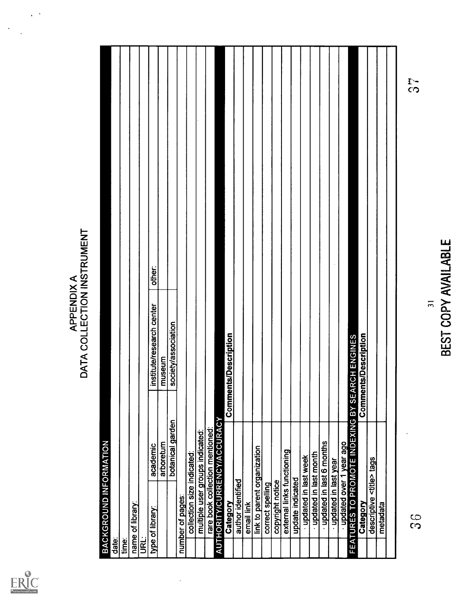

# APPENDIX A<br>DATA COLLECTION INSTRUMENT

 $\epsilon^{-1}$ 

 $\ddot{\phantom{0}}$ 

| <b>BACKGROUND INFORMATION</b>      |                                 |                                                |                |                     |
|------------------------------------|---------------------------------|------------------------------------------------|----------------|---------------------|
| date:                              |                                 |                                                |                |                     |
| time:                              |                                 |                                                |                |                     |
| name of library:                   |                                 |                                                |                |                     |
| <b>URL:</b>                        |                                 |                                                |                |                     |
| type of library:                   | academic                        | institute/research center                      |                | other:              |
|                                    | arboretum                       | museum                                         |                |                     |
|                                    | botanical garden                | society/association                            |                |                     |
| number of pages:                   |                                 |                                                |                |                     |
| collection size indicated:         |                                 |                                                |                |                     |
|                                    | multiple user groups indicated: |                                                |                |                     |
|                                    | rare book collection mentioned: |                                                |                |                     |
| <b>AUTHORITY/CURRENCY/ACCURACY</b> |                                 |                                                |                |                     |
| Category                           |                                 | <b>Comments/Description</b>                    |                |                     |
| author identified                  |                                 |                                                |                |                     |
| email link                         |                                 |                                                |                |                     |
| link to parent organization        |                                 |                                                |                |                     |
| correct spelling                   |                                 |                                                |                |                     |
| copyright notice                   |                                 |                                                |                |                     |
| external links functioning         |                                 |                                                |                |                     |
| update indicated                   |                                 |                                                |                |                     |
| updated in last week               |                                 |                                                |                |                     |
| · updated in last month            |                                 |                                                |                |                     |
|                                    | updated in last 6 months        |                                                |                |                     |
| updated in last year               |                                 |                                                |                |                     |
|                                    | updated over 1 year ago         |                                                |                |                     |
|                                    |                                 | FEATURES TO PROMOTE INDEXING BY SEARCH ENGINES |                |                     |
| Category                           |                                 | <b>Comments/Description</b>                    |                |                     |
| descriptive <title> tags</title>   |                                 |                                                |                |                     |
| metadata                           |                                 |                                                |                |                     |
|                                    |                                 |                                                |                |                     |
|                                    |                                 |                                                |                |                     |
| (၁<br>က                            |                                 |                                                |                | รัง<br>คว           |
|                                    |                                 |                                                | $\overline{3}$ |                     |
|                                    |                                 |                                                |                | BEST COPY AVAILABLE |
|                                    |                                 |                                                |                |                     |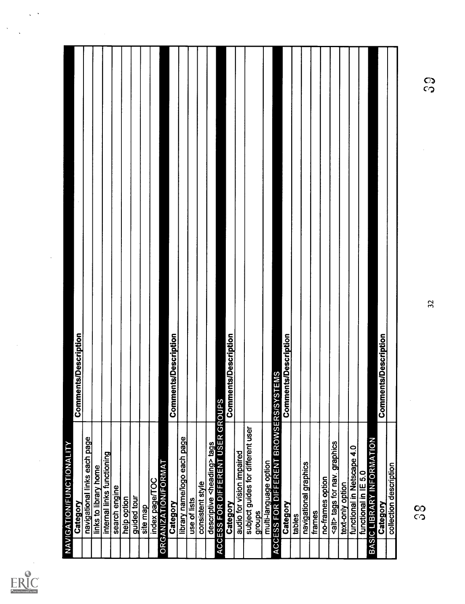

 $\ddot{\phantom{a}}$ 

| <b>NAVIGATION/FUNCTIONALITY</b>                                             |                             |
|-----------------------------------------------------------------------------|-----------------------------|
| Category                                                                    | <b>Comments/Description</b> |
| navigational links each page                                                |                             |
| links to library home                                                       |                             |
| internal links functioning                                                  |                             |
| search engine                                                               |                             |
| help option                                                                 |                             |
| guided tour                                                                 |                             |
| site map                                                                    |                             |
| index page/TOC                                                              |                             |
| <b>ORGANIZATION/FORMAT</b>                                                  |                             |
| Category                                                                    | ents/Description<br>Commo   |
| library name/logo each page                                                 |                             |
| use of lists                                                                |                             |
| consistent style                                                            |                             |
|                                                                             |                             |
| descriptive <heading> tags<br/>  ACCESS FOR DIFFERENT USER GROUPS</heading> |                             |
| Category                                                                    | <b>Comments/Description</b> |
| audio for vision impaired                                                   |                             |
| subject guides for different user                                           |                             |
| groups                                                                      |                             |
| │ multi-language option<br>ACCESS FOR DIFFERENT BROWSERS/SYS`               |                             |
|                                                                             | <b>TEMS</b>                 |
| Category                                                                    | <b>Comments/Description</b> |
| tables                                                                      |                             |
| navigational graphics                                                       |                             |
| frames                                                                      |                             |
| no-frames option                                                            |                             |
| <alt> tags for nav. graphics</alt>                                          |                             |
| text-only option                                                            |                             |
| functional in Netscape 4.0                                                  |                             |
| functional in IE 5.0                                                        |                             |
| <b>BASIC LIBRARY INFORMATION</b>                                            |                             |
| Category                                                                    | <b>Comments/Description</b> |
| collection description                                                      |                             |
|                                                                             |                             |
| လ<br>(၁                                                                     |                             |
|                                                                             | ာ<br>ကိ<br>32               |
|                                                                             |                             |
|                                                                             |                             |
|                                                                             |                             |
|                                                                             |                             |
|                                                                             |                             |
|                                                                             |                             |

က<br>က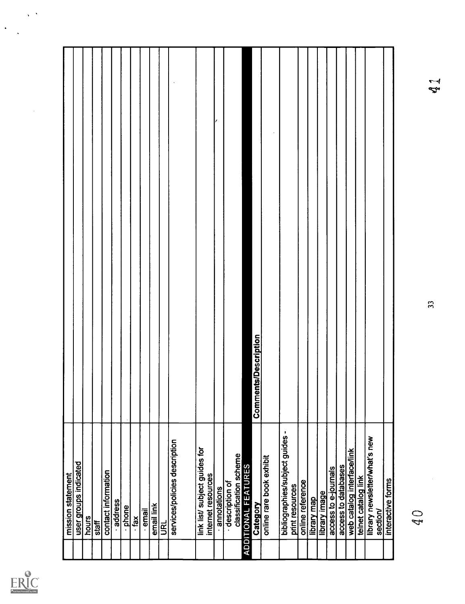

ŀ,

 $\ddot{\phantom{0}}$ 

| mission statement                                     |                             |
|-------------------------------------------------------|-----------------------------|
| user groups indicated                                 |                             |
| hours                                                 |                             |
| staff                                                 |                             |
| contact information                                   |                             |
| address                                               |                             |
| - phone                                               |                             |
| <b>xey</b>                                            |                             |
| email                                                 |                             |
| email link                                            |                             |
| URL                                                   |                             |
| services/policies description                         |                             |
| link list/ subject guides for<br>internet resources   |                             |
| annotations                                           |                             |
| classification scheme<br>- description of             |                             |
| <b>ADDITIONAL FEATURES</b>                            |                             |
| Category                                              | <b>Comments/Description</b> |
| online rare book exhibit                              |                             |
| ٠<br>bibliographies/subject guides<br>print resources |                             |
| online reference                                      |                             |
| library map                                           |                             |
| library image                                         |                             |
| access to e-journals                                  |                             |
| access to databases                                   |                             |
| web catalog interface/link                            |                             |
| telnet catalog link                                   |                             |
| library newsletter/what's new<br>section/             |                             |
| interactive forms                                     |                             |
| $\mathcal{Q}$                                         |                             |
|                                                       | 红<br>33                     |
|                                                       |                             |
|                                                       |                             |
|                                                       |                             |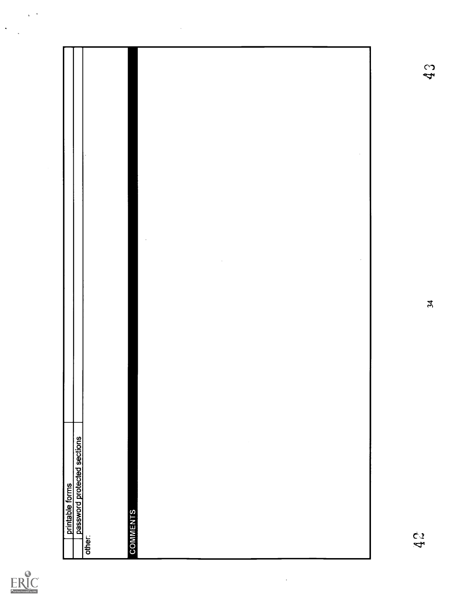

 $\sqrt{2}$ 

 $\hat{\mathcal{A}}$ 

 $\ddot{\phantom{a}}$ 

|                 | printable forms<br>password protected sections |              |                      |         |          |  |
|-----------------|------------------------------------------------|--------------|----------------------|---------|----------|--|
|                 |                                                |              |                      |         |          |  |
| other:          |                                                |              |                      |         |          |  |
| <b>COMMENTS</b> |                                                |              |                      |         |          |  |
|                 |                                                |              |                      |         |          |  |
|                 |                                                |              |                      |         |          |  |
|                 |                                                |              |                      |         |          |  |
|                 |                                                |              |                      |         |          |  |
|                 |                                                |              |                      |         |          |  |
|                 | $\sim$                                         |              |                      |         |          |  |
|                 |                                                |              |                      |         |          |  |
|                 |                                                |              |                      |         |          |  |
|                 |                                                |              |                      |         |          |  |
|                 |                                                |              |                      |         |          |  |
|                 |                                                |              |                      |         |          |  |
|                 |                                                |              | $\ddot{\phantom{0}}$ | $\cdot$ |          |  |
|                 |                                                |              |                      |         |          |  |
| 43              |                                                |              |                      |         | مي<br>مي |  |
|                 |                                                | $\mathbf{z}$ |                      |         |          |  |

 $\ddot{\phantom{0}}$ 

 $\ddot{\phantom{0}}$ 

 $\mathfrak{P}$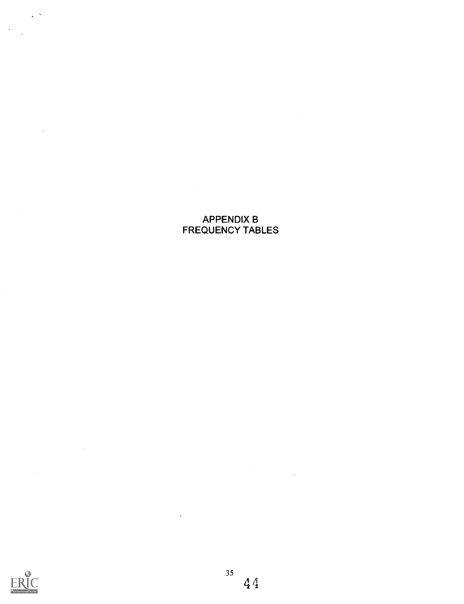#### APPENDIX B FREQUENCY TABLES

 $\mathcal{L}^{\mathcal{L}}(\mathcal{L}^{\mathcal{L}}(\mathcal{L}^{\mathcal{L}}(\mathcal{L}^{\mathcal{L}}(\mathcal{L}^{\mathcal{L}}(\mathcal{L}^{\mathcal{L}}(\mathcal{L}^{\mathcal{L}}(\mathcal{L}^{\mathcal{L}}(\mathcal{L}^{\mathcal{L}}(\mathcal{L}^{\mathcal{L}}(\mathcal{L}^{\mathcal{L}}(\mathcal{L}^{\mathcal{L}}(\mathcal{L}^{\mathcal{L}}(\mathcal{L}^{\mathcal{L}}(\mathcal{L}^{\mathcal{L}}(\mathcal{L}^{\mathcal{L}}(\mathcal{L}^{\mathcal{L$ 

 $\sim 10^6$ 



 $\mathcal{L}^{\text{max}}_{\text{max}}$  and  $\mathcal{L}^{\text{max}}_{\text{max}}$ 

 $\sim$   $\sim$ 

 $\mathbb{R}^2$ 

 $\sim$ 

 $\hat{\mathcal{A}}$ 

 $\mathcal{L}_{\mathcal{A}}$ 

 $\label{eq:2.1} \frac{1}{\sqrt{2\pi}}\int_{0}^{\infty} \frac{d\mu}{\sqrt{2\pi}}\left(\frac{d\mu}{\mu}\right)^2\frac{d\mu}{\sqrt{2\pi}}\frac{d\mu}{\sqrt{2\pi}}\frac{d\mu}{\sqrt{2\pi}}\frac{d\mu}{\sqrt{2\pi}}\frac{d\mu}{\sqrt{2\pi}}\frac{d\mu}{\sqrt{2\pi}}\frac{d\mu}{\sqrt{2\pi}}\frac{d\mu}{\sqrt{2\pi}}\frac{d\mu}{\sqrt{2\pi}}\frac{d\mu}{\sqrt{2\pi}}\frac{d\mu}{\sqrt{2\pi}}\frac{d\mu$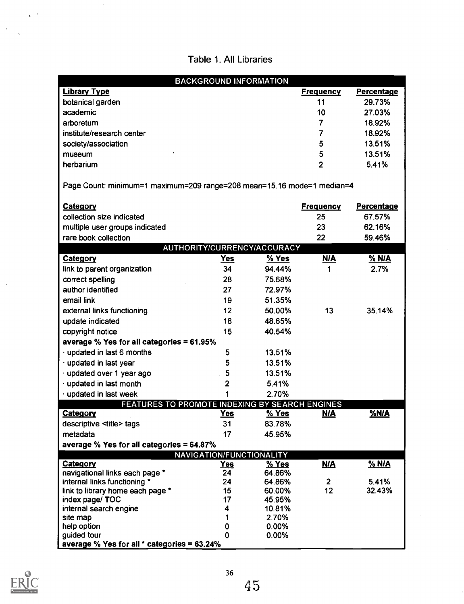### Table 1. All Libraries

|                                                                        | <b>BACKGROUND INFORMATION</b> |              |                  |                   |  |  |  |
|------------------------------------------------------------------------|-------------------------------|--------------|------------------|-------------------|--|--|--|
| <b>Library Type</b>                                                    |                               |              | <b>Frequency</b> | <b>Percentage</b> |  |  |  |
| botanical garden                                                       |                               |              | 11               | 29.73%            |  |  |  |
| academic                                                               |                               |              | 10               | 27.03%            |  |  |  |
| arboretum                                                              |                               |              | 7                | 18.92%            |  |  |  |
| institute/research center                                              |                               |              | 7                | 18.92%            |  |  |  |
| society/association                                                    |                               |              | 5                | 13.51%            |  |  |  |
| museum                                                                 |                               |              | 5                | 13.51%            |  |  |  |
| herbarium                                                              |                               |              | 2                | 5.41%             |  |  |  |
| Page Count: minimum=1 maximum=209 range=208 mean=15.16 mode=1 median=4 |                               |              |                  |                   |  |  |  |
| Category                                                               |                               |              | <b>Frequency</b> | <b>Percentage</b> |  |  |  |
| collection size indicated                                              |                               |              | 25               | 67.57%            |  |  |  |
| multiple user groups indicated                                         |                               |              | 23               | 62.16%            |  |  |  |
| rare book collection                                                   |                               |              | 22               | 59.46%            |  |  |  |
|                                                                        | AUTHORITY/CURRENCY/ACCURACY   |              |                  |                   |  |  |  |
| Category                                                               | <u>Yes</u>                    | $%$ Yes      | <u>N/A</u>       | <u>% N/A</u>      |  |  |  |
| link to parent organization                                            | 34                            | 94.44%       | 1                | 2.7%              |  |  |  |
| correct spelling                                                       | 28                            | 75.68%       |                  |                   |  |  |  |
| author identified                                                      | 27                            | 72.97%       |                  |                   |  |  |  |
| email link                                                             | 19                            | 51.35%       |                  |                   |  |  |  |
| external links functioning                                             | 12                            | 50.00%       | 13               | 35.14%            |  |  |  |
| update indicated                                                       | 18                            | 48.65%       |                  |                   |  |  |  |
| copyright notice                                                       | 15                            | 40.54%       |                  |                   |  |  |  |
| average % Yes for all categories = 61.95%                              |                               |              |                  |                   |  |  |  |
| · updated in last 6 months                                             | 5                             | 13.51%       |                  |                   |  |  |  |
| · updated in last year                                                 | 5                             | 13.51%       |                  |                   |  |  |  |
| updated over 1 year ago                                                | 5                             | 13.51%       |                  |                   |  |  |  |
|                                                                        |                               |              |                  |                   |  |  |  |
| updated in last month                                                  | 2                             | 5.41%        |                  |                   |  |  |  |
| · updated in last week                                                 | 1                             | 2.70%        |                  |                   |  |  |  |
| FEATURES TO PROMOTE INDEXING BY SEARCH ENGINES<br><b>Category</b>      | <u>Yes</u>                    | <u>% Yes</u> | <u>N/A</u>       | %N/A              |  |  |  |
| descriptive <title> tags</title>                                       | 31                            | 83.78%       |                  |                   |  |  |  |
|                                                                        | 17                            |              |                  |                   |  |  |  |
| metadata<br>average % Yes for all categories = 64.87%                  |                               | 45.95%       |                  |                   |  |  |  |
|                                                                        | NAVIGATION/FUNCTIONALITY      |              |                  |                   |  |  |  |
| Category                                                               | <u>Yes</u>                    | $%$ Yes      | <b>N/A</b>       | % N/A             |  |  |  |
| navigational links each page *                                         | 24                            | 64.86%       |                  |                   |  |  |  |
| internal links functioning *                                           | 24                            | 64.86%       | $\overline{2}$   | 5.41%             |  |  |  |
| link to library home each page *                                       | 15                            | 60.00%       | 12               | 32.43%            |  |  |  |
| index page/ TOC                                                        | 17                            | 45.95%       |                  |                   |  |  |  |
| internal search engine                                                 | 4                             | 10.81%       |                  |                   |  |  |  |
| site map                                                               | 1                             | 2.70%        |                  |                   |  |  |  |
| help option                                                            | $\mathbf 0$                   | 0.00%        |                  |                   |  |  |  |
| guided tour<br>average % Yes for all * categories = 63.24%             | 0                             | 0.00%        |                  |                   |  |  |  |
|                                                                        |                               |              |                  |                   |  |  |  |



 $\ddot{\phantom{1}}$  $\ddot{\phantom{0}}$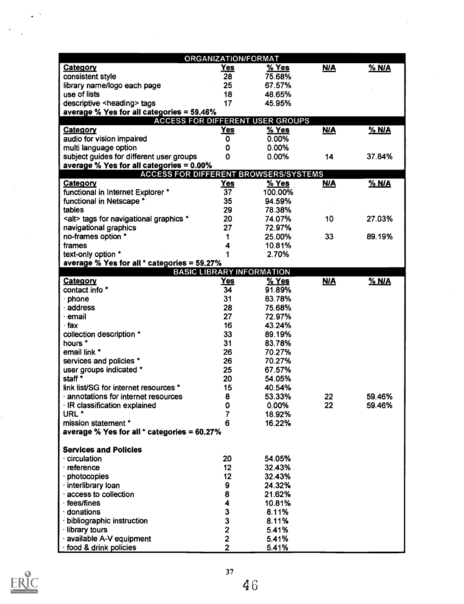|                                              | ORGANIZATION/FORMAT              |                                         |            |              |
|----------------------------------------------|----------------------------------|-----------------------------------------|------------|--------------|
| Category                                     | <u>Yes</u>                       | % Yes                                   | <b>N/A</b> | <u>% N/A</u> |
| consistent style                             | 28                               | 75.68%                                  |            |              |
| library name/logo each page                  | 25                               | 67.57%                                  |            |              |
| use of lists                                 | 18                               | 48.65%                                  |            |              |
| descriptive <heading> tags</heading>         | 17                               | 45.95%                                  |            |              |
| average % Yes for all categories = 59.46%    |                                  |                                         |            |              |
|                                              |                                  | <b>ACCESS FOR DIFFERENT USER GROUPS</b> |            |              |
| Category                                     | <u>Yes</u>                       | % Yes                                   | <b>N/A</b> | <u>% N/A</u> |
| audio for vision impaired                    | 0                                | 0.00%                                   |            |              |
| multi language option                        | 0                                | 0.00%                                   |            |              |
| subject guides for different user groups     | 0                                | 0.00%                                   | 14         | 37.84%       |
| average % Yes for all categories = 0.00%     |                                  |                                         |            |              |
| ACCESS FOR DIFFERENT BROWSERS/SYSTEMS        |                                  |                                         |            |              |
| <b>Category</b>                              | <b>Yes</b>                       | % Yes                                   | <b>N/A</b> | <b>% N/A</b> |
| functional in Internet Explorer *            | 37                               | 100.00%                                 |            |              |
| functional in Netscape *                     | 35                               | 94.59%                                  |            |              |
| tables                                       | 29                               | 78.38%                                  |            |              |
| <alt> tags for navigational graphics *</alt> | 20<br>27                         | 74.07%                                  | 10         | 27.03%       |
| navigational graphics<br>no-frames option *  |                                  | 72.97%                                  | 33         |              |
| frames                                       | 1<br>4                           | 25.00%<br>10.81%                        |            | 89.19%       |
| text-only option *                           | 1                                | 2.70%                                   |            |              |
| average % Yes for all * categories = 59.27%  |                                  |                                         |            |              |
|                                              | <b>BASIC LIBRARY INFORMATION</b> |                                         |            |              |
| <b>Category</b>                              | <u>Yes</u>                       | % Yes                                   | <b>N/A</b> | <u>% N/A</u> |
| contact info *                               | 34                               | 91.89%                                  |            |              |
| $\cdot$ phone                                | 31                               | 83.78%                                  |            |              |
| $\cdot$ address                              | 28                               | 75.68%                                  |            |              |
| email                                        | 27                               | 72.97%                                  |            |              |
| ∙ fax                                        | 16                               | 43.24%                                  |            |              |
| collection description *                     | 33                               | 89.19%                                  |            |              |
| hours *                                      | 31                               | 83.78%                                  |            |              |
| email link *                                 | 26                               | 70.27%                                  |            |              |
| services and policies *                      | 26                               | 70.27%                                  |            |              |
| user groups indicated *                      | 25                               | 67.57%                                  |            |              |
| staff *                                      | 20                               | 54.05%                                  |            |              |
| link list/SG for internet resources *        | 15                               | 40.54%                                  |            |              |
| · annotations for internet resources         | 8                                | 53.33%                                  | 22         | 59.46%       |
| · IR classification explained                | 0                                | 0.00%                                   | 22         | 59.46%       |
| URL <sup>*</sup>                             | $\overline{7}$                   | 18.92%                                  |            |              |
| mission statement *                          | 6                                | 16.22%                                  |            |              |
| average % Yes for all * categories = 60.27%  |                                  |                                         |            |              |
|                                              |                                  |                                         |            |              |
| <b>Services and Policies</b>                 |                                  |                                         |            |              |
| $\cdot$ circulation                          | 20                               | 54.05%                                  |            |              |
| reference                                    | 12                               | 32.43%                                  |            |              |
| $\cdot$ photocopies                          | 12                               | 32.43%                                  |            |              |
| $\cdot$ interlibrary loan                    | 9                                | 24.32%                                  |            |              |
| access to collection                         | 8                                | 21.62%                                  |            |              |
| fees/fines                                   | 4<br>$\mathbf{3}$                | 10.81%                                  |            |              |
| donations                                    | 3                                | 8.11%                                   |            |              |
| · bibliographic instruction                  | $\overline{\mathbf{2}}$          | 8.11%                                   |            |              |
| · library tours<br>· available A-V equipment | $\overline{\mathbf{2}}$          | 5.41%<br>5.41%                          |            |              |
| food & drink policies                        | $\overline{2}$                   | 5.41%                                   |            |              |
|                                              |                                  |                                         |            |              |



46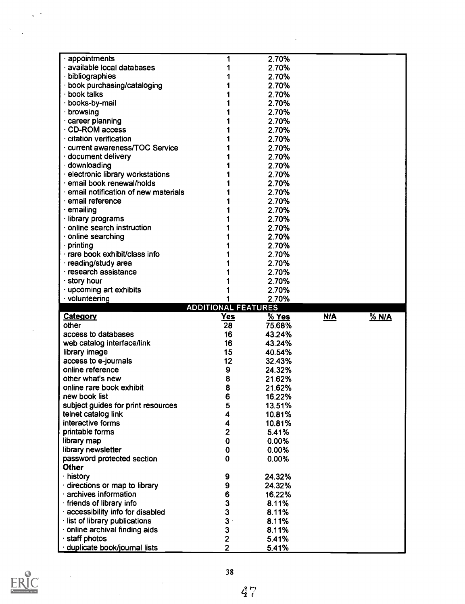| appointments<br>2.70%<br>available local databases<br>2.70%<br>bibliographies<br>2.70%<br>book purchasing/cataloging<br>2.70%<br>book talks<br>2.70%<br>2.70%<br>books-by-mail<br>browsing<br>2.70%<br>career planning<br>2.70%<br><b>CD-ROM</b> access<br>2.70%<br>citation verification<br>2.70%<br>current awareness/TOC Service<br>2.70%<br>document delivery<br>2.70%<br>downloading<br>2.70%<br>electronic library workstations<br>2.70%<br>email book renewal/holds<br>2.70%<br>· email notification of new materials<br>2.70%<br>$\cdot$ email reference<br>2.70%<br>$\cdot$ emailing<br>2.70%<br>· library programs<br>2.70%<br>online search instruction<br>2.70%<br>$\cdot$ online searching<br>2.70%<br>$\cdot$ printing<br>2.70%<br>· rare book exhibit/class info<br>2.70%<br>· reading/study area<br>2.70%<br>$\cdot$ research assistance<br>2.70%<br>· story hour<br>2.70%<br>· upcoming art exhibits<br>2.70%<br>$\cdot$ volunteering<br>2.70%<br><b>ADDITIONAL FEATURES</b><br>$%$ Yes<br><u>N/A</u><br><u>% N/A</u><br><b>Category</b><br><u>Yes</u><br>other<br>75.68%<br>28<br>access to databases<br>16<br>43.24%<br>16<br>web catalog interface/link<br>43.24%<br>library image<br>15<br>40.54%<br>access to e-journals<br>12<br>32.43%<br>online reference<br>9<br>24.32%<br>other what's new<br>8<br>21.62%<br>online rare book exhibit<br>8<br>21.62%<br>6<br>16.22%<br>new book list<br>subject guides for print resources<br>5<br>13.51%<br>telnet catalog link<br>4<br>10.81%<br>interactive forms<br>4<br>10.81%<br>printable forms<br>2<br>5.41%<br>library map<br>0<br>0.00%<br>library newsletter<br>0.00%<br>0<br>password protected section<br>0<br>0.00%<br><b>Other</b><br>· history<br>24.32%<br>9<br>9<br>directions or map to library<br>24.32%<br>6<br>archives information<br>16.22%<br>3<br>· friends of library info<br>8.11%<br>3<br>accessibility info for disabled<br>8.11%<br>3<br>· list of library publications<br>8.11%<br>online archival finding aids<br>3<br>8.11%<br>staff photos<br>2<br>5.41%<br>$\overline{\mathbf{2}}$<br>duplicate book/journal lists<br>5.41% |  |  |  |
|----------------------------------------------------------------------------------------------------------------------------------------------------------------------------------------------------------------------------------------------------------------------------------------------------------------------------------------------------------------------------------------------------------------------------------------------------------------------------------------------------------------------------------------------------------------------------------------------------------------------------------------------------------------------------------------------------------------------------------------------------------------------------------------------------------------------------------------------------------------------------------------------------------------------------------------------------------------------------------------------------------------------------------------------------------------------------------------------------------------------------------------------------------------------------------------------------------------------------------------------------------------------------------------------------------------------------------------------------------------------------------------------------------------------------------------------------------------------------------------------------------------------------------------------------------------------------------------------------------------------------------------------------------------------------------------------------------------------------------------------------------------------------------------------------------------------------------------------------------------------------------------------------------------------------------------------------------------------------------------------------------------------------------------------------------------------------------------------------------------------------|--|--|--|
|                                                                                                                                                                                                                                                                                                                                                                                                                                                                                                                                                                                                                                                                                                                                                                                                                                                                                                                                                                                                                                                                                                                                                                                                                                                                                                                                                                                                                                                                                                                                                                                                                                                                                                                                                                                                                                                                                                                                                                                                                                                                                                                            |  |  |  |
|                                                                                                                                                                                                                                                                                                                                                                                                                                                                                                                                                                                                                                                                                                                                                                                                                                                                                                                                                                                                                                                                                                                                                                                                                                                                                                                                                                                                                                                                                                                                                                                                                                                                                                                                                                                                                                                                                                                                                                                                                                                                                                                            |  |  |  |
|                                                                                                                                                                                                                                                                                                                                                                                                                                                                                                                                                                                                                                                                                                                                                                                                                                                                                                                                                                                                                                                                                                                                                                                                                                                                                                                                                                                                                                                                                                                                                                                                                                                                                                                                                                                                                                                                                                                                                                                                                                                                                                                            |  |  |  |
|                                                                                                                                                                                                                                                                                                                                                                                                                                                                                                                                                                                                                                                                                                                                                                                                                                                                                                                                                                                                                                                                                                                                                                                                                                                                                                                                                                                                                                                                                                                                                                                                                                                                                                                                                                                                                                                                                                                                                                                                                                                                                                                            |  |  |  |
|                                                                                                                                                                                                                                                                                                                                                                                                                                                                                                                                                                                                                                                                                                                                                                                                                                                                                                                                                                                                                                                                                                                                                                                                                                                                                                                                                                                                                                                                                                                                                                                                                                                                                                                                                                                                                                                                                                                                                                                                                                                                                                                            |  |  |  |
|                                                                                                                                                                                                                                                                                                                                                                                                                                                                                                                                                                                                                                                                                                                                                                                                                                                                                                                                                                                                                                                                                                                                                                                                                                                                                                                                                                                                                                                                                                                                                                                                                                                                                                                                                                                                                                                                                                                                                                                                                                                                                                                            |  |  |  |
|                                                                                                                                                                                                                                                                                                                                                                                                                                                                                                                                                                                                                                                                                                                                                                                                                                                                                                                                                                                                                                                                                                                                                                                                                                                                                                                                                                                                                                                                                                                                                                                                                                                                                                                                                                                                                                                                                                                                                                                                                                                                                                                            |  |  |  |
|                                                                                                                                                                                                                                                                                                                                                                                                                                                                                                                                                                                                                                                                                                                                                                                                                                                                                                                                                                                                                                                                                                                                                                                                                                                                                                                                                                                                                                                                                                                                                                                                                                                                                                                                                                                                                                                                                                                                                                                                                                                                                                                            |  |  |  |
|                                                                                                                                                                                                                                                                                                                                                                                                                                                                                                                                                                                                                                                                                                                                                                                                                                                                                                                                                                                                                                                                                                                                                                                                                                                                                                                                                                                                                                                                                                                                                                                                                                                                                                                                                                                                                                                                                                                                                                                                                                                                                                                            |  |  |  |
|                                                                                                                                                                                                                                                                                                                                                                                                                                                                                                                                                                                                                                                                                                                                                                                                                                                                                                                                                                                                                                                                                                                                                                                                                                                                                                                                                                                                                                                                                                                                                                                                                                                                                                                                                                                                                                                                                                                                                                                                                                                                                                                            |  |  |  |
|                                                                                                                                                                                                                                                                                                                                                                                                                                                                                                                                                                                                                                                                                                                                                                                                                                                                                                                                                                                                                                                                                                                                                                                                                                                                                                                                                                                                                                                                                                                                                                                                                                                                                                                                                                                                                                                                                                                                                                                                                                                                                                                            |  |  |  |
|                                                                                                                                                                                                                                                                                                                                                                                                                                                                                                                                                                                                                                                                                                                                                                                                                                                                                                                                                                                                                                                                                                                                                                                                                                                                                                                                                                                                                                                                                                                                                                                                                                                                                                                                                                                                                                                                                                                                                                                                                                                                                                                            |  |  |  |
|                                                                                                                                                                                                                                                                                                                                                                                                                                                                                                                                                                                                                                                                                                                                                                                                                                                                                                                                                                                                                                                                                                                                                                                                                                                                                                                                                                                                                                                                                                                                                                                                                                                                                                                                                                                                                                                                                                                                                                                                                                                                                                                            |  |  |  |
|                                                                                                                                                                                                                                                                                                                                                                                                                                                                                                                                                                                                                                                                                                                                                                                                                                                                                                                                                                                                                                                                                                                                                                                                                                                                                                                                                                                                                                                                                                                                                                                                                                                                                                                                                                                                                                                                                                                                                                                                                                                                                                                            |  |  |  |
|                                                                                                                                                                                                                                                                                                                                                                                                                                                                                                                                                                                                                                                                                                                                                                                                                                                                                                                                                                                                                                                                                                                                                                                                                                                                                                                                                                                                                                                                                                                                                                                                                                                                                                                                                                                                                                                                                                                                                                                                                                                                                                                            |  |  |  |
|                                                                                                                                                                                                                                                                                                                                                                                                                                                                                                                                                                                                                                                                                                                                                                                                                                                                                                                                                                                                                                                                                                                                                                                                                                                                                                                                                                                                                                                                                                                                                                                                                                                                                                                                                                                                                                                                                                                                                                                                                                                                                                                            |  |  |  |
|                                                                                                                                                                                                                                                                                                                                                                                                                                                                                                                                                                                                                                                                                                                                                                                                                                                                                                                                                                                                                                                                                                                                                                                                                                                                                                                                                                                                                                                                                                                                                                                                                                                                                                                                                                                                                                                                                                                                                                                                                                                                                                                            |  |  |  |
|                                                                                                                                                                                                                                                                                                                                                                                                                                                                                                                                                                                                                                                                                                                                                                                                                                                                                                                                                                                                                                                                                                                                                                                                                                                                                                                                                                                                                                                                                                                                                                                                                                                                                                                                                                                                                                                                                                                                                                                                                                                                                                                            |  |  |  |
|                                                                                                                                                                                                                                                                                                                                                                                                                                                                                                                                                                                                                                                                                                                                                                                                                                                                                                                                                                                                                                                                                                                                                                                                                                                                                                                                                                                                                                                                                                                                                                                                                                                                                                                                                                                                                                                                                                                                                                                                                                                                                                                            |  |  |  |
|                                                                                                                                                                                                                                                                                                                                                                                                                                                                                                                                                                                                                                                                                                                                                                                                                                                                                                                                                                                                                                                                                                                                                                                                                                                                                                                                                                                                                                                                                                                                                                                                                                                                                                                                                                                                                                                                                                                                                                                                                                                                                                                            |  |  |  |
|                                                                                                                                                                                                                                                                                                                                                                                                                                                                                                                                                                                                                                                                                                                                                                                                                                                                                                                                                                                                                                                                                                                                                                                                                                                                                                                                                                                                                                                                                                                                                                                                                                                                                                                                                                                                                                                                                                                                                                                                                                                                                                                            |  |  |  |
|                                                                                                                                                                                                                                                                                                                                                                                                                                                                                                                                                                                                                                                                                                                                                                                                                                                                                                                                                                                                                                                                                                                                                                                                                                                                                                                                                                                                                                                                                                                                                                                                                                                                                                                                                                                                                                                                                                                                                                                                                                                                                                                            |  |  |  |
|                                                                                                                                                                                                                                                                                                                                                                                                                                                                                                                                                                                                                                                                                                                                                                                                                                                                                                                                                                                                                                                                                                                                                                                                                                                                                                                                                                                                                                                                                                                                                                                                                                                                                                                                                                                                                                                                                                                                                                                                                                                                                                                            |  |  |  |
|                                                                                                                                                                                                                                                                                                                                                                                                                                                                                                                                                                                                                                                                                                                                                                                                                                                                                                                                                                                                                                                                                                                                                                                                                                                                                                                                                                                                                                                                                                                                                                                                                                                                                                                                                                                                                                                                                                                                                                                                                                                                                                                            |  |  |  |
|                                                                                                                                                                                                                                                                                                                                                                                                                                                                                                                                                                                                                                                                                                                                                                                                                                                                                                                                                                                                                                                                                                                                                                                                                                                                                                                                                                                                                                                                                                                                                                                                                                                                                                                                                                                                                                                                                                                                                                                                                                                                                                                            |  |  |  |
|                                                                                                                                                                                                                                                                                                                                                                                                                                                                                                                                                                                                                                                                                                                                                                                                                                                                                                                                                                                                                                                                                                                                                                                                                                                                                                                                                                                                                                                                                                                                                                                                                                                                                                                                                                                                                                                                                                                                                                                                                                                                                                                            |  |  |  |
|                                                                                                                                                                                                                                                                                                                                                                                                                                                                                                                                                                                                                                                                                                                                                                                                                                                                                                                                                                                                                                                                                                                                                                                                                                                                                                                                                                                                                                                                                                                                                                                                                                                                                                                                                                                                                                                                                                                                                                                                                                                                                                                            |  |  |  |
|                                                                                                                                                                                                                                                                                                                                                                                                                                                                                                                                                                                                                                                                                                                                                                                                                                                                                                                                                                                                                                                                                                                                                                                                                                                                                                                                                                                                                                                                                                                                                                                                                                                                                                                                                                                                                                                                                                                                                                                                                                                                                                                            |  |  |  |
|                                                                                                                                                                                                                                                                                                                                                                                                                                                                                                                                                                                                                                                                                                                                                                                                                                                                                                                                                                                                                                                                                                                                                                                                                                                                                                                                                                                                                                                                                                                                                                                                                                                                                                                                                                                                                                                                                                                                                                                                                                                                                                                            |  |  |  |
|                                                                                                                                                                                                                                                                                                                                                                                                                                                                                                                                                                                                                                                                                                                                                                                                                                                                                                                                                                                                                                                                                                                                                                                                                                                                                                                                                                                                                                                                                                                                                                                                                                                                                                                                                                                                                                                                                                                                                                                                                                                                                                                            |  |  |  |
|                                                                                                                                                                                                                                                                                                                                                                                                                                                                                                                                                                                                                                                                                                                                                                                                                                                                                                                                                                                                                                                                                                                                                                                                                                                                                                                                                                                                                                                                                                                                                                                                                                                                                                                                                                                                                                                                                                                                                                                                                                                                                                                            |  |  |  |
|                                                                                                                                                                                                                                                                                                                                                                                                                                                                                                                                                                                                                                                                                                                                                                                                                                                                                                                                                                                                                                                                                                                                                                                                                                                                                                                                                                                                                                                                                                                                                                                                                                                                                                                                                                                                                                                                                                                                                                                                                                                                                                                            |  |  |  |
|                                                                                                                                                                                                                                                                                                                                                                                                                                                                                                                                                                                                                                                                                                                                                                                                                                                                                                                                                                                                                                                                                                                                                                                                                                                                                                                                                                                                                                                                                                                                                                                                                                                                                                                                                                                                                                                                                                                                                                                                                                                                                                                            |  |  |  |
|                                                                                                                                                                                                                                                                                                                                                                                                                                                                                                                                                                                                                                                                                                                                                                                                                                                                                                                                                                                                                                                                                                                                                                                                                                                                                                                                                                                                                                                                                                                                                                                                                                                                                                                                                                                                                                                                                                                                                                                                                                                                                                                            |  |  |  |
|                                                                                                                                                                                                                                                                                                                                                                                                                                                                                                                                                                                                                                                                                                                                                                                                                                                                                                                                                                                                                                                                                                                                                                                                                                                                                                                                                                                                                                                                                                                                                                                                                                                                                                                                                                                                                                                                                                                                                                                                                                                                                                                            |  |  |  |
|                                                                                                                                                                                                                                                                                                                                                                                                                                                                                                                                                                                                                                                                                                                                                                                                                                                                                                                                                                                                                                                                                                                                                                                                                                                                                                                                                                                                                                                                                                                                                                                                                                                                                                                                                                                                                                                                                                                                                                                                                                                                                                                            |  |  |  |
|                                                                                                                                                                                                                                                                                                                                                                                                                                                                                                                                                                                                                                                                                                                                                                                                                                                                                                                                                                                                                                                                                                                                                                                                                                                                                                                                                                                                                                                                                                                                                                                                                                                                                                                                                                                                                                                                                                                                                                                                                                                                                                                            |  |  |  |
|                                                                                                                                                                                                                                                                                                                                                                                                                                                                                                                                                                                                                                                                                                                                                                                                                                                                                                                                                                                                                                                                                                                                                                                                                                                                                                                                                                                                                                                                                                                                                                                                                                                                                                                                                                                                                                                                                                                                                                                                                                                                                                                            |  |  |  |
|                                                                                                                                                                                                                                                                                                                                                                                                                                                                                                                                                                                                                                                                                                                                                                                                                                                                                                                                                                                                                                                                                                                                                                                                                                                                                                                                                                                                                                                                                                                                                                                                                                                                                                                                                                                                                                                                                                                                                                                                                                                                                                                            |  |  |  |
|                                                                                                                                                                                                                                                                                                                                                                                                                                                                                                                                                                                                                                                                                                                                                                                                                                                                                                                                                                                                                                                                                                                                                                                                                                                                                                                                                                                                                                                                                                                                                                                                                                                                                                                                                                                                                                                                                                                                                                                                                                                                                                                            |  |  |  |
|                                                                                                                                                                                                                                                                                                                                                                                                                                                                                                                                                                                                                                                                                                                                                                                                                                                                                                                                                                                                                                                                                                                                                                                                                                                                                                                                                                                                                                                                                                                                                                                                                                                                                                                                                                                                                                                                                                                                                                                                                                                                                                                            |  |  |  |
|                                                                                                                                                                                                                                                                                                                                                                                                                                                                                                                                                                                                                                                                                                                                                                                                                                                                                                                                                                                                                                                                                                                                                                                                                                                                                                                                                                                                                                                                                                                                                                                                                                                                                                                                                                                                                                                                                                                                                                                                                                                                                                                            |  |  |  |
|                                                                                                                                                                                                                                                                                                                                                                                                                                                                                                                                                                                                                                                                                                                                                                                                                                                                                                                                                                                                                                                                                                                                                                                                                                                                                                                                                                                                                                                                                                                                                                                                                                                                                                                                                                                                                                                                                                                                                                                                                                                                                                                            |  |  |  |
|                                                                                                                                                                                                                                                                                                                                                                                                                                                                                                                                                                                                                                                                                                                                                                                                                                                                                                                                                                                                                                                                                                                                                                                                                                                                                                                                                                                                                                                                                                                                                                                                                                                                                                                                                                                                                                                                                                                                                                                                                                                                                                                            |  |  |  |
|                                                                                                                                                                                                                                                                                                                                                                                                                                                                                                                                                                                                                                                                                                                                                                                                                                                                                                                                                                                                                                                                                                                                                                                                                                                                                                                                                                                                                                                                                                                                                                                                                                                                                                                                                                                                                                                                                                                                                                                                                                                                                                                            |  |  |  |
|                                                                                                                                                                                                                                                                                                                                                                                                                                                                                                                                                                                                                                                                                                                                                                                                                                                                                                                                                                                                                                                                                                                                                                                                                                                                                                                                                                                                                                                                                                                                                                                                                                                                                                                                                                                                                                                                                                                                                                                                                                                                                                                            |  |  |  |
|                                                                                                                                                                                                                                                                                                                                                                                                                                                                                                                                                                                                                                                                                                                                                                                                                                                                                                                                                                                                                                                                                                                                                                                                                                                                                                                                                                                                                                                                                                                                                                                                                                                                                                                                                                                                                                                                                                                                                                                                                                                                                                                            |  |  |  |
|                                                                                                                                                                                                                                                                                                                                                                                                                                                                                                                                                                                                                                                                                                                                                                                                                                                                                                                                                                                                                                                                                                                                                                                                                                                                                                                                                                                                                                                                                                                                                                                                                                                                                                                                                                                                                                                                                                                                                                                                                                                                                                                            |  |  |  |
|                                                                                                                                                                                                                                                                                                                                                                                                                                                                                                                                                                                                                                                                                                                                                                                                                                                                                                                                                                                                                                                                                                                                                                                                                                                                                                                                                                                                                                                                                                                                                                                                                                                                                                                                                                                                                                                                                                                                                                                                                                                                                                                            |  |  |  |
|                                                                                                                                                                                                                                                                                                                                                                                                                                                                                                                                                                                                                                                                                                                                                                                                                                                                                                                                                                                                                                                                                                                                                                                                                                                                                                                                                                                                                                                                                                                                                                                                                                                                                                                                                                                                                                                                                                                                                                                                                                                                                                                            |  |  |  |
|                                                                                                                                                                                                                                                                                                                                                                                                                                                                                                                                                                                                                                                                                                                                                                                                                                                                                                                                                                                                                                                                                                                                                                                                                                                                                                                                                                                                                                                                                                                                                                                                                                                                                                                                                                                                                                                                                                                                                                                                                                                                                                                            |  |  |  |
|                                                                                                                                                                                                                                                                                                                                                                                                                                                                                                                                                                                                                                                                                                                                                                                                                                                                                                                                                                                                                                                                                                                                                                                                                                                                                                                                                                                                                                                                                                                                                                                                                                                                                                                                                                                                                                                                                                                                                                                                                                                                                                                            |  |  |  |
|                                                                                                                                                                                                                                                                                                                                                                                                                                                                                                                                                                                                                                                                                                                                                                                                                                                                                                                                                                                                                                                                                                                                                                                                                                                                                                                                                                                                                                                                                                                                                                                                                                                                                                                                                                                                                                                                                                                                                                                                                                                                                                                            |  |  |  |
|                                                                                                                                                                                                                                                                                                                                                                                                                                                                                                                                                                                                                                                                                                                                                                                                                                                                                                                                                                                                                                                                                                                                                                                                                                                                                                                                                                                                                                                                                                                                                                                                                                                                                                                                                                                                                                                                                                                                                                                                                                                                                                                            |  |  |  |
|                                                                                                                                                                                                                                                                                                                                                                                                                                                                                                                                                                                                                                                                                                                                                                                                                                                                                                                                                                                                                                                                                                                                                                                                                                                                                                                                                                                                                                                                                                                                                                                                                                                                                                                                                                                                                                                                                                                                                                                                                                                                                                                            |  |  |  |
|                                                                                                                                                                                                                                                                                                                                                                                                                                                                                                                                                                                                                                                                                                                                                                                                                                                                                                                                                                                                                                                                                                                                                                                                                                                                                                                                                                                                                                                                                                                                                                                                                                                                                                                                                                                                                                                                                                                                                                                                                                                                                                                            |  |  |  |
|                                                                                                                                                                                                                                                                                                                                                                                                                                                                                                                                                                                                                                                                                                                                                                                                                                                                                                                                                                                                                                                                                                                                                                                                                                                                                                                                                                                                                                                                                                                                                                                                                                                                                                                                                                                                                                                                                                                                                                                                                                                                                                                            |  |  |  |
|                                                                                                                                                                                                                                                                                                                                                                                                                                                                                                                                                                                                                                                                                                                                                                                                                                                                                                                                                                                                                                                                                                                                                                                                                                                                                                                                                                                                                                                                                                                                                                                                                                                                                                                                                                                                                                                                                                                                                                                                                                                                                                                            |  |  |  |



 $\ddot{\phantom{a}}$  $\ddot{\phantom{1}}$ 

 $\hat{\boldsymbol{\beta}}$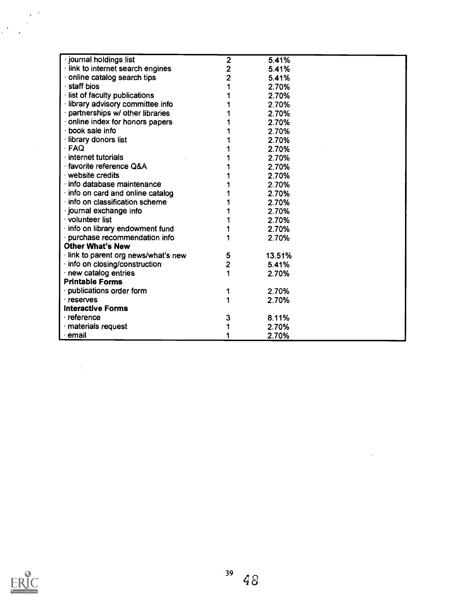| · journal holdings list                    | $\overline{2}$ | 5.41%  |  |
|--------------------------------------------|----------------|--------|--|
| link to internet search engines            | $\mathbf{2}$   | 5.41%  |  |
| online catalog search tips                 | $\overline{2}$ | 5.41%  |  |
| staff bios                                 |                | 2.70%  |  |
| · list of faculty publications             |                | 2.70%  |  |
| library advisory committee info            |                | 2.70%  |  |
| partnerships w/ other libraries            |                | 2.70%  |  |
| online index for honors papers             |                | 2.70%  |  |
| book sale info                             |                | 2.70%  |  |
| · library donors list                      |                | 2.70%  |  |
| $\cdot$ FAQ                                |                | 2.70%  |  |
| internet tutorials                         |                | 2.70%  |  |
| favorite reference Q&A                     |                | 2.70%  |  |
| website credits                            |                | 2.70%  |  |
| $\cdot$ info database maintenance          |                | 2.70%  |  |
| info on card and online catalog            |                | 2.70%  |  |
| info on classification scheme              |                | 2.70%  |  |
| · journal exchange info                    |                | 2.70%  |  |
| · volunteer list                           |                | 2.70%  |  |
| · info on library endowment fund           |                | 2.70%  |  |
| purchase recommendation info               |                | 2.70%  |  |
| <b>Other What's New</b>                    |                |        |  |
| $\cdot$ link to parent org news/what's new | 5              | 13.51% |  |
| · info on closing/construction             | $\overline{2}$ | 5.41%  |  |
| $\cdot$ new catalog entries                |                | 2.70%  |  |
| <b>Printable Forms</b>                     |                |        |  |
| publications order form                    |                | 2.70%  |  |
| · reserves                                 |                | 2.70%  |  |
| <b>Interactive Forms</b>                   |                |        |  |
| · reference                                | 3              | 8.11%  |  |
| materials request                          |                | 2.70%  |  |
| email                                      |                | 2.70%  |  |



 $\frac{1}{2}$ 

 $\sim$   $^{\circ}$ 

 $\mathcal{L}^{\text{max}}_{\text{max}}$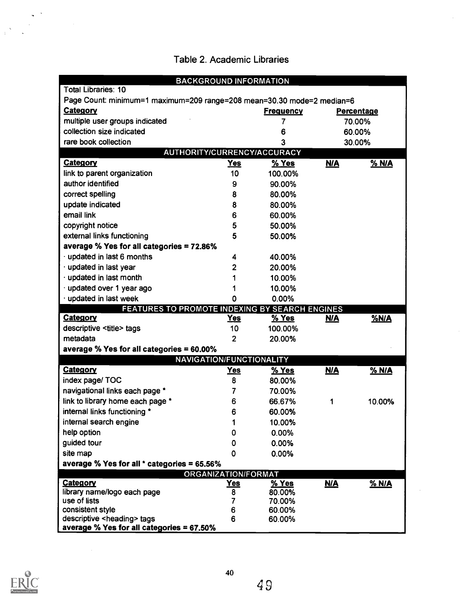### Table 2. Academic Libraries

| <b>BACKGROUND INFORMATION</b>                                          |            |                  |            |                   |  |  |
|------------------------------------------------------------------------|------------|------------------|------------|-------------------|--|--|
| <b>Total Libraries: 10</b>                                             |            |                  |            |                   |  |  |
| Page Count: minimum=1 maximum=209 range=208 mean=30.30 mode=2 median=6 |            |                  |            |                   |  |  |
| <b>Category</b>                                                        |            | <b>Frequency</b> |            | <b>Percentage</b> |  |  |
| multiple user groups indicated                                         |            | 7                |            | 70.00%            |  |  |
| collection size indicated                                              |            | 6                |            | 60.00%            |  |  |
| rare book collection                                                   |            | 3                |            | 30.00%            |  |  |
| AUTHORITY/CURRENCY/ACCURACY                                            |            |                  |            |                   |  |  |
| <b>Category</b>                                                        | <u>Yes</u> | % Yes            | <u>N/A</u> | <b>% N/A</b>      |  |  |
| link to parent organization                                            | 10         | 100.00%          |            |                   |  |  |
| author identified                                                      | 9          | 90.00%           |            |                   |  |  |
| correct spelling                                                       | 8          | 80.00%           |            |                   |  |  |
| update indicated                                                       | 8          | 80.00%           |            |                   |  |  |
| email link                                                             | 6          | 60.00%           |            |                   |  |  |
| copyright notice                                                       | 5          | 50.00%           |            |                   |  |  |
| external links functioning                                             | 5          | 50.00%           |            |                   |  |  |
| average % Yes for all categories = 72.86%                              |            |                  |            |                   |  |  |
| $\cdot$ updated in last 6 months                                       | 4          | 40.00%           |            |                   |  |  |
| · updated in last year                                                 | 2          | 20.00%           |            |                   |  |  |
| · updated in last month                                                |            | 10.00%           |            |                   |  |  |
| updated over 1 year ago                                                |            | 10.00%           |            |                   |  |  |
| updated in last week                                                   | 0          | 0.00%            |            |                   |  |  |
| FEATURES TO PROMOTE INDEXING BY SEARCH ENGINES                         |            |                  |            |                   |  |  |
| Category                                                               | <u>Yes</u> | % Yes            | <u>N/A</u> | %N/A              |  |  |
| descriptive <title> tags</title>                                       | 10         | 100.00%          |            |                   |  |  |
| metadata                                                               | 2          | 20.00%           |            |                   |  |  |
| average % Yes for all categories = $60.00\%$                           |            |                  |            |                   |  |  |
| NAVIGATION/FUNCTIONALITY                                               |            |                  |            |                   |  |  |
| <b>Category</b>                                                        | <u>Yes</u> | % Yes            | <b>N/A</b> | % N/A             |  |  |
| index page/ TOC                                                        | 8          | 80.00%           |            |                   |  |  |
| navigational links each page *                                         | 7          | 70.00%           |            |                   |  |  |
| link to library home each page *                                       | 6          | 66.67%           | 1          | 10.00%            |  |  |
| internal links functioning *                                           | 6          | 60.00%           |            |                   |  |  |
| internal search engine                                                 |            | 10.00%           |            |                   |  |  |
| help option                                                            | 0          | 0.00%            |            |                   |  |  |
| guided tour                                                            | 0          | 0.00%            |            |                   |  |  |
| site map                                                               | 0          | 0.00%            |            |                   |  |  |
| average % Yes for all * categories = 65.56%                            |            |                  |            |                   |  |  |
| <b>ORGANIZATION/FORMAT</b>                                             |            |                  |            |                   |  |  |
| Category                                                               | Yes        | % Yes            | <u>N/A</u> | % N/A             |  |  |
| library name/logo each page<br>use of lists                            | 8<br>7     | 80.00%<br>70.00% |            |                   |  |  |
| consistent style                                                       | 6          | 60.00%           |            |                   |  |  |
| descriptive <heading> tags</heading>                                   | 6          | 60.00%           |            |                   |  |  |
| average % Yes for all categories = 67.50%                              |            |                  |            |                   |  |  |



×,

 $\frac{1}{4}$   $\frac{8}{2}$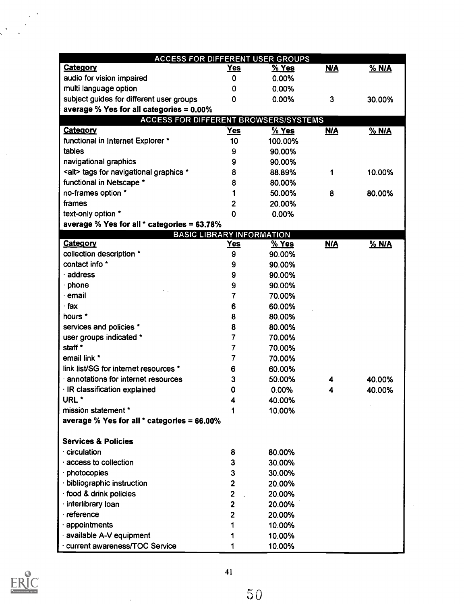| <b>ACCESS FOR DIFFERENT USER GROUPS</b>      |                  |         |            |              |
|----------------------------------------------|------------------|---------|------------|--------------|
| <b>Category</b>                              | <u>Yes</u>       | % Yes   | <u>N/A</u> | $%$ N/A      |
| audio for vision impaired                    | 0                | 0.00%   |            |              |
| multi language option                        | 0                | 0.00%   |            |              |
| subject guides for different user groups     | 0                | 0.00%   | 3          | 30.00%       |
| average % Yes for all categories = 0.00%     |                  |         |            |              |
| <b>ACCESS FOR DIFFERENT BROWSERS/SYSTEMS</b> |                  |         |            |              |
| Category                                     | <b>Yes</b>       | $%$ Yes | <u>N/A</u> | % N/A        |
| functional in Internet Explorer *            | 10               | 100.00% |            |              |
| tables                                       | 9                | 90.00%  |            |              |
| navigational graphics                        | 9                | 90.00%  |            |              |
| <alt> tags for navigational graphics *</alt> | 8                | 88.89%  | 1          | 10.00%       |
| functional in Netscape *                     | 8                | 80.00%  |            |              |
| no-frames option *                           |                  | 50.00%  | 8          | 80.00%       |
| frames                                       | 2                | 20.00%  |            |              |
| text-only option *                           | Ω                | 0.00%   |            |              |
| average % Yes for all * categories = 63.78%  |                  |         |            |              |
| <b>BASIC LIBRARY INFORMATION</b>             |                  |         |            |              |
| <b>Category</b>                              | <u>Yes</u>       | $%$ Yes | M/A        | <b>% N/A</b> |
| collection description *                     | $\boldsymbol{9}$ | 90.00%  |            |              |
| contact info *                               | 9                | 90.00%  |            |              |
| address                                      | 9                | 90.00%  |            |              |
| phone                                        | 9                | 90.00%  |            |              |
| email                                        | 7                | 70.00%  |            |              |
| · fax                                        | 6                | 60.00%  |            |              |
| hours *                                      | 8                | 80.00%  |            |              |
| services and policies *                      | 8                | 80.00%  |            |              |
| user groups indicated *                      | 7                | 70.00%  |            |              |
| staff *                                      | 7                | 70.00%  |            |              |
| email link *                                 | 7                | 70.00%  |            |              |
| link list/SG for internet resources *        | 6                | 60.00%  |            |              |
| · annotations for internet resources         | 3                | 50.00%  | 4          | 40.00%       |
| · IR classification explained                | 0                | 0.00%   | 4          | 40.00%       |
| URL <sup>*</sup>                             |                  | 40.00%  |            |              |
| mission statement *                          |                  | 10.00%  |            |              |
| average % Yes for all * categories = 66.00%  |                  |         |            |              |
| <b>Services &amp; Policies</b>               |                  |         |            |              |
| circulation                                  |                  | 80.00%  |            |              |
| access to collection                         | 8                |         |            |              |
|                                              | 3                | 30.00%  |            |              |
| photocopies                                  | 3                | 30.00%  |            |              |
| · bibliographic instruction                  | 2                | 20.00%  |            |              |
| · food & drink policies                      | 2                | 20.00%  |            |              |
| interlibrary loan                            | 2                | 20.00%  |            |              |
| reference                                    | 2                | 20.00%  |            |              |
| appointments                                 |                  | 10.00%  |            |              |
| · available A-V equipment                    |                  | 10.00%  |            |              |
| current awareness/TOC Service                |                  | 10.00%  |            |              |



 $\frac{1}{2}$ 

 $\ddot{\phantom{a}}$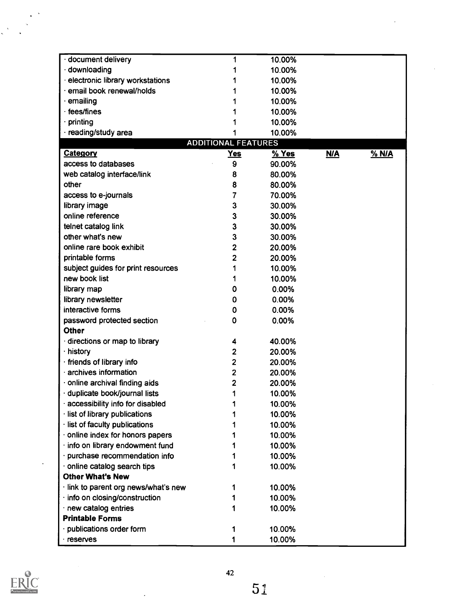| document delivery                  | 1                          | 10.00% |            |         |  |
|------------------------------------|----------------------------|--------|------------|---------|--|
| · downloading                      |                            | 10.00% |            |         |  |
| · electronic library workstations  |                            | 10.00% |            |         |  |
| email book renewal/holds           |                            | 10.00% |            |         |  |
| emailing                           |                            | 10.00% |            |         |  |
| fees/fines                         |                            | 10.00% |            |         |  |
| printing                           |                            | 10.00% |            |         |  |
| · reading/study area               |                            | 10.00% |            |         |  |
|                                    | <b>ADDITIONAL FEATURES</b> |        |            |         |  |
| Category                           | <b>Yes</b>                 | % Yes  | <b>N/A</b> | $%$ N/A |  |
| access to databases                | 9                          | 90.00% |            |         |  |
| web catalog interface/link         | 8                          | 80.00% |            |         |  |
| other                              | 8                          | 80.00% |            |         |  |
| access to e-journals               | 7                          | 70.00% |            |         |  |
| library image                      | 3                          | 30.00% |            |         |  |
| online reference                   | 3                          | 30.00% |            |         |  |
| telnet catalog link                | 3                          | 30.00% |            |         |  |
| other what's new                   | 3                          | 30.00% |            |         |  |
| online rare book exhibit           | 2                          | 20.00% |            |         |  |
| printable forms                    | 2                          | 20.00% |            |         |  |
| subject guides for print resources | 1                          | 10.00% |            |         |  |
| new book list                      |                            | 10.00% |            |         |  |
| library map                        | 0                          | 0.00%  |            |         |  |
| library newsletter                 | 0                          | 0.00%  |            |         |  |
| interactive forms                  | 0                          | 0.00%  |            |         |  |
| password protected section         | 0                          | 0.00%  |            |         |  |
| <b>Other</b>                       |                            |        |            |         |  |
| directions or map to library       | 4                          | 40.00% |            |         |  |
| history                            | 2                          | 20.00% |            |         |  |
| friends of library info            | 2                          | 20.00% |            |         |  |
| archives information               | 2                          | 20.00% |            |         |  |
| online archival finding aids       | 2                          | 20.00% |            |         |  |
| duplicate book/journal lists       | 1                          | 10.00% |            |         |  |
| accessibility info for disabled    |                            | 10.00% |            |         |  |
| list of library publications       |                            | 10.00% |            |         |  |
| list of faculty publications       |                            | 10.00% |            |         |  |
| online index for honors papers     |                            | 10.00% |            |         |  |
| info on library endowment fund     |                            | 10.00% |            |         |  |
| purchase recommendation info       |                            | 10.00% |            |         |  |
| online catalog search tips         |                            | 10.00% |            |         |  |
| <b>Other What's New</b>            |                            |        |            |         |  |
| link to parent org news/what's new |                            | 10.00% |            |         |  |
| info on closing/construction       |                            | 10.00% |            |         |  |
| new catalog entries                |                            | 10.00% |            |         |  |
| <b>Printable Forms</b>             |                            |        |            |         |  |
| publications order form            | 1                          | 10.00% |            |         |  |
| reserves                           | 1                          | 10.00% |            |         |  |



51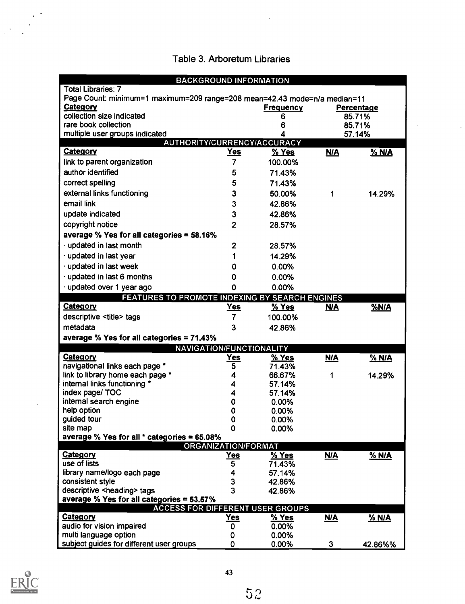#### Table 3. Arboretum Libraries

 $\mathcal{L}_{\text{max}}$ 

| <b>BACKGROUND INFORMATION</b>                                             |                            |                  |            |                   |  |  |
|---------------------------------------------------------------------------|----------------------------|------------------|------------|-------------------|--|--|
| <b>Total Libraries: 7</b>                                                 |                            |                  |            |                   |  |  |
| Page Count: minimum=1 maximum=209 range=208 mean=42.43 mode=n/a median=11 |                            |                  |            |                   |  |  |
| <b>Category</b>                                                           |                            | <b>Frequency</b> |            | <b>Percentage</b> |  |  |
| collection size indicated                                                 |                            | 6                |            | 85.71%            |  |  |
| rare book collection                                                      |                            | 6                |            | 85.71%            |  |  |
| multiple user groups indicated<br>AUTHORITY/CURRENCY/ACCURACY             |                            | 4                |            | 57.14%            |  |  |
| Category                                                                  | <b>Yes</b>                 | % Yes            | <b>N/A</b> | $%$ N/A           |  |  |
| link to parent organization                                               | 7                          | 100.00%          |            |                   |  |  |
| author identified                                                         | 5                          | 71.43%           |            |                   |  |  |
| correct spelling                                                          | 5                          | 71.43%           |            |                   |  |  |
| external links functioning                                                |                            |                  |            |                   |  |  |
|                                                                           | 3                          | 50.00%           | 1          | 14.29%            |  |  |
| email link                                                                | 3                          | 42.86%           |            |                   |  |  |
| update indicated                                                          | 3                          | 42.86%           |            |                   |  |  |
| copyright notice                                                          | $\overline{2}$             | 28.57%           |            |                   |  |  |
| average % Yes for all categories = 58.16%                                 |                            |                  |            |                   |  |  |
| · updated in last month                                                   | 2                          | 28.57%           |            |                   |  |  |
| · updated in last year                                                    | 1                          | 14.29%           |            |                   |  |  |
| updated in last week                                                      | 0                          | 0.00%            |            |                   |  |  |
| updated in last 6 months                                                  | 0                          | 0.00%            |            |                   |  |  |
| updated over 1 year ago                                                   | 0                          | 0.00%            |            |                   |  |  |
| FEATURES TO PROMOTE INDEXING BY SEARCH ENGINES                            |                            |                  |            |                   |  |  |
| <b>Category</b>                                                           | <u>Yes</u>                 | $%$ Yes          | M/A        | <b>%N/A</b>       |  |  |
| descriptive <title> tags</title>                                          | $\overline{7}$             | 100.00%          |            |                   |  |  |
| metadata                                                                  | 3                          | 42.86%           |            |                   |  |  |
| average % Yes for all categories = 71.43%                                 |                            |                  |            |                   |  |  |
|                                                                           | NAVIGATION/FUNCTIONALITY   |                  |            |                   |  |  |
| Category                                                                  | Yes                        | % Yes            | M/A        | $%$ N/A           |  |  |
| navigational links each page *                                            | 5                          | 71.43%           |            |                   |  |  |
| link to library home each page *                                          | 4                          | 66.67%           | 1          | 14.29%            |  |  |
| internal links functioning *                                              |                            | 57.14%           |            |                   |  |  |
| index page/ TOC                                                           |                            | 57.14%           |            |                   |  |  |
| internal search engine<br>help option                                     | 0                          | 0.00%            |            |                   |  |  |
| guided tour                                                               | Ω                          | 0.00%<br>0.00%   |            |                   |  |  |
| site map                                                                  | 0                          | 0.00%            |            |                   |  |  |
| average % Yes for all * categories = 65.08%                               |                            |                  |            |                   |  |  |
|                                                                           | <b>ORGANIZATION/FORMAT</b> |                  |            |                   |  |  |
| Category                                                                  | <b>Yes</b>                 | % Yes            | <b>N/A</b> | % N/A             |  |  |
| use of lists                                                              | 5                          | 71.43%           |            |                   |  |  |
| library name/logo each page                                               |                            | 57.14%           |            |                   |  |  |
| consistent style                                                          | 3                          | 42.86%           |            |                   |  |  |
| descriptive <heading> tags</heading>                                      | 3                          | 42.86%           |            |                   |  |  |
| average % Yes for all categories = 53.57%                                 |                            |                  |            |                   |  |  |
| <b>ACCESS FOR DIFFERENT USER GROUPS</b><br><b>Category</b>                | <u>Yes</u>                 | $%$ Yes          | <u>N/A</u> | % N/A             |  |  |
| audio for vision impaired                                                 | 0                          | 0.00%            |            |                   |  |  |
| multi language option                                                     | 0                          | 0.00%            |            |                   |  |  |
| subject guides for different user groups                                  | $\mathbf 0$                | 0.00%            | 3          | 42.86%%           |  |  |



 $\ddot{\phantom{a}}$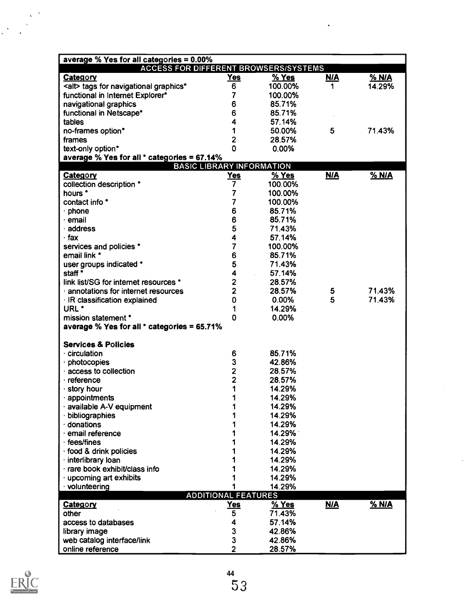| average % Yes for all categories = 0.00%    |                            |              |            |              |  |  |  |
|---------------------------------------------|----------------------------|--------------|------------|--------------|--|--|--|
| ACCESS FOR DIFFERENT BROWSERS/SYSTEMS       |                            |              |            |              |  |  |  |
| <b>Category</b>                             | Yes                        | $%$ Yes      | <u>N/A</u> | <u>% N/A</u> |  |  |  |
| <alt> tags for navigational graphics*</alt> | 6                          | 100.00%      | 1          | 14.29%       |  |  |  |
| functional in Internet Explorer*            | 7                          | 100.00%      |            |              |  |  |  |
| navigational graphics                       | 6                          | 85.71%       |            |              |  |  |  |
| functional in Netscape*                     | 6                          | 85.71%       |            |              |  |  |  |
| tables                                      | 4                          | 57.14%       |            |              |  |  |  |
| no-frames option*                           | 1                          | 50.00%       | 5          | 71.43%       |  |  |  |
| frames                                      | 2                          | 28.57%       |            |              |  |  |  |
| text-only option*                           | 0                          | 0.00%        |            |              |  |  |  |
| average % Yes for all * categories = 67.14% |                            |              |            |              |  |  |  |
| <b>BASIC LIBRARY INFORMATION</b>            |                            |              |            |              |  |  |  |
| <b>Category</b>                             | <u>Yes</u>                 | <u>% Yes</u> | <b>N/A</b> | % N/A        |  |  |  |
| collection description *                    | 7                          | 100.00%      |            |              |  |  |  |
| hours *                                     | 7                          | 100.00%      |            |              |  |  |  |
| contact info *                              | 7                          | 100.00%      |            |              |  |  |  |
| $\cdot$ phone                               | 6                          | 85.71%       |            |              |  |  |  |
| · email                                     | 6                          | 85.71%       |            |              |  |  |  |
| $\cdot$ address                             | 5                          | 71.43%       |            |              |  |  |  |
| · fax                                       | 4                          | 57.14%       |            |              |  |  |  |
| services and policies *                     | 7                          | 100.00%      |            |              |  |  |  |
| email link *                                | 6                          | 85.71%       |            |              |  |  |  |
| user groups indicated *                     | 5                          | 71.43%       |            |              |  |  |  |
| staff *                                     | $\overline{\mathbf{4}}$    | 57.14%       |            |              |  |  |  |
| link list/SG for internet resources *       | $\overline{\mathbf{2}}$    | 28.57%       |            |              |  |  |  |
| $\cdot$ annotations for internet resources  | $\overline{2}$             | 28.57%       | 5          | 71.43%       |  |  |  |
| · IR classification explained               | $\mathbf 0$                | 0.00%        | 5          | 71.43%       |  |  |  |
| URL <sup>*</sup>                            | 1                          | 14.29%       |            |              |  |  |  |
| mission statement *                         | 0                          | 0.00%        |            |              |  |  |  |
| average % Yes for all * categories = 65.71% |                            |              |            |              |  |  |  |
|                                             |                            |              |            |              |  |  |  |
| <b>Services &amp; Policies</b>              |                            |              |            |              |  |  |  |
| $\cdot$ circulation                         | 6                          | 85.71%       |            |              |  |  |  |
| photocopies                                 | 3                          | 42.86%       |            |              |  |  |  |
| access to collection                        | $\overline{2}$             | 28.57%       |            |              |  |  |  |
| $\cdot$ reference                           | $\overline{2}$             | 28.57%       |            |              |  |  |  |
| story hour                                  | 1                          | 14.29%       |            |              |  |  |  |
| appointments                                | 1                          | 14.29%       |            |              |  |  |  |
| · available A-V equipment                   | 1                          | 14.29%       |            |              |  |  |  |
| · bibliographies                            |                            | 14.29%       |            |              |  |  |  |
| $\cdot$ donations                           |                            | 14.29%       |            |              |  |  |  |
| email reference                             |                            | 14.29%       |            |              |  |  |  |
| · fees/fines                                |                            | 14.29%       |            |              |  |  |  |
| · food & drink policies                     |                            | 14.29%       |            |              |  |  |  |
| · interlibrary loan                         |                            | 14.29%       |            |              |  |  |  |
| · rare book exhibit/class info              |                            | 14.29%       |            |              |  |  |  |
| $\cdot$ upcoming art exhibits               |                            | 14.29%       |            |              |  |  |  |
| · volunteering                              |                            | 14.29%       |            |              |  |  |  |
|                                             | <b>ADDITIONAL FEATURES</b> |              |            |              |  |  |  |
| <b>Category</b>                             | <b>Yes</b>                 | <u>% Yes</u> | <b>N/A</b> | % N/A        |  |  |  |
| other                                       | 5                          | 71.43%       |            |              |  |  |  |
| access to databases                         | 4                          | 57.14%       |            |              |  |  |  |
| library image                               | 3                          | 42.86%       |            |              |  |  |  |
| web catalog interface/link                  | 3                          | 42.86%       |            |              |  |  |  |
| online reference                            |                            | 28.57%       |            |              |  |  |  |



 $\mathbb{R}^2$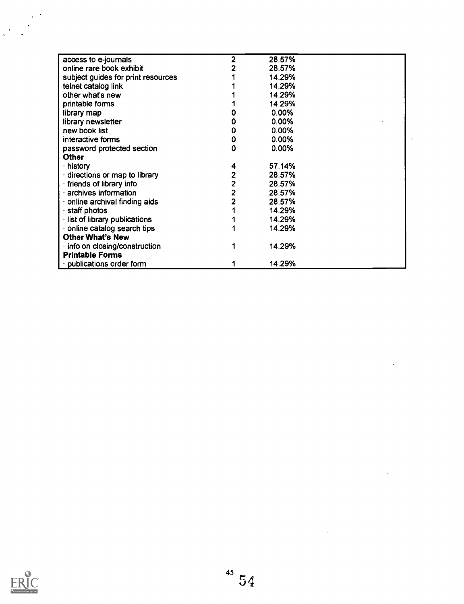| access to e-journals                 | 2 | 28.57%   |  |
|--------------------------------------|---|----------|--|
| online rare book exhibit             |   | 28.57%   |  |
| subject guides for print resources   |   | 14.29%   |  |
| telnet catalog link                  |   | 14.29%   |  |
| other what's new                     |   | 14.29%   |  |
| printable forms                      |   | 14.29%   |  |
| library map                          |   | $0.00\%$ |  |
| library newsletter                   |   | 0.00%    |  |
| new book list                        | 0 | $0.00\%$ |  |
| interactive forms                    | 0 | 0.00%    |  |
| password protected section           | 0 | 0.00%    |  |
| Other                                |   |          |  |
| $\cdot$ history                      | 4 | 57.14%   |  |
| $\cdot$ directions or map to library | 2 | 28.57%   |  |
| · friends of library info            | 2 | 28.57%   |  |
| $\cdot$ archives information         | 2 | 28.57%   |  |
| $\cdot$ online archival finding aids |   | 28.57%   |  |
| $\cdot$ staff photos                 |   | 14.29%   |  |
| · list of library publications       |   | 14.29%   |  |
| online catalog search tips           |   | 14.29%   |  |
| <b>Other What's New</b>              |   |          |  |
| · info on closing/construction       |   | 14.29%   |  |
| <b>Printable Forms</b>               |   |          |  |
| $\cdot$ publications order form      |   | 14.29%   |  |



 $\mathcal{L}^{\mathcal{L}}$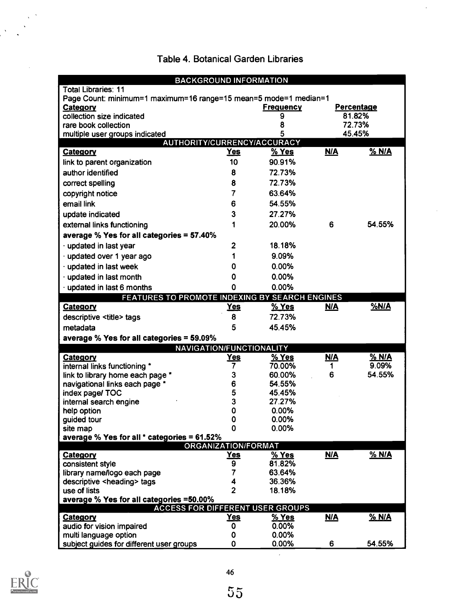### Table 4. Botanical Garden Libraries

 $\ddot{\phantom{0}}$ 

|                                                                  | <b>BACKGROUND INFORMATION</b> |                  |            |                   |
|------------------------------------------------------------------|-------------------------------|------------------|------------|-------------------|
| <b>Total Libraries: 11</b>                                       |                               |                  |            |                   |
| Page Count: minimum=1 maximum=16 range=15 mean=5 mode=1 median=1 |                               |                  |            |                   |
| <b>Category</b>                                                  |                               | <b>Frequency</b> |            | <b>Percentage</b> |
| collection size indicated                                        |                               | 9                |            | 81.82%            |
| rare book collection                                             |                               | 8                |            | 72.73%            |
| multiple user groups indicated<br>AUTHORITY/CURRENCY/ACCURACY    |                               | 5                |            | 45.45%            |
| Category                                                         | Yes                           | % Yes            | <b>N/A</b> | % N/A             |
| link to parent organization                                      | 10                            | 90.91%           |            |                   |
| author identified                                                |                               |                  |            |                   |
|                                                                  | 8                             | 72.73%           |            |                   |
| correct spelling                                                 | 8                             | 72.73%           |            |                   |
| copyright notice                                                 | 7                             | 63.64%           |            |                   |
| email link                                                       | 6                             | 54.55%           |            |                   |
| update indicated                                                 | 3                             | 27.27%           |            |                   |
| external links functioning                                       | 1                             | 20.00%           | 6          | 54.55%            |
| average % Yes for all categories = 57.40%                        |                               |                  |            |                   |
| · updated in last year                                           | 2                             | 18.18%           |            |                   |
| · updated over 1 year ago                                        |                               | 9.09%            |            |                   |
| updated in last week                                             | 0                             | 0.00%            |            |                   |
| updated in last month                                            | 0                             | 0.00%            |            |                   |
| updated in last 6 months                                         | ٥                             | 0.00%            |            |                   |
| FEATURES TO PROMOTE INDEXING BY SEARCH ENGINES                   |                               |                  |            |                   |
| Category                                                         | <u>Yes</u>                    | % Yes            | <u>N/A</u> | %N/A              |
| descriptive <title> tags</title>                                 | 8                             | 72.73%           |            |                   |
| metadata                                                         | 5                             | 45.45%           |            |                   |
|                                                                  |                               |                  |            |                   |
| average % Yes for all categories = 59.09%                        |                               |                  |            |                   |
|                                                                  | NAVIGATION/FUNCTIONALITY      | % Yes            | <b>N/A</b> | <u>% N/A</u>      |
| Category<br>internal links functioning *                         | <u>Yes</u><br>7               | 70.00%           | 1          | 9.09%             |
| link to library home each page *                                 | 3                             | 60.00%           | 6          | 54.55%            |
| navigational links each page *                                   | 6                             | 54.55%           |            |                   |
| index page/ TOC                                                  | 5                             | 45.45%           |            |                   |
| internal search engine                                           | 3                             | 27.27%           |            |                   |
| help option                                                      | 0                             | 0.00%            |            |                   |
| guided tour                                                      | Ω                             | 0.00%            |            |                   |
| site map                                                         | 0                             | 0.00%            |            |                   |
| average % Yes for all * categories = 61.52%                      |                               |                  |            |                   |
|                                                                  | <b>ORGANIZATION/FORMAT</b>    |                  |            |                   |
| Category                                                         | <u>Yes</u>                    | % Yes            | <u>N/A</u> | % N/A             |
| consistent style                                                 | 9                             | 81.82%           |            |                   |
| library name/logo each page                                      |                               | 63.64%           |            |                   |
| descriptive <heading> tags<br/>use of lists</heading>            | 4<br>$\overline{2}$           | 36.36%<br>18.18% |            |                   |
| average % Yes for all categories =50.00%                         |                               |                  |            |                   |
| <b>ACCESS FOR DIFFERENT USER GROUPS</b>                          |                               |                  |            |                   |
| Category                                                         | <u>Yes</u>                    | % Yes            | <b>N/A</b> | % N/A             |
| audio for vision impaired                                        | 0                             | 0.00%            |            |                   |
| multi language option                                            | 0                             | 0.00%            |            |                   |
| subject guides for different user groups                         | 0                             | 0.00%            | 6          | 54.55%            |



 $\bar{\beta}$ 

 $\mathcal{L}^{\mathcal{L}}$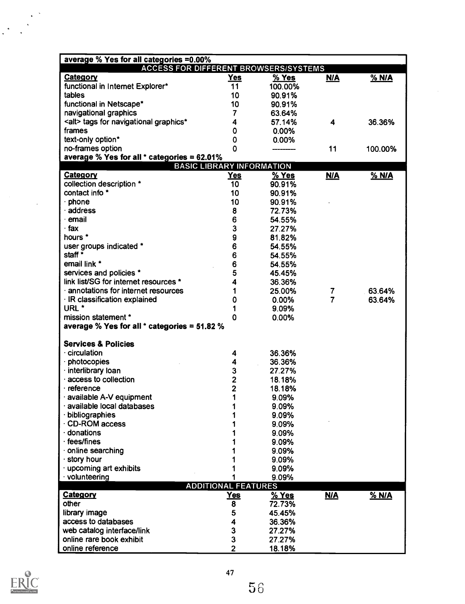| average % Yes for all categories =0.00%<br><b>ACCESS FOR DIFFERENT BROWSERS/SYSTEMS</b> |                                  |         |            |         |
|-----------------------------------------------------------------------------------------|----------------------------------|---------|------------|---------|
| <b>Category</b>                                                                         | <u>Yes</u>                       | % Yes   | <u>N/A</u> | % N/A   |
| functional in Internet Explorer*                                                        | 11                               | 100.00% |            |         |
| tables                                                                                  | 10                               | 90.91%  |            |         |
| functional in Netscape*                                                                 | 10                               | 90.91%  |            |         |
| navigational graphics                                                                   | 7                                | 63.64%  |            |         |
| <alt> tags for navigational graphics*</alt>                                             | 4                                | 57.14%  | 4          | 36.36%  |
| frames                                                                                  | 0                                | 0.00%   |            |         |
| text-only option*                                                                       | 0                                | 0.00%   |            |         |
| no-frames option                                                                        | ٥                                |         | 11         |         |
| average % Yes for all * categories = 62.01%                                             |                                  |         |            | 100.00% |
|                                                                                         | <b>BASIC LIBRARY INFORMATION</b> |         |            |         |
| Category                                                                                | <u>Yes</u>                       | % Yes   | <b>N/A</b> | % N/A   |
| collection description *                                                                | 10 <sub>1</sub>                  | 90.91%  |            |         |
| contact info *                                                                          | 10                               | 90.91%  |            |         |
| phone                                                                                   | 10                               | 90.91%  |            |         |
| $\cdot$ address                                                                         | 8                                | 72.73%  |            |         |
| · email                                                                                 | 6                                | 54.55%  |            |         |
| ∙ fax                                                                                   | 3                                | 27.27%  |            |         |
| hours *                                                                                 | 9                                | 81.82%  |            |         |
| user groups indicated *                                                                 | 6                                | 54.55%  |            |         |
| staff <sup>*</sup>                                                                      | 6                                | 54.55%  |            |         |
| email link *                                                                            | 6                                | 54.55%  |            |         |
| services and policies *                                                                 | 5                                | 45.45%  |            |         |
| link list/SG for internet resources *                                                   | 4                                | 36.36%  |            |         |
| · annotations for internet resources                                                    | 1                                | 25.00%  | 7          | 63.64%  |
| · IR classification explained                                                           | 0                                | 0.00%   | 7          | 63.64%  |
| URL <sup>*</sup>                                                                        | 1                                | 9.09%   |            |         |
| mission statement *                                                                     | ٥                                | 0.00%   |            |         |
| average % Yes for all $*$ categories = 51.82 %                                          |                                  |         |            |         |
|                                                                                         |                                  |         |            |         |
| <b>Services &amp; Policies</b>                                                          |                                  |         |            |         |
| $\cdot$ circulation                                                                     | 4                                | 36.36%  |            |         |
| photocopies                                                                             | 4                                | 36.36%  |            |         |
| interlibrary loan                                                                       | 3                                | 27.27%  |            |         |
| access to collection                                                                    | $\overline{2}$                   | 18.18%  |            |         |
| $\cdot$ reference                                                                       | 2                                | 18.18%  |            |         |
| available A-V equipment                                                                 | 1                                | 9.09%   |            |         |
| available local databases                                                               |                                  | 9.09%   |            |         |
| bibliographies                                                                          |                                  | 9.09%   |            |         |
| <b>CD-ROM</b> access                                                                    |                                  | 9.09%   |            |         |
| donations                                                                               |                                  | 9.09%   |            |         |
| fees/fines                                                                              |                                  | 9.09%   |            |         |
| online searching                                                                        |                                  | 9.09%   |            |         |
| story hour                                                                              |                                  | 9.09%   |            |         |
| upcoming art exhibits                                                                   |                                  | 9.09%   |            |         |
| · volunteering                                                                          |                                  | 9.09%   |            |         |
|                                                                                         | <b>ADDITIONAL FEATURES</b>       |         |            |         |
| Category                                                                                | Yes                              | % Yes   | <b>N/A</b> | % N/A   |
| other                                                                                   | 8                                | 72.73%  |            |         |
| library image                                                                           | 5                                | 45.45%  |            |         |
| access to databases                                                                     | 4                                | 36.36%  |            |         |
| web catalog interface/link                                                              | 3                                | 27.27%  |            |         |
| online rare book exhibit                                                                | 3                                | 27.27%  |            |         |
| online reference                                                                        | $\overline{2}$                   | 18.18%  |            |         |

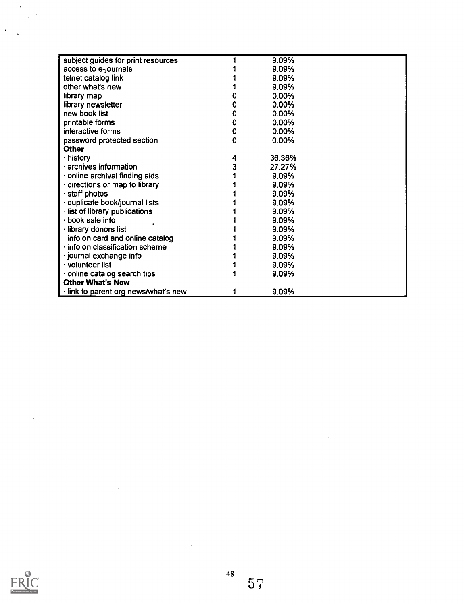| subject guides for print resources    |   | 9.09%  |  |
|---------------------------------------|---|--------|--|
| access to e-journals                  |   | 9.09%  |  |
| telnet catalog link                   |   | 9.09%  |  |
| other what's new                      |   | 9.09%  |  |
| library map                           |   | 0.00%  |  |
| library newsletter                    |   | 0.00%  |  |
| new book list                         |   | 0.00%  |  |
| printable forms                       | 0 | 0.00%  |  |
| interactive forms                     | 0 | 0.00%  |  |
| password protected section            | n | 0.00%  |  |
| <b>Other</b>                          |   |        |  |
| $\cdot$ history                       | 4 | 36.36% |  |
| archives information                  |   | 27.27% |  |
| $\cdot$ online archival finding aids  |   | 9.09%  |  |
| $\cdot$ directions or map to library  |   | 9.09%  |  |
| · staff photos                        |   | 9.09%  |  |
| · duplicate book/journal lists        |   | 9.09%  |  |
| · list of library publications        |   | 9.09%  |  |
| · book sale info                      |   | 9.09%  |  |
| · library donors list                 |   | 9.09%  |  |
| info on card and online catalog       |   | 9.09%  |  |
| $\cdot$ info on classification scheme |   | 9.09%  |  |
| · journal exchange info               |   | 9.09%  |  |
| $\cdot$ volunteer list                |   | 9.09%  |  |
| online catalog search tips            |   | 9.09%  |  |
| <b>Other What's New</b>               |   |        |  |
| · link to parent org news/what's new  |   | 9.09%  |  |

 $\mathcal{L}^{\text{max}}_{\text{max}}$  ,  $\mathcal{L}^{\text{max}}_{\text{max}}$ 

 $\hat{\mathcal{A}}$ 



Ċ,

 $\hat{\boldsymbol{\beta}}$ 

 $\label{eq:2.1} \frac{1}{\sqrt{2\pi}}\sum_{i=1}^n\frac{1}{\sqrt{2\pi}}\sum_{i=1}^n\frac{1}{\sqrt{2\pi}}\sum_{i=1}^n\frac{1}{\sqrt{2\pi}}\sum_{i=1}^n\frac{1}{\sqrt{2\pi}}\sum_{i=1}^n\frac{1}{\sqrt{2\pi}}\sum_{i=1}^n\frac{1}{\sqrt{2\pi}}\sum_{i=1}^n\frac{1}{\sqrt{2\pi}}\sum_{i=1}^n\frac{1}{\sqrt{2\pi}}\sum_{i=1}^n\frac{1}{\sqrt{2\pi}}\sum_{i=1}^n\$ 

 $\hat{\mathcal{A}}$ 

 $\mathcal{L}^{\mathcal{A}}$ 

 $\mathcal{A}^{\mathcal{A}}$ 

 $\label{eq:2.1} \frac{1}{\sqrt{2}}\sum_{i=1}^n\frac{1}{\sqrt{2}}\left(\frac{1}{\sqrt{2}}\sum_{i=1}^n\frac{1}{\sqrt{2}}\right)^2\left(\frac{1}{\sqrt{2}}\sum_{i=1}^n\frac{1}{\sqrt{2}}\right)^2.$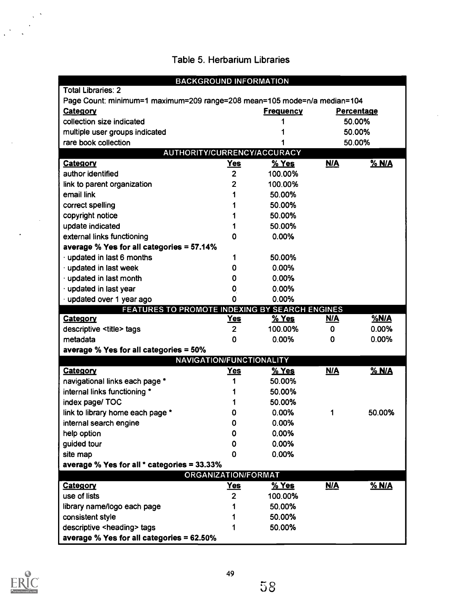## Table 5. Herbarium Libraries

| <b>BACKGROUND INFORMATION</b>                                            |                         |                  |            |                   |
|--------------------------------------------------------------------------|-------------------------|------------------|------------|-------------------|
| <b>Total Libraries: 2</b>                                                |                         |                  |            |                   |
| Page Count: minimum=1 maximum=209 range=208 mean=105 mode=n/a median=104 |                         |                  |            |                   |
| <b>Category</b>                                                          |                         | <b>Frequency</b> |            | <b>Percentage</b> |
| collection size indicated                                                |                         |                  |            | 50.00%            |
| multiple user groups indicated                                           |                         |                  |            | 50.00%            |
| rare book collection                                                     |                         |                  |            | 50.00%            |
| AUTHORITY/CURRENCY/ACCURACY                                              |                         |                  |            |                   |
| <b>Category</b>                                                          | <b>Yes</b>              | % Yes            | <b>N/A</b> | % N/A             |
| author identified                                                        | $\mathbf{2}$            | 100.00%          |            |                   |
| link to parent organization                                              | 2                       | 100.00%          |            |                   |
| email link                                                               | 1                       | 50.00%           |            |                   |
| correct spelling                                                         | 1                       | 50.00%           |            |                   |
| copyright notice                                                         |                         | 50.00%           |            |                   |
| update indicated                                                         | 1                       | 50.00%           |            |                   |
| external links functioning                                               | 0                       | 0.00%            |            |                   |
| average % Yes for all categories = 57.14%                                |                         |                  |            |                   |
| $\cdot$ updated in last 6 months                                         | 1                       | 50.00%           |            |                   |
| · updated in last week                                                   | 0                       | 0.00%            |            |                   |
| updated in last month                                                    | 0                       | 0.00%            |            |                   |
| · updated in last year                                                   | 0                       | 0.00%            |            |                   |
| · updated over 1 year ago                                                | 0                       | 0.00%            |            |                   |
| FEATURES TO PROMOTE INDEXING BY SEARCH ENGINES                           |                         |                  |            |                   |
| Category                                                                 | Yes                     | <u>% Yes</u>     | <u>N/A</u> | $%$ N/A           |
| descriptive <title> tags</title>                                         | $\overline{2}$          | 100.00%          | 0          | 0.00%             |
| metadata                                                                 | ٥                       | 0.00%            | Ω          | 0.00%             |
| average % Yes for all categories = 50%                                   |                         |                  |            |                   |
| NAVIGATION/FUNCTIONALITY                                                 |                         |                  |            |                   |
| Category                                                                 | <u>Yes</u>              | % Yes            | <b>N/A</b> | % N/A             |
| navigational links each page *                                           | 1                       | 50.00%           |            |                   |
| internal links functioning *                                             |                         | 50.00%           |            |                   |
| index page/ TOC                                                          |                         | 50.00%           |            |                   |
| link to library home each page *                                         | 0                       | 0.00%            | 1          | 50.00%            |
| internal search engine                                                   | υ                       | 0.00%            |            |                   |
| help option                                                              | 0                       | 0.00%            |            |                   |
| guided tour                                                              | 0                       | 0.00%            |            |                   |
| site map                                                                 | ٥                       | 0.00%            |            |                   |
| average % Yes for all * categories = 33.33%                              |                         |                  |            |                   |
|                                                                          | ORGANIZATION/FORMAT     |                  |            |                   |
| Category                                                                 | <u>Yes</u>              | $%$ Yes          | N/A        | % N/A             |
| use of lists                                                             | $\overline{\mathbf{2}}$ | 100.00%          |            |                   |
| library name/logo each page                                              |                         | 50.00%           |            |                   |
| consistent style                                                         |                         | 50.00%           |            |                   |
| descriptive <heading> tags</heading>                                     |                         | 50.00%           |            |                   |
| average % Yes for all categories = 62.50%                                |                         |                  |            |                   |



58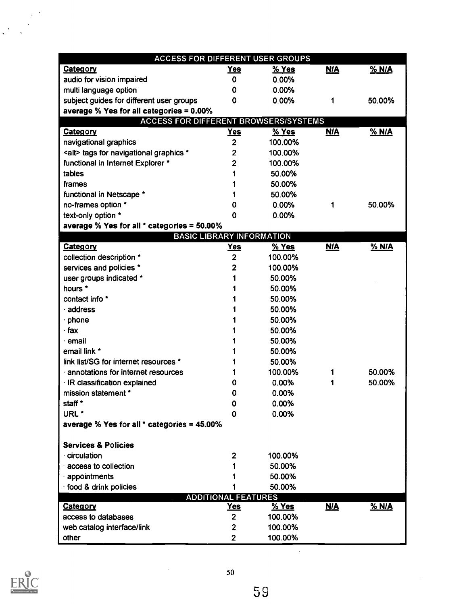| ACCESS FOR DIFFERENT USER GROUPS             |                            |         |            |         |
|----------------------------------------------|----------------------------|---------|------------|---------|
| <b>Category</b>                              | <u>Yes</u>                 | $%$ Yes | <b>N/A</b> | % N/A   |
| audio for vision impaired                    | 0                          | 0.00%   |            |         |
| multi language option                        | 0                          | 0.00%   |            |         |
| subject guides for different user groups     | 0                          | 0.00%   | 1          | 50.00%  |
| average % Yes for all categories = 0.00%     |                            |         |            |         |
| <b>ACCESS FOR DIFFERENT BROWSERS/SYSTEMS</b> |                            |         |            |         |
| Category                                     | <u>Yes</u>                 | % Yes   | <u>N/A</u> | $%$ N/A |
| navigational graphics                        | $\overline{2}$             | 100.00% |            |         |
| <alt> tags for navigational graphics *</alt> | 2                          | 100.00% |            |         |
| functional in Internet Explorer *            | $\overline{2}$             | 100.00% |            |         |
| tables                                       |                            | 50.00%  |            |         |
| frames                                       |                            | 50.00%  |            |         |
| functional in Netscape *                     |                            | 50.00%  |            |         |
| no-frames option *                           | 0                          | 0.00%   | 1          | 50.00%  |
| text-only option *                           | 0                          | 0.00%   |            |         |
| average % Yes for all * categories = 50.00%  |                            |         |            |         |
| <b>BASIC LIBRARY INFORMATION</b>             |                            |         |            |         |
| <b>Category</b>                              | <u>Yes</u>                 | $%$ Yes | <b>N/A</b> | % N/A   |
| collection description *                     | $\overline{\mathbf{2}}$    | 100.00% |            |         |
| services and policies *                      | 2                          | 100.00% |            |         |
| user groups indicated *                      |                            | 50.00%  |            |         |
| hours *                                      |                            | 50.00%  |            |         |
| contact info *                               |                            | 50.00%  |            |         |
| address                                      |                            | 50.00%  |            |         |
| phone                                        |                            | 50.00%  |            |         |
| fax                                          |                            | 50.00%  |            |         |
| · email                                      |                            | 50.00%  |            |         |
| email link *                                 |                            | 50.00%  |            |         |
| link list/SG for internet resources *        |                            | 50.00%  |            |         |
| · annotations for internet resources         |                            | 100.00% | 1          | 50.00%  |
| · IR classification explained                | 0                          | 0.00%   | 1          | 50.00%  |
| mission statement *                          | 0                          | 0.00%   |            |         |
| staff *                                      | 0                          | 0.00%   |            |         |
| URL <sup>*</sup>                             | 0                          | 0.00%   |            |         |
| average % Yes for all * categories = 45.00%  |                            |         |            |         |
| <b>Services &amp; Policies</b>               |                            |         |            |         |
| circulation                                  | 2                          | 100.00% |            |         |
| access to collection                         |                            | 50.00%  |            |         |
| appointments                                 |                            | 50.00%  |            |         |
| food & drink policies                        |                            | 50.00%  |            |         |
|                                              | <b>ADDITIONAL FEATURES</b> |         |            |         |
| <b>Category</b>                              | <u>Yes</u>                 | $%$ Yes | <b>N/A</b> | % N/A   |
| access to databases                          | $\overline{2}$             | 100.00% |            |         |
| web catalog interface/link                   | 2                          | 100.00% |            |         |
| other                                        | 2                          | 100.00% |            |         |

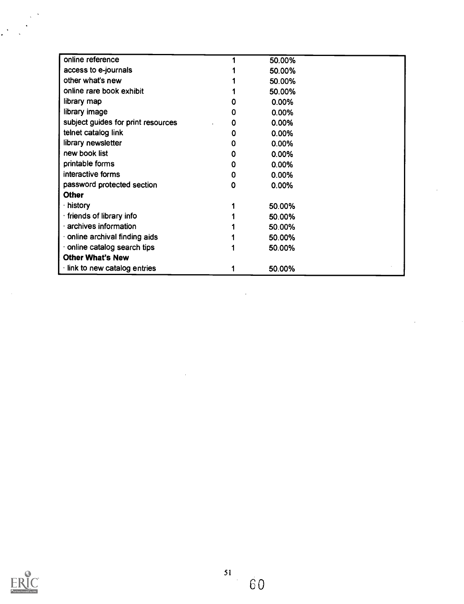| online reference                    |   | 50.00% |
|-------------------------------------|---|--------|
| access to e-journals                |   | 50.00% |
| other what's new                    |   | 50.00% |
| online rare book exhibit            |   | 50.00% |
| library map                         |   | 0.00%  |
| library image                       | O | 0.00%  |
| subject guides for print resources  | 0 | 0.00%  |
| telnet catalog link                 | 0 | 0.00%  |
| library newsletter                  | 0 | 0.00%  |
| new book list                       | 0 | 0.00%  |
| printable forms                     | 0 | 0.00%  |
| interactive forms                   | 0 | 0.00%  |
| password protected section          | 0 | 0.00%  |
| <b>Other</b>                        |   |        |
| $\cdot$ history                     |   | 50.00% |
| $\cdot$ friends of library info     |   | 50.00% |
| · archives information              |   | 50.00% |
| online archival finding aids        |   | 50.00% |
| online catalog search tips          |   | 50.00% |
| <b>Other What's New</b>             |   |        |
| $\cdot$ link to new catalog entries |   | 50.00% |

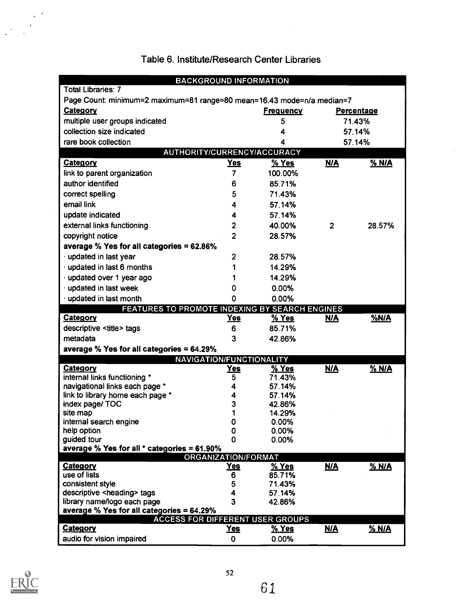## Table 6. Institute/Research Center Libraries

 $\bar{z}$ 

|                                                                          | <b>BACKGROUND INFORMATION</b>   |                  |                |                   |
|--------------------------------------------------------------------------|---------------------------------|------------------|----------------|-------------------|
| <b>Total Libraries: 7</b>                                                |                                 |                  |                |                   |
| Page Count: minimum=2 maximum=81 range=80 mean=16.43 mode=n/a median=7   |                                 |                  |                |                   |
| <b>Category</b>                                                          |                                 | <b>Frequency</b> |                | <b>Percentage</b> |
| multiple user groups indicated                                           |                                 | 5                |                | 71.43%            |
| collection size indicated                                                |                                 |                  |                | 57.14%            |
| rare book collection                                                     |                                 | 4                |                | 57.14%            |
| AUTHORITY/CURRENCY/ACCURACY                                              |                                 |                  |                |                   |
| <b>Category</b>                                                          | <b>Yes</b>                      | <u>% Yes</u>     | <u>N/A</u>     | % N/A             |
| link to parent organization                                              | $\overline{7}$                  | 100.00%          |                |                   |
| author identified                                                        |                                 |                  |                |                   |
|                                                                          | 6                               | 85.71%           |                |                   |
| correct spelling                                                         | 5                               | 71.43%           |                |                   |
| email link                                                               | 4                               | 57.14%           |                |                   |
| update indicated                                                         | 4                               | 57.14%           |                |                   |
| external links functioning                                               | 2                               | 40.00%           | $\overline{2}$ | 28.57%            |
| copyright notice                                                         | $\overline{2}$                  | 28.57%           |                |                   |
| average % Yes for all categories = 62.86%                                |                                 |                  |                |                   |
| updated in last year                                                     | 2                               | 28.57%           |                |                   |
| updated in last 6 months                                                 |                                 | 14.29%           |                |                   |
| updated over 1 year ago                                                  |                                 | 14.29%           |                |                   |
| updated in last week                                                     | 0                               | 0.00%            |                |                   |
|                                                                          |                                 |                  |                |                   |
| updated in last month                                                    | 0                               | 0.00%            |                |                   |
| <b>FEATURES TO PROMOTE INDEXING BY SEARCH ENGINES</b><br><b>Category</b> | <u>Yes</u>                      | $%$ Yes          | <u>N/A</u>     | $%$ N/A           |
| descriptive <title> tags</title>                                         | 6                               | 85.71%           |                |                   |
|                                                                          |                                 |                  |                |                   |
| metadata                                                                 | 3                               | 42.86%           |                |                   |
| average % Yes for all categories = 64.29%                                |                                 |                  |                |                   |
|                                                                          | <b>NAVIGATION/FUNCTIONALITY</b> |                  |                |                   |
| <b>Category</b>                                                          | <u>Yes</u>                      | $%$ Yes          | <b>N/A</b>     | % N/A             |
| internal links functioning *                                             | 5                               | 71.43%           |                |                   |
| navigational links each page *                                           | 4                               | 57.14%           |                |                   |
| link to library home each page *                                         | 4<br>3                          | 57.14%<br>42.86% |                |                   |
| index page/TOC<br>site map                                               | 1                               | 14.29%           |                |                   |
| internal search engine                                                   | 0                               | 0.00%            |                |                   |
| help option                                                              | 0                               | 0.00%            |                |                   |
| guided tour                                                              | 0                               | 0.00%            |                |                   |
| average % Yes for all * categories = 61.90%                              |                                 |                  |                |                   |
|                                                                          | <b>ORGANIZATION/FORMAT</b>      |                  |                |                   |
| Category                                                                 | <u>Yes</u>                      | % Yes            | M/A            | $\frac{9}{6}$ N/A |
| use of lists                                                             | 6                               | 85.71%           |                |                   |
| consistent style                                                         | 5                               | 71.43%           |                |                   |
| descriptive <heading> tags</heading>                                     | 4                               | 57.14%           |                |                   |
| library name/logo each page                                              | 3                               | 42.86%           |                |                   |
| average % Yes for all categories = 64.29%                                |                                 |                  |                |                   |
| ACCESS FOR DIFFERENT USER GROUPS                                         |                                 |                  |                |                   |
| Category                                                                 | Yes                             | $%$ Yes          | <u>N/A</u>     | <b>% N/A</b>      |
| audio for vision impaired                                                | $\mathbf 0$                     | 0.00%            |                |                   |



 $\ddot{\phantom{a}}$ 

 $\mathbb{R}^3$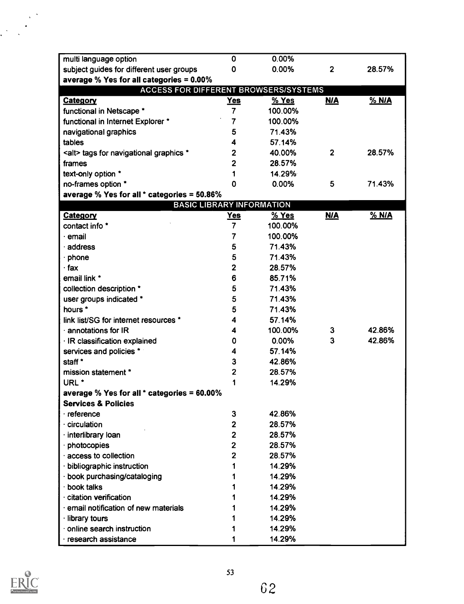| multi language option                        | 0                       | 0.00%   |              |        |
|----------------------------------------------|-------------------------|---------|--------------|--------|
| subject guides for different user groups     | 0                       | 0.00%   | $\mathbf 2$  | 28.57% |
| average % Yes for all categories = 0.00%     |                         |         |              |        |
| ACCESS FOR DIFFERENT BROWSERS/SYSTEMS        |                         |         |              |        |
| Category                                     | <u>Yes</u>              | $%$ Yes | <b>N/A</b>   | % N/A  |
| functional in Netscape *                     | $\overline{7}$          | 100.00% |              |        |
| functional in Internet Explorer *            | 7                       | 100.00% |              |        |
| navigational graphics                        | 5                       | 71.43%  |              |        |
| tables                                       | 4                       | 57.14%  |              |        |
| <alt> tags for navigational graphics *</alt> | 2                       | 40.00%  | $\mathbf{2}$ | 28.57% |
| frames                                       | 2                       | 28.57%  |              |        |
| text-only option *                           | 1                       | 14.29%  |              |        |
| no-frames option *                           | 0                       | 0.00%   | 5            | 71.43% |
| average % Yes for all * categories = 50.86%  |                         |         |              |        |
| <b>BASIC LIBRARY INFORMATION</b>             |                         |         |              |        |
| Category                                     | <u>Yes</u>              | $%$ Yes | <b>N/A</b>   | % N/A  |
| contact info *                               | $\overline{7}$          | 100.00% |              |        |
| $\cdot$ email                                | 7                       | 100.00% |              |        |
| $\cdot$ address                              | 5                       | 71.43%  |              |        |
| $\cdot$ phone                                | 5                       | 71.43%  |              |        |
| · fax                                        | 2                       | 28.57%  |              |        |
| email link *                                 | 6                       | 85.71%  |              |        |
| collection description *                     | 5                       | 71.43%  |              |        |
| user groups indicated *                      | 5                       | 71.43%  |              |        |
| hours *                                      | 5                       | 71.43%  |              |        |
| link list/SG for internet resources *        | 4                       | 57.14%  |              |        |
| $\cdot$ annotations for IR                   | 4                       | 100.00% | 3            | 42.86% |
| · IR classification explained                | 0                       | 0.00%   | 3            | 42.86% |
| services and policies *                      | 4                       | 57.14%  |              |        |
| staff*                                       | 3                       | 42.86%  |              |        |
| mission statement *                          | 2                       | 28.57%  |              |        |
| URL <sup>*</sup>                             |                         | 14.29%  |              |        |
| average % Yes for all * categories = 60.00%  |                         |         |              |        |
| <b>Services &amp; Policies</b>               |                         |         |              |        |
| · reference                                  | 3                       | 42.86%  |              |        |
| circulation                                  | $\overline{\mathbf{2}}$ | 28.57%  |              |        |
| interlibrary loan                            | $\overline{\mathbf{2}}$ | 28.57%  |              |        |
| photocopies                                  | 2                       | 28.57%  |              |        |
| access to collection                         | 2                       | 28.57%  |              |        |
| bibliographic instruction                    |                         | 14.29%  |              |        |
| book purchasing/cataloging                   |                         | 14.29%  |              |        |
| book talks                                   |                         | 14.29%  |              |        |
| citation verification                        |                         | 14.29%  |              |        |
| email notification of new materials          |                         | 14.29%  |              |        |
| library tours                                |                         | 14.29%  |              |        |
| online search instruction                    |                         | 14.29%  |              |        |
| · research assistance                        |                         | 14.29%  |              |        |



 $\mathbb{R}^2$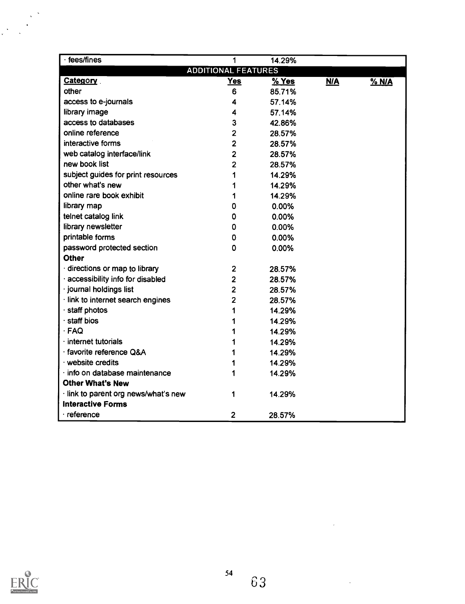| $\cdot$ fees/fines                   | 1                          | 14.29% |     |         |
|--------------------------------------|----------------------------|--------|-----|---------|
|                                      | <b>ADDITIONAL FEATURES</b> |        |     |         |
| <b>Category</b>                      | <b>Yes</b>                 | % Yes  | N/A | $%$ N/A |
| other                                | 6                          | 85.71% |     |         |
| access to e-journals                 | 4                          | 57.14% |     |         |
| library image                        | 4                          | 57.14% |     |         |
| access to databases                  | 3                          | 42.86% |     |         |
| online reference                     | $\overline{2}$             | 28.57% |     |         |
| interactive forms                    | $\overline{2}$             | 28.57% |     |         |
| web catalog interface/link           | $\overline{2}$             | 28.57% |     |         |
| new book list                        | $\overline{2}$             | 28.57% |     |         |
| subject guides for print resources   | 1                          | 14.29% |     |         |
| other what's new                     | 1                          | 14.29% |     |         |
| online rare book exhibit             | 1                          | 14.29% |     |         |
| library map                          | 0                          | 0.00%  |     |         |
| telnet catalog link                  | 0                          | 0.00%  |     |         |
| library newsletter                   | 0                          | 0.00%  |     |         |
| printable forms                      | 0                          | 0.00%  |     |         |
| password protected section           | 0                          | 0.00%  |     |         |
| <b>Other</b>                         |                            |        |     |         |
| directions or map to library         | $\overline{\mathbf{2}}$    | 28.57% |     |         |
| · accessibility info for disabled    | $\overline{2}$             | 28.57% |     |         |
| · journal holdings list              | $\overline{2}$             | 28.57% |     |         |
| · link to internet search engines    | $\overline{2}$             | 28.57% |     |         |
| · staff photos                       | 1                          | 14.29% |     |         |
| · staff bios                         | 1                          | 14.29% |     |         |
| $·$ FAQ                              | 1                          | 14.29% |     |         |
| $\cdot$ internet tutorials           | 1                          | 14.29% |     |         |
| · favorite reference Q&A             | 1                          | 14.29% |     |         |
| · website credits                    | 1                          | 14.29% |     |         |
| · info on database maintenance       | 1                          | 14.29% |     |         |
| <b>Other What's New</b>              |                            |        |     |         |
| · link to parent org news/what's new | 1                          | 14.29% |     |         |
| <b>Interactive Forms</b>             |                            |        |     |         |
| · reference                          | $\overline{\mathbf{2}}$    | 28.57% |     |         |



 $\ddot{\phantom{a}}$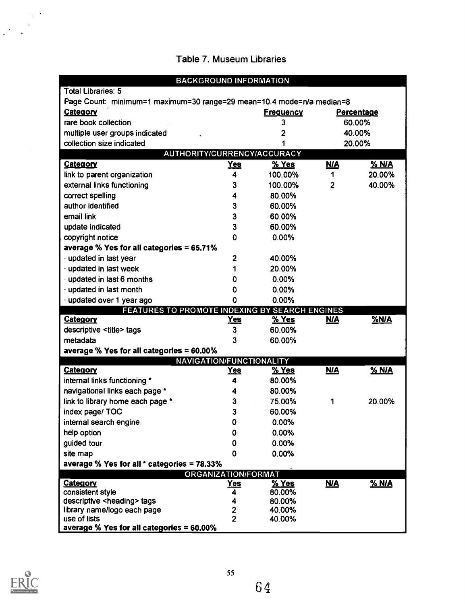|  | Table 7. Museum Libraries |  |
|--|---------------------------|--|
|--|---------------------------|--|

| <b>BACKGROUND INFORMATION</b>                                                            |                            |                  |            |             |
|------------------------------------------------------------------------------------------|----------------------------|------------------|------------|-------------|
| <b>Total Libraries: 5</b>                                                                |                            |                  |            |             |
| Page Count: minimum=1 maximum=30 range=29 mean=10.4 mode=n/a median=8                    |                            |                  |            |             |
| <b>Category</b>                                                                          |                            | <b>Frequency</b> |            | Percentage  |
| rare book collection                                                                     |                            | 3                |            | 60.00%      |
| multiple user groups indicated                                                           |                            | 2                |            | 40.00%      |
| collection size indicated                                                                |                            |                  |            | 20.00%      |
| AUTHORITY/CURRENCY/ACCURACY                                                              |                            |                  |            |             |
| <b>Category</b>                                                                          | <b>Yes</b>                 | <b>% Yes</b>     | <u>N/A</u> | $%$ N/A     |
| link to parent organization                                                              | 4                          | 100.00%          | 1          | 20.00%      |
| external links functioning                                                               | 3                          | 100.00%          | 2          | 40.00%      |
| correct spelling                                                                         | 4                          | 80.00%           |            |             |
| author identified                                                                        | 3                          | 60.00%           |            |             |
| email link                                                                               | 3                          | 60.00%           |            |             |
| update indicated                                                                         | 3                          | 60.00%           |            |             |
| copyright notice                                                                         | 0                          | 0.00%            |            |             |
| average % Yes for all categories = 65.71%                                                |                            |                  |            |             |
| · updated in last year                                                                   | $\overline{\mathbf{c}}$    | 40.00%           |            |             |
| · updated in last week                                                                   | 1                          | 20.00%           |            |             |
| · updated in last 6 months                                                               | 0                          | 0.00%            |            |             |
| · updated in last month                                                                  | 0                          | 0.00%            |            |             |
| · updated over 1 year ago                                                                | 0                          | 0.00%            |            |             |
| FEATURES TO PROMOTE INDEXING BY SEARCH ENGINES                                           |                            |                  |            |             |
| <b>Category</b>                                                                          | <u>Yes</u>                 | <u>% Yes</u>     | <u>N/A</u> | <b>%N/A</b> |
|                                                                                          |                            |                  |            |             |
| descriptive <title> tags</title>                                                         | 3                          | 60.00%           |            |             |
| metadata                                                                                 | 3                          | 60.00%           |            |             |
| average % Yes for all categories = 60.00%                                                |                            |                  |            |             |
| NAVIGATION/FUNCTIONALITY                                                                 |                            |                  |            |             |
| Category                                                                                 | <u>Yes</u>                 | $%$ Yes          | <b>N/A</b> | % N/A       |
| internal links functioning *                                                             | 4                          | 80.00%           |            |             |
| navigational links each page *                                                           | 4                          | 80.00%           |            |             |
| link to library home each page *                                                         | 3                          | 75.00%           | 1          | 20.00%      |
| index page/ TOC                                                                          | 3                          | 60.00%           |            |             |
| internal search engine                                                                   | 0                          | 0.00%            |            |             |
| help option                                                                              | 0                          | 0.00%            |            |             |
| guided tour                                                                              | 0                          | 0.00%            |            |             |
| site map                                                                                 | 0                          | 0.00%            |            |             |
| average % Yes for all * categories = 78.33%                                              |                            |                  |            |             |
|                                                                                          | <b>ORGANIZATION/FORMAT</b> |                  |            |             |
| <b>Category</b>                                                                          | <u>Yes</u>                 | % Yes            | <b>N/A</b> | $%$ N/A     |
| consistent style                                                                         | 4                          | 80.00%           |            |             |
| descriptive <heading> tags</heading>                                                     | 4                          | 80.00%           |            |             |
| library name/logo each page<br>use of lists<br>average % Yes for all categories = 60.00% | 2<br>$\overline{2}$        | 40.00%<br>40.00% |            |             |

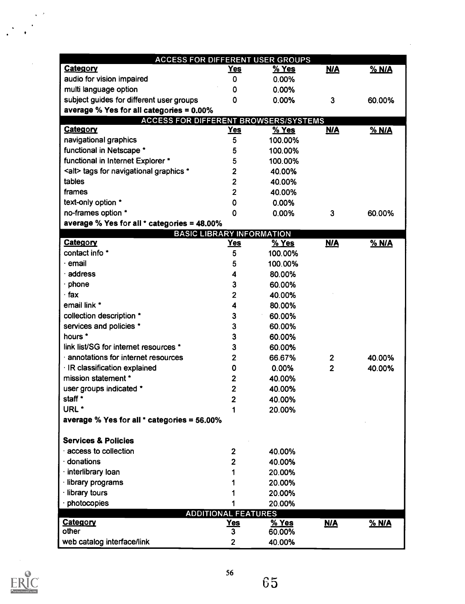| <b>ACCESS FOR DIFFERENT USER GROUPS</b>      |            |                 |                |              |  |  |  |
|----------------------------------------------|------------|-----------------|----------------|--------------|--|--|--|
| <b>Category</b>                              | <u>Yes</u> | % Yes           | <b>N/A</b>     | <u>% N/A</u> |  |  |  |
| audio for vision impaired                    | 0          | 0.00%           |                |              |  |  |  |
| multi language option                        | 0          | 0.00%           |                |              |  |  |  |
| subject guides for different user groups     | 0          | 0.00%           | 3              | 60.00%       |  |  |  |
| average % Yes for all categories = 0.00%     |            |                 |                |              |  |  |  |
| <b>ACCESS FOR DIFFERENT BROWSERS/SYSTEMS</b> |            |                 |                |              |  |  |  |
| <b>Category</b>                              | <b>Yes</b> | % Yes           | <b>N/A</b>     | $%$ N/A      |  |  |  |
| navigational graphics                        | 5          | 100.00%         |                |              |  |  |  |
| functional in Netscape *                     | 5          | 100.00%         |                |              |  |  |  |
| functional in Internet Explorer *            | 5          | 100.00%         |                |              |  |  |  |
| <alt> tags for navigational graphics *</alt> | 2          | 40.00%          |                |              |  |  |  |
| tables                                       | 2          | 40.00%          |                |              |  |  |  |
| frames                                       | 2          | 40.00%          |                |              |  |  |  |
| text-only option *                           | 0          | 0.00%           |                |              |  |  |  |
| no-frames option *                           | 0          | 0.00%           | 3              | 60.00%       |  |  |  |
| average % Yes for all * categories = 48.00%  |            |                 |                |              |  |  |  |
| <b>BASIC LIBRARY INFORMATION</b>             |            |                 |                |              |  |  |  |
| <b>Category</b>                              | <b>Yes</b> | $%$ Yes         | <b>N/A</b>     | % N/A        |  |  |  |
| contact info *                               | 5          | 100.00%         |                |              |  |  |  |
| email                                        | 5          | 100.00%         |                |              |  |  |  |
| address                                      | 4          | 80.00%          |                |              |  |  |  |
| phone                                        | 3          | 60.00%          |                |              |  |  |  |
| fax                                          | 2          | 40.00%          |                |              |  |  |  |
| email link *                                 | 4          | 80.00%          |                |              |  |  |  |
| collection description *                     | 3          | 60.00%          |                |              |  |  |  |
| services and policies *                      | 3          | 60.00%          |                |              |  |  |  |
| hours <sup>*</sup>                           | 3          | 60.00%          |                |              |  |  |  |
| link list/SG for internet resources *        | 3          | 60.00%          |                |              |  |  |  |
| $\cdot$ annotations for internet resources   | 2          | 66.67%          | 2              | 40.00%       |  |  |  |
| · IR classification explained                | 0          | 0.00%           | $\overline{2}$ | 40.00%       |  |  |  |
| mission statement *                          | 2          | 40.00%          |                |              |  |  |  |
| user groups indicated *                      | 2          | 40.00%          |                |              |  |  |  |
| staff *                                      | 2          | 40.00%          |                |              |  |  |  |
| URL <sup>*</sup>                             | 1          | 20.00%          |                |              |  |  |  |
| average % Yes for all * categories = 56.00%  |            |                 |                |              |  |  |  |
| <b>Services &amp; Policies</b>               |            |                 |                |              |  |  |  |
| access to collection                         | 2          | 40.00%          |                |              |  |  |  |
| donations                                    | 2          | 40.00%          |                |              |  |  |  |
| interlibrary loan                            |            | 20.00%          |                |              |  |  |  |
| library programs                             |            | 20.00%          |                |              |  |  |  |
| library tours                                |            | 20.00%          |                |              |  |  |  |
| photocopies                                  |            | 20.00%          |                |              |  |  |  |
| <b>ADDITIONAL</b>                            |            | <b>FEATURES</b> |                |              |  |  |  |
| <b>Category</b>                              | <u>Yes</u> | % Yes           | M/A            | % N/A        |  |  |  |
| other                                        | 3          | 60.00%          |                |              |  |  |  |
| web catalog interface/link                   | 2          | 40.00%          |                |              |  |  |  |

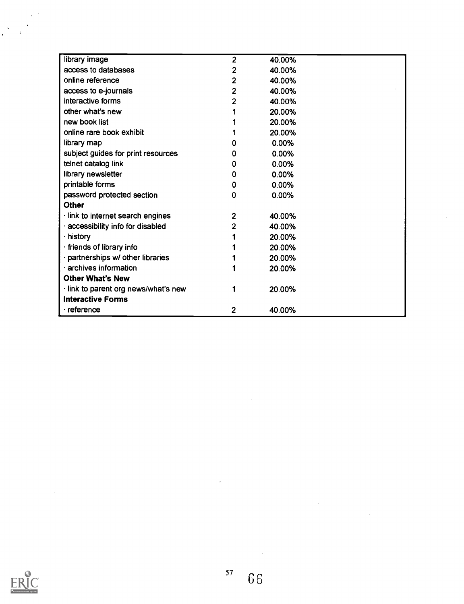| library image                              | $\overline{2}$          | 40.00%   |
|--------------------------------------------|-------------------------|----------|
| access to databases                        | 2                       | 40.00%   |
| online reference                           | 2                       | 40.00%   |
| access to e-journals                       | $\overline{\mathbf{c}}$ | 40.00%   |
| interactive forms                          | $\overline{2}$          | 40.00%   |
| other what's new                           |                         | 20.00%   |
| new book list                              |                         | 20.00%   |
| online rare book exhibit                   |                         | 20.00%   |
| library map                                | 0                       | 0.00%    |
| subject guides for print resources         | 0                       | 0.00%    |
| telnet catalog link                        | 0                       | 0.00%    |
| library newsletter                         | 0                       | 0.00%    |
| printable forms                            | 0                       | 0.00%    |
| password protected section                 | 0                       | $0.00\%$ |
| <b>Other</b>                               |                         |          |
| $\cdot$ link to internet search engines    | $\overline{2}$          | 40.00%   |
| accessibility info for disabled            | 2                       | 40.00%   |
| history                                    |                         | 20.00%   |
| · friends of library info                  |                         | 20.00%   |
| · partnerships w/ other libraries          |                         | 20.00%   |
| $\cdot$ archives information               |                         | 20.00%   |
| <b>Other What's New</b>                    |                         |          |
| $\cdot$ link to parent org news/what's new |                         | 20.00%   |
| <b>Interactive Forms</b>                   |                         |          |
| · reference                                | 2                       | 40.00%   |

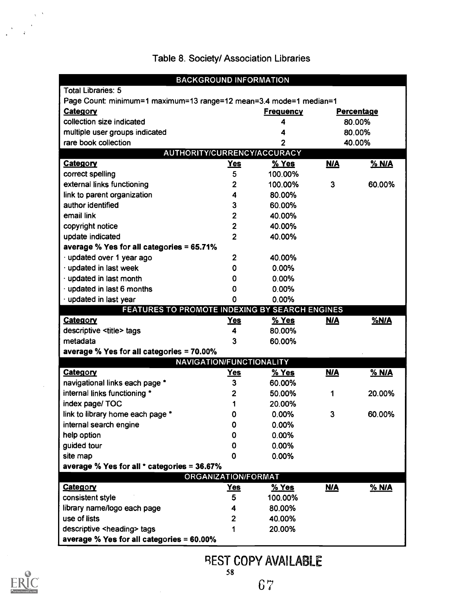|                                                                    | <b>BACKGROUND INFORMATION</b> |                  |            |                   |
|--------------------------------------------------------------------|-------------------------------|------------------|------------|-------------------|
| <b>Total Libraries: 5</b>                                          |                               |                  |            |                   |
| Page Count: minimum=1 maximum=13 range=12 mean=3.4 mode=1 median=1 |                               |                  |            |                   |
| <b>Category</b>                                                    |                               | <b>Frequency</b> |            | <b>Percentage</b> |
| collection size indicated                                          |                               | 4                |            | 80.00%            |
| multiple user groups indicated                                     |                               | 4                |            | 80.00%            |
| rare book collection                                               |                               | 2                |            | 40.00%            |
| AUTHORITY/CURRENCY/ACCURACY                                        |                               |                  |            |                   |
| <b>Category</b>                                                    | <u>Yes</u>                    | $%$ Yes          | M/A        | <u>% N/A</u>      |
| correct spelling                                                   | 5                             | 100.00%          |            |                   |
| external links functioning                                         | 2                             | 100.00%          | 3          | 60.00%            |
| link to parent organization                                        | 4                             | 80.00%           |            |                   |
| author identified                                                  | 3                             | 60.00%           |            |                   |
| email link                                                         | 2                             | 40.00%           |            |                   |
| copyright notice                                                   | 2                             | 40.00%           |            |                   |
| update indicated                                                   | $\overline{2}$                | 40.00%           |            |                   |
| average % Yes for all categories = 65.71%                          |                               |                  |            |                   |
| · updated over 1 year ago                                          | 2                             | 40.00%           |            |                   |
| · updated in last week                                             | 0                             | 0.00%            |            |                   |
| · updated in last month                                            | 0                             | 0.00%            |            |                   |
| · updated in last 6 months                                         | 0                             | 0.00%            |            |                   |
| · updated in last year                                             | 0                             | 0.00%            |            |                   |
| FEATURES TO PROMOTE INDEXING BY SEARCH ENGINES                     |                               |                  |            |                   |
| Category                                                           | <u>Yes</u>                    | % Yes            | <u>N/A</u> | % N/A             |
| descriptive <title> tags</title>                                   | 4                             | 80.00%           |            |                   |
| metadata                                                           | 3                             | 60.00%           |            |                   |
| average % Yes for all categories = 70.00%                          |                               |                  |            |                   |
|                                                                    | NAVIGATION/FUNCTIONALITY      |                  |            |                   |
| Category                                                           | <u>Yes</u>                    | <u>% Yes</u>     | <u>N/A</u> | <u>% N/A</u>      |
| navigational links each page *                                     | 3                             | 60.00%           |            |                   |
| internal links functioning *                                       | 2                             | 50.00%           | 1          | 20.00%            |
| index page/ TOC                                                    |                               | 20.00%           |            |                   |
| link to library home each page *                                   | 0                             | 0.00%            | 3          | 60.00%            |
| internal search engine                                             | 0                             | 0.00%            |            |                   |
| help option                                                        | 0                             | 0.00%            |            |                   |
| guided tour                                                        | 0                             | 0.00%            |            |                   |
| site map                                                           | 0                             | 0.00%            |            |                   |
| average % Yes for all * categories = 36.67%                        |                               |                  |            |                   |
|                                                                    | ORGANIZATION/FORMAT           |                  |            |                   |
| <b>Category</b>                                                    | <u>Yes</u>                    | % Yes            | <b>N/A</b> | % N/A             |
| consistent style                                                   | 5                             | 100.00%          |            |                   |
| library name/logo each page                                        | 4                             | 80.00%           |            |                   |
| use of lists                                                       | 2                             | 40.00%           |            |                   |
| descriptive <heading> tags</heading>                               |                               | 20.00%           |            |                   |
| average % Yes for all categories = 60.00%                          |                               |                  |            |                   |

# Table 8. Society/ Association Libraries

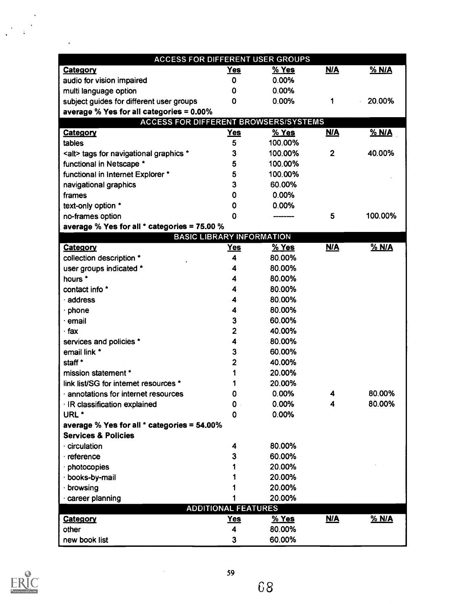| ACCESS FOR DIFFERENT USER GROUPS             |                            |         |                |                    |
|----------------------------------------------|----------------------------|---------|----------------|--------------------|
| <b>Category</b>                              | <u>Yes</u>                 | $%$ Yes | <b>N/A</b>     | <b>% N/A</b>       |
| audio for vision impaired                    | 0                          | 0.00%   |                |                    |
| multi language option                        | 0                          | 0.00%   |                |                    |
| subject guides for different user groups     | 0                          | 0.00%   | 1              | 20.00%             |
| average % Yes for all categories = 0.00%     |                            |         |                |                    |
| ACCESS FOR DIFFERENT BROWSERS/SYSTEMS        |                            |         |                |                    |
| <b>Category</b>                              | <u>Yes</u>                 | % Yes   | <b>NIA</b>     | <u>% N/A</u>       |
| tables                                       | 5                          | 100.00% |                |                    |
| <alt> tags for navigational graphics *</alt> | 3                          | 100.00% | $\overline{2}$ | 40.00%             |
| functional in Netscape *                     | 5                          | 100.00% |                |                    |
| functional in Internet Explorer *            | 5                          | 100.00% |                |                    |
| navigational graphics                        | 3                          | 60.00%  |                |                    |
| frames                                       | 0                          | 0.00%   |                |                    |
| text-only option *                           | 0                          | 0.00%   |                |                    |
| no-frames option                             | 0                          |         | 5              | 100.00%            |
| average % Yes for all * categories = 75.00 % |                            |         |                |                    |
| <b>BASIC LIBRARY INFORMATION</b>             |                            |         |                |                    |
| <b>Category</b>                              | <u>Yes</u>                 | $%$ Yes | <b>N/A</b>     | $\frac{6}{26}$ N/A |
| collection description *                     | 4                          | 80.00%  |                |                    |
| user groups indicated *                      | 4                          | 80.00%  |                |                    |
| hours *                                      | 4                          | 80.00%  |                |                    |
| contact info *                               | 4                          | 80.00%  |                |                    |
| address                                      | 4                          | 80.00%  |                |                    |
| phone                                        | 4                          | 80.00%  |                |                    |
| email                                        | 3                          | 60.00%  |                |                    |
| ∙ fax                                        | 2                          | 40.00%  |                |                    |
| services and policies *                      | 4                          | 80.00%  |                |                    |
| email link *                                 | 3                          | 60.00%  |                |                    |
| staff *                                      | 2                          | 40.00%  |                |                    |
| mission statement *                          |                            | 20.00%  |                |                    |
| link list/SG for internet resources *        | 1                          | 20.00%  |                |                    |
| annotations for internet resources           | 0                          | 0.00%   | 4              | 80.00%             |
| IR classification explained                  | $\mathbf{0}$               | 0.00%   | 4              | 80.00%             |
| URL <sup>*</sup>                             | 0                          | 0.00%   |                |                    |
| average % Yes for all * categories = 54.00%  |                            |         |                |                    |
| <b>Services &amp; Policies</b>               |                            |         |                |                    |
| circulation                                  | 4                          | 80.00%  |                |                    |
| reference                                    | 3                          | 60.00%  |                |                    |
| photocopies                                  |                            | 20.00%  |                |                    |
| books-by-mail                                |                            | 20.00%  |                |                    |
| browsing                                     |                            | 20.00%  |                |                    |
| career planning                              |                            | 20.00%  |                |                    |
|                                              | <b>ADDITIONAL FEATURES</b> |         |                |                    |
| Category                                     | <u>Yes</u>                 | $%$ Yes | <u>N/A</u>     | % N/A              |
| other                                        | 4                          | 80.00%  |                |                    |
| new book list                                | 3                          | 60.00%  |                |                    |



 $\mathbb{R}^{\frac{1}{2}}$ 

 $\ddot{\cdot}$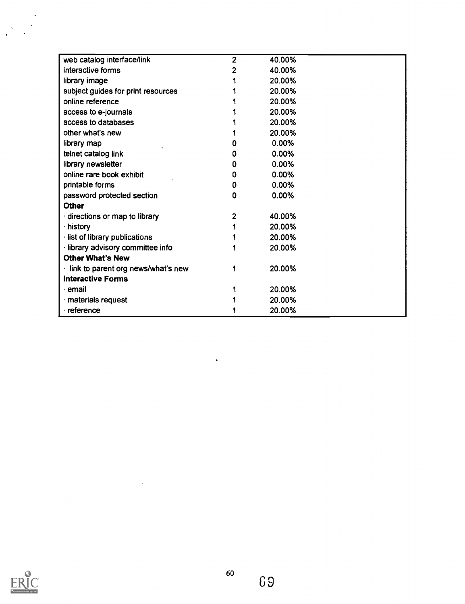| web catalog interface/link                 | $\overline{2}$ | 40.00% |
|--------------------------------------------|----------------|--------|
| interactive forms                          | 2              | 40.00% |
| library image                              |                | 20.00% |
| subject guides for print resources         |                | 20.00% |
| online reference                           |                | 20.00% |
| access to e-journals                       |                | 20.00% |
| access to databases                        |                | 20.00% |
| other what's new                           |                | 20.00% |
| library map                                | 0              | 0.00%  |
| telnet catalog link                        | 0              | 0.00%  |
| library newsletter                         | 0              | 0.00%  |
| online rare book exhibit                   | 0              | 0.00%  |
| printable forms                            | 0              | 0.00%  |
| password protected section                 | 0              | 0.00%  |
| <b>Other</b>                               |                |        |
| directions or map to library               | 2              | 40.00% |
| history                                    |                | 20.00% |
| · list of library publications             |                | 20.00% |
| · library advisory committee info          |                | 20.00% |
| <b>Other What's New</b>                    |                |        |
| $\cdot$ link to parent org news/what's new |                | 20.00% |
| <b>Interactive Forms</b>                   |                |        |
| · email                                    |                | 20.00% |
| $\cdot$ materials request                  |                | 20.00% |
| reference                                  |                | 20.00% |

 $\ddot{\phantom{1}}$ 

 $\bar{\mathcal{A}}$ 



 $\frac{1}{\sqrt{2}}$ 

69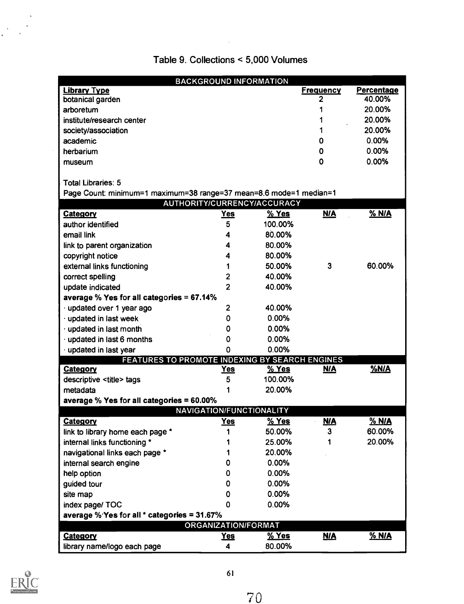# Table 9. Collections < 5,000 Volumes

 $\sim 10$ 

|                                                                    | <b>BACKGROUND INFORMATION</b> |              |                  |                   |
|--------------------------------------------------------------------|-------------------------------|--------------|------------------|-------------------|
| <b>Library Type</b>                                                |                               |              | <b>Frequency</b> | <b>Percentage</b> |
| botanical garden                                                   |                               |              | 2                | 40.00%            |
| arboretum                                                          |                               |              |                  | 20.00%            |
| institute/research center                                          |                               |              |                  | 20.00%            |
| society/association                                                |                               |              |                  | 20.00%            |
| academic                                                           |                               |              | O                | 0.00%             |
| herbarium                                                          |                               |              | 0                | 0.00%             |
| museum                                                             |                               |              | 0                | 0.00%             |
| <b>Total Libraries: 5</b>                                          |                               |              |                  |                   |
| Page Count: minimum=1 maximum=38 range=37 mean=8.6 mode=1 median=1 |                               |              |                  |                   |
|                                                                    | AUTHORITY/CURRENCY/ACCURACY   |              |                  |                   |
| Category                                                           | <b>Yes</b>                    | $%$ Yes      | <b>N/A</b>       | $%$ N/A           |
| author identified                                                  | 5                             | 100.00%      |                  |                   |
| email link                                                         | 4                             | 80.00%       |                  |                   |
| link to parent organization                                        | 4                             | 80.00%       |                  |                   |
| copyright notice                                                   | 4                             | 80.00%       |                  |                   |
| external links functioning                                         | 1                             | 50.00%       | $\mathbf{3}$     | 60.00%            |
| correct spelling                                                   | 2                             | 40.00%       |                  |                   |
| update indicated                                                   | $\overline{2}$                | 40.00%       |                  |                   |
| average % Yes for all categories = 67.14%                          |                               |              |                  |                   |
| · updated over 1 year ago                                          | 2                             | 40.00%       |                  |                   |
| · updated in last week                                             | 0                             | 0.00%        |                  |                   |
| · updated in last month                                            | 0                             | 0.00%        |                  |                   |
| · updated in last 6 months                                         | 0                             | 0.00%        |                  |                   |
| updated in last year                                               | 0                             | 0.00%        |                  |                   |
| FEATURES TO PROMOTE INDEXING BY SEARCH ENGINES                     |                               |              |                  |                   |
| <b>Category</b>                                                    | <u>Yes</u>                    | <u>% Yes</u> | <u>N/A</u>       | $%$ N/A           |
| descriptive <title> tags</title>                                   | 5                             | 100.00%      |                  |                   |
| metadata                                                           |                               | 20.00%       |                  |                   |
| average % Yes for all categories = 60.00%                          |                               |              |                  |                   |
|                                                                    | NAVIGATION/FUNCTIONALITY      |              |                  |                   |
| Category                                                           | Yes                           | $%$ Yes      | <u>N/A</u>       | <b>% N/A</b>      |
| link to library home each page *                                   |                               | 50.00%       | 3                | 60.00%            |
| internal links functioning *                                       |                               | 25.00%       |                  | 20.00%            |
| navigational links each page *                                     |                               | 20.00%       |                  |                   |
| internal search engine                                             | 0                             | 0.00%        |                  |                   |
| help option                                                        | 0                             | 0.00%        |                  |                   |
| guided tour                                                        | 0                             | 0.00%        |                  |                   |
| site map                                                           |                               | 0.00%        |                  |                   |
| index page/ TOC                                                    | 0                             | 0.00%        |                  |                   |
| average % Yes for all $*$ categories = 31.67%                      |                               |              |                  |                   |
|                                                                    | ORGANIZATION/FORMAT           |              |                  |                   |
| <b>Category</b>                                                    | <u>Yes</u>                    | $%$ Yes      | <b>N/A</b>       | <b>% N/A</b>      |
| library name/logo each page                                        | 4                             | 80.00%       |                  |                   |
|                                                                    |                               |              |                  |                   |



 $\frac{1}{2}$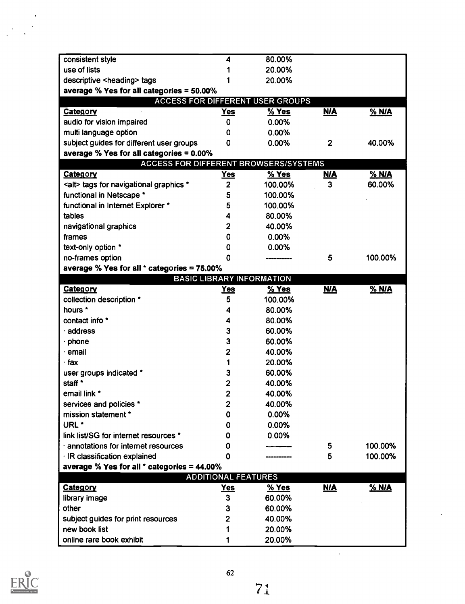| consistent style                             | 4                          | 80.00%                                  |                |                   |
|----------------------------------------------|----------------------------|-----------------------------------------|----------------|-------------------|
| use of lists                                 |                            | 20.00%                                  |                |                   |
| descriptive <heading> tags</heading>         |                            | 20.00%                                  |                |                   |
| average % Yes for all categories = 50.00%    |                            |                                         |                |                   |
|                                              |                            | <b>ACCESS FOR DIFFERENT USER GROUPS</b> |                |                   |
| <b>Category</b>                              | <u>Yes</u>                 | $%$ Yes                                 | <b>N/A</b>     | $\frac{9}{6}$ N/A |
| audio for vision impaired                    | 0                          | 0.00%                                   |                |                   |
| multi language option                        | 0                          | 0.00%                                   |                |                   |
| subject guides for different user groups     | 0                          | 0.00%                                   | $\overline{2}$ | 40.00%            |
| average % Yes for all categories = 0.00%     |                            |                                         |                |                   |
| <b>ACCESS FOR DIFFERENT BROWSERS/SYSTEMS</b> |                            |                                         |                |                   |
| <b>Category</b>                              | <b>Yes</b>                 | % Yes                                   | <u>N/A</u>     | <b>% N/A</b>      |
| <alt> tags for navigational graphics *</alt> | $\mathbf{2}$               | 100.00%                                 | 3              | 60.00%            |
| functional in Netscape *                     | 5                          | 100.00%                                 |                |                   |
| functional in Internet Explorer *            | 5                          | 100.00%                                 |                |                   |
| tables                                       | 4                          | 80.00%                                  |                |                   |
| navigational graphics                        | 2                          | 40.00%                                  |                |                   |
| frames                                       | 0                          | 0.00%                                   |                |                   |
| text-only option *                           | 0                          | 0.00%                                   |                |                   |
| no-frames option                             | 0                          |                                         | 5              | 100.00%           |
| average % Yes for all * categories = 75.00%  |                            |                                         |                |                   |
|                                              |                            | <b>BASIC LIBRARY INFORMATION</b>        |                |                   |
| Category                                     | Yes                        | % Yes                                   | <u>N/A</u>     | % N/A             |
| collection description *                     | 5                          | 100.00%                                 |                |                   |
| hours *                                      | 4                          | 80.00%                                  |                |                   |
| contact info *                               | 4                          | 80.00%                                  |                |                   |
| address                                      | 3                          | 60.00%                                  |                |                   |
| phone                                        | 3                          | 60.00%                                  |                |                   |
| email                                        | 2                          | 40.00%                                  |                |                   |
| ∙ fax                                        | 1                          | 20.00%                                  |                |                   |
| user groups indicated *                      | 3                          | 60.00%                                  |                |                   |
| staff *                                      | 2                          | 40.00%                                  |                |                   |
| email link *                                 | $\overline{2}$             | 40.00%                                  |                |                   |
| services and policies *                      | 2                          | 40.00%                                  |                |                   |
| mission statement *                          | 0                          | 0.00%                                   |                |                   |
| URL *                                        | 0                          | 0.00%                                   |                |                   |
| link list/SG for internet resources *        | 0                          | 0.00%                                   |                |                   |
| annotations for internet resources           | 0                          |                                         | 5              | 100.00%           |
| · IR classification explained                | 0                          |                                         | 5              | 100.00%           |
| average % Yes for all * categories = 44.00%  |                            |                                         |                |                   |
|                                              | <b>ADDITIONAL FEATURES</b> |                                         |                |                   |
| <b>Category</b>                              | <b>Yes</b>                 | $%$ Yes                                 | <u>N/A</u>     | % N/A             |
| library image                                | 3                          | 60.00%                                  |                |                   |
| other                                        | 3                          | 60.00%                                  |                |                   |
|                                              | 2                          |                                         |                |                   |
| subject guides for print resources           |                            | 40.00%                                  |                |                   |
| new book list                                |                            | 20.00%                                  |                |                   |
| online rare book exhibit                     | 1                          | 20.00%                                  |                |                   |



 $\ddot{\phantom{0}}$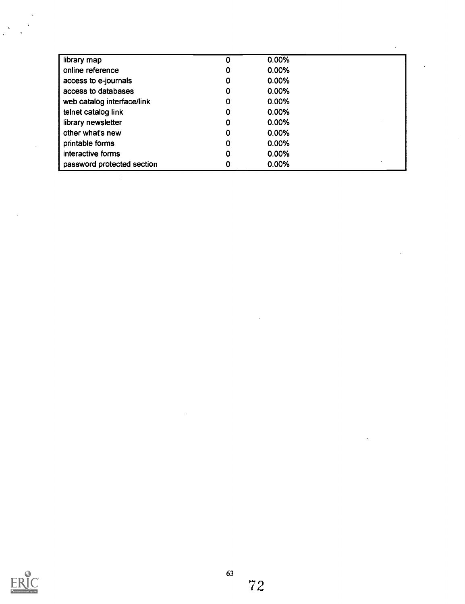| library map                | 0 | 0.00%    |  |
|----------------------------|---|----------|--|
| online reference           | 0 | $0.00\%$ |  |
| access to e-journals       | 0 | 0.00%    |  |
| access to databases        | 0 | 0.00%    |  |
| web catalog interface/link | 0 | $0.00\%$ |  |
| telnet catalog link        | 0 | $0.00\%$ |  |
| library newsletter         | 0 | $0.00\%$ |  |
| other what's new           | 0 | 0.00%    |  |
| printable forms            | 0 | $0.00\%$ |  |
| interactive forms          | 0 | 0.00%    |  |
| password protected section | 0 | $0.00\%$ |  |

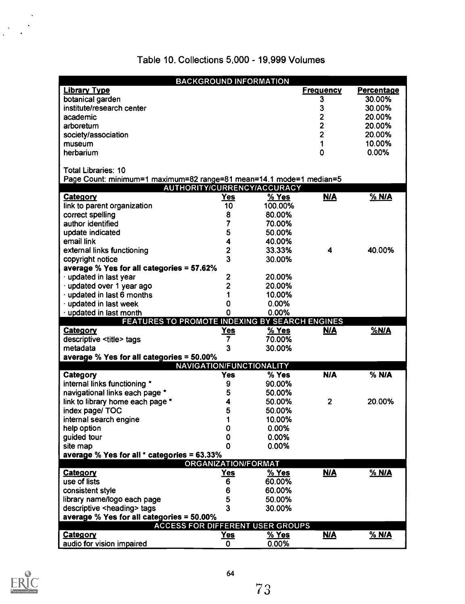|                                                                                      | <b>BACKGROUND INFORMATION</b> |                             |                  |                   |
|--------------------------------------------------------------------------------------|-------------------------------|-----------------------------|------------------|-------------------|
| <b>Library Type</b>                                                                  |                               |                             | <b>Frequency</b> | <b>Percentage</b> |
| botanical garden                                                                     |                               |                             | 3                | 30.00%            |
| institute/research center                                                            |                               |                             | 3                | 30.00%            |
| academic                                                                             |                               |                             | 2                | 20.00%            |
| arboretum                                                                            |                               |                             | $\overline{c}$   | 20.00%            |
| society/association                                                                  |                               |                             | 2                | 20.00%            |
| museum                                                                               |                               |                             | 1                | 10.00%            |
| herbarium                                                                            |                               |                             | 0                | 0.00%             |
|                                                                                      |                               |                             |                  |                   |
| <b>Total Libraries: 10</b>                                                           |                               |                             |                  |                   |
| Page Count: minimum=1 maximum=82 range=81 mean=14.1 mode=1 median=5                  |                               |                             |                  |                   |
|                                                                                      |                               | AUTHORITY/CURRENCY/ACCURACY |                  |                   |
| <b>Category</b>                                                                      | <u>Yes</u>                    | % Yes                       | <b>N/A</b>       | % N/A             |
| link to parent organization                                                          | 10                            | 100.00%                     |                  |                   |
| correct spelling                                                                     | 8                             | 80.00%                      |                  |                   |
| author identified                                                                    | 7                             | 70.00%                      |                  |                   |
| update indicated                                                                     | 5                             | 50.00%                      |                  |                   |
| email link                                                                           | 4                             | 40.00%                      |                  |                   |
| external links functioning                                                           | 2                             | 33.33%                      | 4                | 40.00%            |
| copyright notice                                                                     | 3                             | 30.00%                      |                  |                   |
| average % Yes for all categories = 57.62%                                            |                               |                             |                  |                   |
| updated in last year                                                                 | 2                             | 20.00%                      |                  |                   |
| updated over 1 year ago                                                              | $\overline{2}$                | 20.00%                      |                  |                   |
| updated in last 6 months                                                             | 1                             | 10.00%                      |                  |                   |
| updated in last week                                                                 | 0                             | 0.00%                       |                  |                   |
| updated in last month                                                                | 0                             | 0.00%                       |                  |                   |
| FEATURES TO PROMOTE INDEXING BY SEARCH ENGINES                                       |                               |                             |                  |                   |
| <b>Category</b>                                                                      | <u>Yes</u><br>7               | % Yes<br>70.00%             | <u>N/A</u>       | <b>%N/A</b>       |
| descriptive <title> tags<br/>metadata</title>                                        | 3                             |                             |                  |                   |
|                                                                                      |                               | 30.00%                      |                  |                   |
| average % Yes for all categories = 50.00%                                            | NAVIGATION/FUNCTIONALITY      |                             |                  |                   |
| Category                                                                             | <b>Yes</b>                    | % Yes                       | <b>N/A</b>       | % N/A             |
| internal links functioning *                                                         | 9                             | 90.00%                      |                  |                   |
| navigational links each page *                                                       | 5                             | 50.00%                      |                  |                   |
|                                                                                      | 4                             | 50.00%                      | $\overline{2}$   | 20.00%            |
| link to library home each page *                                                     | 5                             | 50.00%                      |                  |                   |
| index page/ TOC                                                                      | 1                             |                             |                  |                   |
| internal search engine                                                               |                               | 10.00%                      |                  |                   |
| help option                                                                          | 0                             | 0.00%                       |                  |                   |
| guided tour                                                                          | 0                             | 0.00%<br>0.00%              |                  |                   |
| site map                                                                             | 0                             |                             |                  |                   |
| average % Yes for all * categories = 63.33%                                          | ORGANIZATION/FORMAT           |                             |                  |                   |
|                                                                                      |                               | $%$ Yes                     | <b>N/A</b>       | $%$ N/A           |
| Category<br>use of lists                                                             | <u>Yes</u><br>6               | 60.00%                      |                  |                   |
|                                                                                      |                               |                             |                  |                   |
| consistent style                                                                     | 6                             | 60.00%                      |                  |                   |
| library name/logo each page                                                          | 5<br>3                        | 50.00%                      |                  |                   |
| descriptive <heading> tags</heading>                                                 |                               | 30.00%                      |                  |                   |
| average % Yes for all categories = 50.00%<br><b>ACCESS FOR DIFFERENT USER GROUPS</b> |                               |                             |                  |                   |
| Category                                                                             | <u>Yes</u>                    | $%$ Yes                     | <u>N/A</u>       | $%$ N/A           |
| audio for vision impaired                                                            | $\mathbf 0$                   | 0.00%                       |                  |                   |
|                                                                                      |                               |                             |                  |                   |

# Table 10. Collections 5,000 - 19,999 Volumes

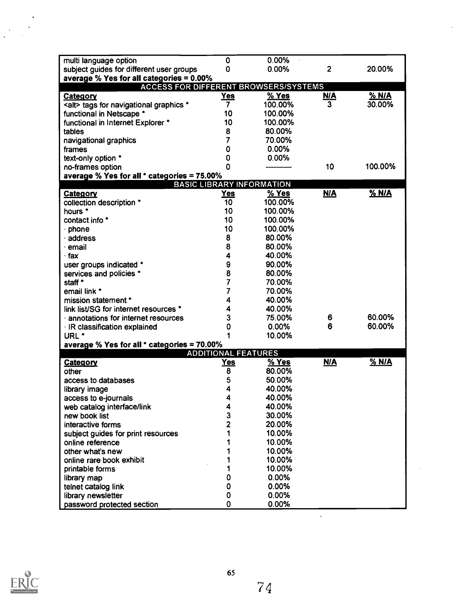| 0.00%<br>$\overline{2}$<br>20.00%<br>subject guides for different user groups<br>0<br>average % Yes for all categories = 0.00%<br>ACCESS FOR DIFFERENT BROWSERS/SYSTEMS<br>% Yes<br><u>% N/A</u><br><u>N/A</u><br><u>Yes</u><br><b>Category</b><br>3<br>30.00%<br>100.00%<br>$\mathbf{7}$<br><alt> tags for navigational graphics *<br/>10<br/>100.00%<br/>functional in Netscape *<br/>10<br/>100.00%<br/>functional in Internet Explorer *<br/>8<br/>80.00%<br/>tables<br/>7<br/>70.00%<br/>navigational graphics<br/>0.00%<br/>0<br/>frames<br/>0<br/>0.00%<br/>text-only option *<br/>0<br/>10<br/>100.00%<br/>no-frames option<br/>average % Yes for all * categories = 75.00%<br/><b>BASIC LIBRARY INFORMATION</b><br/>% Yes<br/><u>N/A</u><br/>% N/A<br/><u>Yes</u><br/><b>Category</b><br/>100.00%<br/>collection description *<br/>10<br/>10<br/>100.00%<br/>hours *<br/>10<br/>100.00%<br/>contact info *<br/>10<br/>100.00%<br/><math>\cdot</math> phone<br/>8<br/>80.00%<br/><math>\cdot</math> address<br/>8<br/>80.00%<br/><math>\cdot</math> email<br/>4<br/>40.00%<br/>∙ fax<br/>9<br/>90.00%<br/>user groups indicated *<br/>8<br/>80.00%<br/>services and policies *<br/>7<br/>70.00%<br/>staff *<br/>70.00%<br/>email link *<br/>40.00%<br/>mission statement *<br/>4<br/>4<br/>40.00%<br/>link list/SG for internet resources *<br/>3<br/>60.00%<br/>75.00%<br/>6<br/>annotations for internet resources<br/>6<br/>60.00%<br/>0.00%<br/>0<br/>· IR classification explained<br/>URL<sup>*</sup><br/>10.00%<br/>average % Yes for all * categories = 70.00%<br/><b>ADDITIONAL FEATURES</b><br/>% N/A<br/><u>N/A</u><br/>% Yes<br/><b>Yes</b><br/><b>Category</b><br/>8<br/>80.00%<br/>other<br/>5<br/>50.00%<br/>access to databases<br/>4<br/>40.00%<br/>library image<br/>4<br/>40.00%<br/>access to e-journals<br/>web catalog interface/link<br/>40.00%<br/>4<br/>3<br/>30.00%<br/>new book list<br/>2<br/>20.00%<br/>interactive forms<br/>10.00%<br/>subject guides for print resources</alt> |                       |             |        |  |
|------------------------------------------------------------------------------------------------------------------------------------------------------------------------------------------------------------------------------------------------------------------------------------------------------------------------------------------------------------------------------------------------------------------------------------------------------------------------------------------------------------------------------------------------------------------------------------------------------------------------------------------------------------------------------------------------------------------------------------------------------------------------------------------------------------------------------------------------------------------------------------------------------------------------------------------------------------------------------------------------------------------------------------------------------------------------------------------------------------------------------------------------------------------------------------------------------------------------------------------------------------------------------------------------------------------------------------------------------------------------------------------------------------------------------------------------------------------------------------------------------------------------------------------------------------------------------------------------------------------------------------------------------------------------------------------------------------------------------------------------------------------------------------------------------------------------------------------------------------------------------------------------------------------------------------------------------------------------------------------------------------------------|-----------------------|-------------|--------|--|
|                                                                                                                                                                                                                                                                                                                                                                                                                                                                                                                                                                                                                                                                                                                                                                                                                                                                                                                                                                                                                                                                                                                                                                                                                                                                                                                                                                                                                                                                                                                                                                                                                                                                                                                                                                                                                                                                                                                                                                                                                        | multi language option | $\mathbf 0$ | 0.00%  |  |
|                                                                                                                                                                                                                                                                                                                                                                                                                                                                                                                                                                                                                                                                                                                                                                                                                                                                                                                                                                                                                                                                                                                                                                                                                                                                                                                                                                                                                                                                                                                                                                                                                                                                                                                                                                                                                                                                                                                                                                                                                        |                       |             |        |  |
|                                                                                                                                                                                                                                                                                                                                                                                                                                                                                                                                                                                                                                                                                                                                                                                                                                                                                                                                                                                                                                                                                                                                                                                                                                                                                                                                                                                                                                                                                                                                                                                                                                                                                                                                                                                                                                                                                                                                                                                                                        |                       |             |        |  |
|                                                                                                                                                                                                                                                                                                                                                                                                                                                                                                                                                                                                                                                                                                                                                                                                                                                                                                                                                                                                                                                                                                                                                                                                                                                                                                                                                                                                                                                                                                                                                                                                                                                                                                                                                                                                                                                                                                                                                                                                                        |                       |             |        |  |
|                                                                                                                                                                                                                                                                                                                                                                                                                                                                                                                                                                                                                                                                                                                                                                                                                                                                                                                                                                                                                                                                                                                                                                                                                                                                                                                                                                                                                                                                                                                                                                                                                                                                                                                                                                                                                                                                                                                                                                                                                        |                       |             |        |  |
|                                                                                                                                                                                                                                                                                                                                                                                                                                                                                                                                                                                                                                                                                                                                                                                                                                                                                                                                                                                                                                                                                                                                                                                                                                                                                                                                                                                                                                                                                                                                                                                                                                                                                                                                                                                                                                                                                                                                                                                                                        |                       |             |        |  |
|                                                                                                                                                                                                                                                                                                                                                                                                                                                                                                                                                                                                                                                                                                                                                                                                                                                                                                                                                                                                                                                                                                                                                                                                                                                                                                                                                                                                                                                                                                                                                                                                                                                                                                                                                                                                                                                                                                                                                                                                                        |                       |             |        |  |
|                                                                                                                                                                                                                                                                                                                                                                                                                                                                                                                                                                                                                                                                                                                                                                                                                                                                                                                                                                                                                                                                                                                                                                                                                                                                                                                                                                                                                                                                                                                                                                                                                                                                                                                                                                                                                                                                                                                                                                                                                        |                       |             |        |  |
|                                                                                                                                                                                                                                                                                                                                                                                                                                                                                                                                                                                                                                                                                                                                                                                                                                                                                                                                                                                                                                                                                                                                                                                                                                                                                                                                                                                                                                                                                                                                                                                                                                                                                                                                                                                                                                                                                                                                                                                                                        |                       |             |        |  |
|                                                                                                                                                                                                                                                                                                                                                                                                                                                                                                                                                                                                                                                                                                                                                                                                                                                                                                                                                                                                                                                                                                                                                                                                                                                                                                                                                                                                                                                                                                                                                                                                                                                                                                                                                                                                                                                                                                                                                                                                                        |                       |             |        |  |
|                                                                                                                                                                                                                                                                                                                                                                                                                                                                                                                                                                                                                                                                                                                                                                                                                                                                                                                                                                                                                                                                                                                                                                                                                                                                                                                                                                                                                                                                                                                                                                                                                                                                                                                                                                                                                                                                                                                                                                                                                        |                       |             |        |  |
|                                                                                                                                                                                                                                                                                                                                                                                                                                                                                                                                                                                                                                                                                                                                                                                                                                                                                                                                                                                                                                                                                                                                                                                                                                                                                                                                                                                                                                                                                                                                                                                                                                                                                                                                                                                                                                                                                                                                                                                                                        |                       |             |        |  |
|                                                                                                                                                                                                                                                                                                                                                                                                                                                                                                                                                                                                                                                                                                                                                                                                                                                                                                                                                                                                                                                                                                                                                                                                                                                                                                                                                                                                                                                                                                                                                                                                                                                                                                                                                                                                                                                                                                                                                                                                                        |                       |             |        |  |
|                                                                                                                                                                                                                                                                                                                                                                                                                                                                                                                                                                                                                                                                                                                                                                                                                                                                                                                                                                                                                                                                                                                                                                                                                                                                                                                                                                                                                                                                                                                                                                                                                                                                                                                                                                                                                                                                                                                                                                                                                        |                       |             |        |  |
|                                                                                                                                                                                                                                                                                                                                                                                                                                                                                                                                                                                                                                                                                                                                                                                                                                                                                                                                                                                                                                                                                                                                                                                                                                                                                                                                                                                                                                                                                                                                                                                                                                                                                                                                                                                                                                                                                                                                                                                                                        |                       |             |        |  |
|                                                                                                                                                                                                                                                                                                                                                                                                                                                                                                                                                                                                                                                                                                                                                                                                                                                                                                                                                                                                                                                                                                                                                                                                                                                                                                                                                                                                                                                                                                                                                                                                                                                                                                                                                                                                                                                                                                                                                                                                                        |                       |             |        |  |
|                                                                                                                                                                                                                                                                                                                                                                                                                                                                                                                                                                                                                                                                                                                                                                                                                                                                                                                                                                                                                                                                                                                                                                                                                                                                                                                                                                                                                                                                                                                                                                                                                                                                                                                                                                                                                                                                                                                                                                                                                        |                       |             |        |  |
|                                                                                                                                                                                                                                                                                                                                                                                                                                                                                                                                                                                                                                                                                                                                                                                                                                                                                                                                                                                                                                                                                                                                                                                                                                                                                                                                                                                                                                                                                                                                                                                                                                                                                                                                                                                                                                                                                                                                                                                                                        |                       |             |        |  |
|                                                                                                                                                                                                                                                                                                                                                                                                                                                                                                                                                                                                                                                                                                                                                                                                                                                                                                                                                                                                                                                                                                                                                                                                                                                                                                                                                                                                                                                                                                                                                                                                                                                                                                                                                                                                                                                                                                                                                                                                                        |                       |             |        |  |
|                                                                                                                                                                                                                                                                                                                                                                                                                                                                                                                                                                                                                                                                                                                                                                                                                                                                                                                                                                                                                                                                                                                                                                                                                                                                                                                                                                                                                                                                                                                                                                                                                                                                                                                                                                                                                                                                                                                                                                                                                        |                       |             |        |  |
|                                                                                                                                                                                                                                                                                                                                                                                                                                                                                                                                                                                                                                                                                                                                                                                                                                                                                                                                                                                                                                                                                                                                                                                                                                                                                                                                                                                                                                                                                                                                                                                                                                                                                                                                                                                                                                                                                                                                                                                                                        |                       |             |        |  |
|                                                                                                                                                                                                                                                                                                                                                                                                                                                                                                                                                                                                                                                                                                                                                                                                                                                                                                                                                                                                                                                                                                                                                                                                                                                                                                                                                                                                                                                                                                                                                                                                                                                                                                                                                                                                                                                                                                                                                                                                                        |                       |             |        |  |
|                                                                                                                                                                                                                                                                                                                                                                                                                                                                                                                                                                                                                                                                                                                                                                                                                                                                                                                                                                                                                                                                                                                                                                                                                                                                                                                                                                                                                                                                                                                                                                                                                                                                                                                                                                                                                                                                                                                                                                                                                        |                       |             |        |  |
|                                                                                                                                                                                                                                                                                                                                                                                                                                                                                                                                                                                                                                                                                                                                                                                                                                                                                                                                                                                                                                                                                                                                                                                                                                                                                                                                                                                                                                                                                                                                                                                                                                                                                                                                                                                                                                                                                                                                                                                                                        |                       |             |        |  |
|                                                                                                                                                                                                                                                                                                                                                                                                                                                                                                                                                                                                                                                                                                                                                                                                                                                                                                                                                                                                                                                                                                                                                                                                                                                                                                                                                                                                                                                                                                                                                                                                                                                                                                                                                                                                                                                                                                                                                                                                                        |                       |             |        |  |
|                                                                                                                                                                                                                                                                                                                                                                                                                                                                                                                                                                                                                                                                                                                                                                                                                                                                                                                                                                                                                                                                                                                                                                                                                                                                                                                                                                                                                                                                                                                                                                                                                                                                                                                                                                                                                                                                                                                                                                                                                        |                       |             |        |  |
|                                                                                                                                                                                                                                                                                                                                                                                                                                                                                                                                                                                                                                                                                                                                                                                                                                                                                                                                                                                                                                                                                                                                                                                                                                                                                                                                                                                                                                                                                                                                                                                                                                                                                                                                                                                                                                                                                                                                                                                                                        |                       |             |        |  |
|                                                                                                                                                                                                                                                                                                                                                                                                                                                                                                                                                                                                                                                                                                                                                                                                                                                                                                                                                                                                                                                                                                                                                                                                                                                                                                                                                                                                                                                                                                                                                                                                                                                                                                                                                                                                                                                                                                                                                                                                                        |                       |             |        |  |
|                                                                                                                                                                                                                                                                                                                                                                                                                                                                                                                                                                                                                                                                                                                                                                                                                                                                                                                                                                                                                                                                                                                                                                                                                                                                                                                                                                                                                                                                                                                                                                                                                                                                                                                                                                                                                                                                                                                                                                                                                        |                       |             |        |  |
|                                                                                                                                                                                                                                                                                                                                                                                                                                                                                                                                                                                                                                                                                                                                                                                                                                                                                                                                                                                                                                                                                                                                                                                                                                                                                                                                                                                                                                                                                                                                                                                                                                                                                                                                                                                                                                                                                                                                                                                                                        |                       |             |        |  |
|                                                                                                                                                                                                                                                                                                                                                                                                                                                                                                                                                                                                                                                                                                                                                                                                                                                                                                                                                                                                                                                                                                                                                                                                                                                                                                                                                                                                                                                                                                                                                                                                                                                                                                                                                                                                                                                                                                                                                                                                                        |                       |             |        |  |
|                                                                                                                                                                                                                                                                                                                                                                                                                                                                                                                                                                                                                                                                                                                                                                                                                                                                                                                                                                                                                                                                                                                                                                                                                                                                                                                                                                                                                                                                                                                                                                                                                                                                                                                                                                                                                                                                                                                                                                                                                        |                       |             |        |  |
|                                                                                                                                                                                                                                                                                                                                                                                                                                                                                                                                                                                                                                                                                                                                                                                                                                                                                                                                                                                                                                                                                                                                                                                                                                                                                                                                                                                                                                                                                                                                                                                                                                                                                                                                                                                                                                                                                                                                                                                                                        |                       |             |        |  |
|                                                                                                                                                                                                                                                                                                                                                                                                                                                                                                                                                                                                                                                                                                                                                                                                                                                                                                                                                                                                                                                                                                                                                                                                                                                                                                                                                                                                                                                                                                                                                                                                                                                                                                                                                                                                                                                                                                                                                                                                                        |                       |             |        |  |
|                                                                                                                                                                                                                                                                                                                                                                                                                                                                                                                                                                                                                                                                                                                                                                                                                                                                                                                                                                                                                                                                                                                                                                                                                                                                                                                                                                                                                                                                                                                                                                                                                                                                                                                                                                                                                                                                                                                                                                                                                        |                       |             |        |  |
|                                                                                                                                                                                                                                                                                                                                                                                                                                                                                                                                                                                                                                                                                                                                                                                                                                                                                                                                                                                                                                                                                                                                                                                                                                                                                                                                                                                                                                                                                                                                                                                                                                                                                                                                                                                                                                                                                                                                                                                                                        |                       |             |        |  |
|                                                                                                                                                                                                                                                                                                                                                                                                                                                                                                                                                                                                                                                                                                                                                                                                                                                                                                                                                                                                                                                                                                                                                                                                                                                                                                                                                                                                                                                                                                                                                                                                                                                                                                                                                                                                                                                                                                                                                                                                                        |                       |             |        |  |
|                                                                                                                                                                                                                                                                                                                                                                                                                                                                                                                                                                                                                                                                                                                                                                                                                                                                                                                                                                                                                                                                                                                                                                                                                                                                                                                                                                                                                                                                                                                                                                                                                                                                                                                                                                                                                                                                                                                                                                                                                        |                       |             |        |  |
|                                                                                                                                                                                                                                                                                                                                                                                                                                                                                                                                                                                                                                                                                                                                                                                                                                                                                                                                                                                                                                                                                                                                                                                                                                                                                                                                                                                                                                                                                                                                                                                                                                                                                                                                                                                                                                                                                                                                                                                                                        |                       |             |        |  |
|                                                                                                                                                                                                                                                                                                                                                                                                                                                                                                                                                                                                                                                                                                                                                                                                                                                                                                                                                                                                                                                                                                                                                                                                                                                                                                                                                                                                                                                                                                                                                                                                                                                                                                                                                                                                                                                                                                                                                                                                                        |                       |             |        |  |
|                                                                                                                                                                                                                                                                                                                                                                                                                                                                                                                                                                                                                                                                                                                                                                                                                                                                                                                                                                                                                                                                                                                                                                                                                                                                                                                                                                                                                                                                                                                                                                                                                                                                                                                                                                                                                                                                                                                                                                                                                        |                       |             |        |  |
|                                                                                                                                                                                                                                                                                                                                                                                                                                                                                                                                                                                                                                                                                                                                                                                                                                                                                                                                                                                                                                                                                                                                                                                                                                                                                                                                                                                                                                                                                                                                                                                                                                                                                                                                                                                                                                                                                                                                                                                                                        |                       |             |        |  |
|                                                                                                                                                                                                                                                                                                                                                                                                                                                                                                                                                                                                                                                                                                                                                                                                                                                                                                                                                                                                                                                                                                                                                                                                                                                                                                                                                                                                                                                                                                                                                                                                                                                                                                                                                                                                                                                                                                                                                                                                                        |                       |             |        |  |
|                                                                                                                                                                                                                                                                                                                                                                                                                                                                                                                                                                                                                                                                                                                                                                                                                                                                                                                                                                                                                                                                                                                                                                                                                                                                                                                                                                                                                                                                                                                                                                                                                                                                                                                                                                                                                                                                                                                                                                                                                        | online reference      |             | 10.00% |  |
| other what's new<br>10.00%                                                                                                                                                                                                                                                                                                                                                                                                                                                                                                                                                                                                                                                                                                                                                                                                                                                                                                                                                                                                                                                                                                                                                                                                                                                                                                                                                                                                                                                                                                                                                                                                                                                                                                                                                                                                                                                                                                                                                                                             |                       |             |        |  |
| 10.00%<br>online rare book exhibit                                                                                                                                                                                                                                                                                                                                                                                                                                                                                                                                                                                                                                                                                                                                                                                                                                                                                                                                                                                                                                                                                                                                                                                                                                                                                                                                                                                                                                                                                                                                                                                                                                                                                                                                                                                                                                                                                                                                                                                     |                       |             |        |  |
| 10.00%<br>printable forms                                                                                                                                                                                                                                                                                                                                                                                                                                                                                                                                                                                                                                                                                                                                                                                                                                                                                                                                                                                                                                                                                                                                                                                                                                                                                                                                                                                                                                                                                                                                                                                                                                                                                                                                                                                                                                                                                                                                                                                              |                       |             |        |  |
| 0.00%<br>library map<br>0                                                                                                                                                                                                                                                                                                                                                                                                                                                                                                                                                                                                                                                                                                                                                                                                                                                                                                                                                                                                                                                                                                                                                                                                                                                                                                                                                                                                                                                                                                                                                                                                                                                                                                                                                                                                                                                                                                                                                                                              |                       |             |        |  |
| 0<br>telnet catalog link<br>0.00%                                                                                                                                                                                                                                                                                                                                                                                                                                                                                                                                                                                                                                                                                                                                                                                                                                                                                                                                                                                                                                                                                                                                                                                                                                                                                                                                                                                                                                                                                                                                                                                                                                                                                                                                                                                                                                                                                                                                                                                      |                       |             |        |  |
| 0.00%<br>library newsletter<br>0                                                                                                                                                                                                                                                                                                                                                                                                                                                                                                                                                                                                                                                                                                                                                                                                                                                                                                                                                                                                                                                                                                                                                                                                                                                                                                                                                                                                                                                                                                                                                                                                                                                                                                                                                                                                                                                                                                                                                                                       |                       |             |        |  |
| 0<br>0.00%<br>password protected section                                                                                                                                                                                                                                                                                                                                                                                                                                                                                                                                                                                                                                                                                                                                                                                                                                                                                                                                                                                                                                                                                                                                                                                                                                                                                                                                                                                                                                                                                                                                                                                                                                                                                                                                                                                                                                                                                                                                                                               |                       |             |        |  |



7 4

 $\ddot{\phantom{0}}$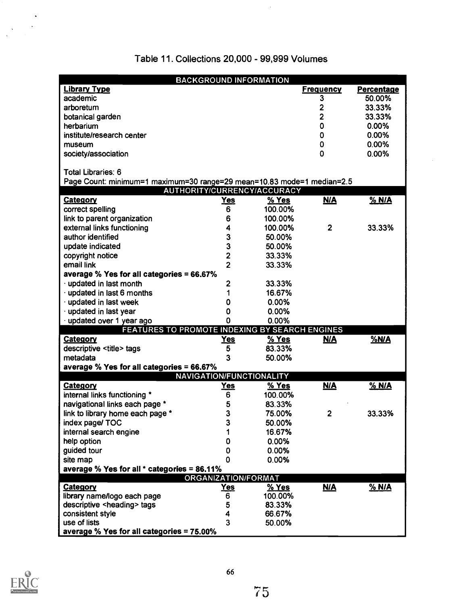|                                                                        |                | <b>BACKGROUND INFORMATION</b> |                  |                   |
|------------------------------------------------------------------------|----------------|-------------------------------|------------------|-------------------|
| <b>Library Type</b>                                                    |                |                               | <b>Frequency</b> | <b>Percentage</b> |
| academic                                                               |                |                               | 3                | 50.00%            |
| arboretum                                                              |                |                               | 2                | 33.33%            |
| botanical garden                                                       |                |                               | $\overline{2}$   | 33.33%            |
| herbarium                                                              |                |                               | $\mathbf 0$      | 0.00%             |
| institute/research center                                              |                |                               | $\mathbf 0$      | 0.00%             |
| museum                                                                 |                |                               | $\mathbf 0$      | 0.00%             |
| society/association                                                    |                |                               | $\mathbf 0$      | 0.00%             |
|                                                                        |                |                               |                  |                   |
| <b>Total Libraries: 6</b>                                              |                |                               |                  |                   |
| Page Count: minimum=1 maximum=30 range=29 mean=10.83 mode=1 median=2.5 |                |                               |                  |                   |
|                                                                        |                | AUTHORITY/CURRENCY/ACCURACY   |                  |                   |
| Category                                                               | <u>Yes</u>     | % Yes                         | <b>N/A</b>       | % N/A             |
| correct spelling                                                       | 6              | 100.00%                       |                  |                   |
| link to parent organization                                            | 6              | 100.00%                       |                  |                   |
| external links functioning                                             | 4              | 100.00%                       | $\overline{2}$   | 33.33%            |
| author identified                                                      | 3              | 50.00%                        |                  |                   |
| update indicated                                                       | 3              | 50.00%                        |                  |                   |
| copyright notice                                                       | $\overline{2}$ | 33.33%                        |                  |                   |
| email link                                                             | $\overline{2}$ | 33.33%                        |                  |                   |
| average % Yes for all categories = 66.67%                              |                |                               |                  |                   |
| · updated in last month                                                | 2              | 33.33%                        |                  |                   |
| · updated in last 6 months                                             | 1              | 16.67%                        |                  |                   |
| · updated in last week                                                 | 0              | 0.00%                         |                  |                   |
| · updated in last year                                                 | 0              | 0.00%                         |                  |                   |
| updated over 1 year ago                                                | 0              | 0.00%                         |                  |                   |
| FEATURES TO PROMOTE INDEXING BY SEARCH ENGINES                         |                |                               |                  |                   |
| <b>Category</b>                                                        | <u>Yes</u>     | $%$ Yes                       | <u>N/A</u>       | $%$ N/A           |
| descriptive <title> tags</title>                                       | 5              | 83.33%                        |                  |                   |
| metadata                                                               | 3              | 50.00%                        |                  |                   |
| average % Yes for all categories = 66.67%                              |                |                               |                  |                   |
|                                                                        |                | NAVIGATION/FUNCTIONALITY      |                  |                   |
| Category                                                               | Yes            | $%$ Yes                       | <b>N/A</b>       | % N/A             |
| internal links functioning *                                           | 6              | 100.00%                       |                  |                   |
| navigational links each page *                                         | 5              | 83.33%                        |                  |                   |
| link to library home each page *                                       | 3              | 75.00%                        | $\mathbf{2}$     | 33.33%            |
| index page/ TOC                                                        | 3              | 50.00%                        |                  |                   |
| internal search engine                                                 |                | 16.67%                        |                  |                   |
| help option                                                            | 0              | 0.00%                         |                  |                   |
| guided tour                                                            | 0              | 0.00%                         |                  |                   |
| site map                                                               | 0              | 0.00%                         |                  |                   |
| average % Yes for all * categories = 86.11%                            |                |                               |                  |                   |
|                                                                        |                | <b>ORGANIZATION/FORMAT</b>    |                  |                   |
| <b>Category</b>                                                        | <u>Yes</u>     | % Yes                         | <b>N/A</b>       | % N/A             |
| library name/logo each page                                            | 6              | 100.00%                       |                  |                   |
| descriptive <heading> tags</heading>                                   | 5              | 83.33%                        |                  |                   |
| consistent style                                                       | 4              | 66.67%                        |                  |                   |
| use of lists                                                           | 3              | 50.00%                        |                  |                   |
| average % Yes for all categories = 75.00%                              |                |                               |                  |                   |

# Table 11. Collections 20,000 - 99,999 Volumes

 $\hat{\boldsymbol{\beta}}$ 



 $\ddot{\phantom{0}}$ 

 $\frac{\Delta}{\sqrt{2}}$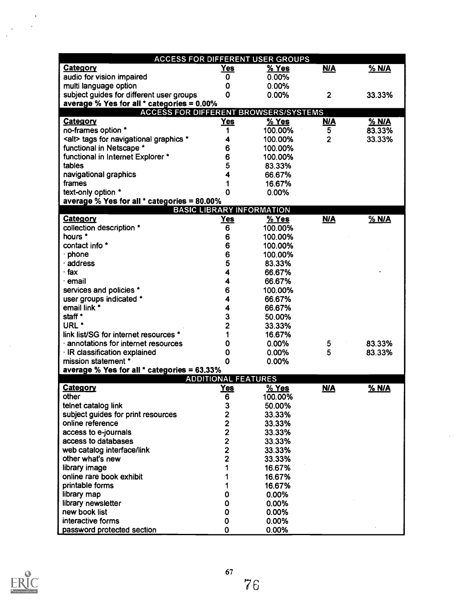| $\frac{6}{26}$ Yes<br>Category<br><b>N/A</b><br><u>Yes</u><br>% N/A<br>audio for vision impaired<br>0.00%<br>0<br>٥<br>multi language option<br>0.00%<br>subject guides for different user groups<br>O<br>0.00%<br>$\overline{2}$<br>33.33%<br>average % Yes for all * categories = 0.00%<br><b>ACCESS FOR DIFFERENT BROWSERS/SYSTEMS</b><br>% Yes<br><b>Category</b><br><u>Yes</u><br><u>N/A</u><br>% N/A<br>no-frames option *<br>5<br>83.33%<br>1<br>100.00%<br>$\overline{2}$<br><alt> tags for navigational graphics *<br/>100.00%<br/>33.33%<br/>4<br/>6<br/>functional in Netscape *<br/>100.00%<br/>6<br/>functional in Internet Explorer *<br/>100.00%<br/>5<br/>tables<br/>83.33%<br/>navigational graphics<br/>4<br/>66.67%<br/>frames<br/>1<br/>16.67%<br/>0<br/>text-only option *<br/>0.00%<br/>average % Yes for all * categories = 80.00%<br/><b>BASIC LIBRARY INFORMATION</b><br/><b>N/A</b><br/><b>Category</b><br/><math>%</math> Yes<br/>% N/A<br/><u>Yes</u><br/>collection description *<br/>6<br/>100.00%<br/>6<br/>hours *<br/>100.00%<br/>6<br/>contact info *<br/>100.00%<br/>6<br/>phone<br/>100.00%<br/>5<br/>address<br/>83.33%<br/>4<br/>66.67%<br/>· fax<br/>4<br/>66.67%<br/>· email<br/>6<br/>services and policies *<br/>100.00%<br/>4<br/>user groups indicated *<br/>66.67%<br/>email link *<br/>4<br/>66.67%<br/>3<br/>staff *<br/>50.00%<br/><math>\overline{2}</math><br/>URL<sup>*</sup><br/>33.33%<br/>1<br/>link list/SG for internet resources<br/>16.67%<br/>0<br/>5<br/>annotations for internet resources<br/>0.00%<br/>83.33%<br/>5<br/>· IR classification explained<br/>0<br/>83.33%<br/>0.00%<br/>mission statement *<br/>0<br/>0.00%<br/>average % Yes for all * categories = 63.33%<br/><b>ADDITIONAL FEATURES</b><br/>Category<br/><u>N/A</u><br/>% N/A<br/>Yes<br/>% Yes<br/>other<br/>6<br/>100.00%<br/>3<br/>telnet catalog link<br/>50.00%<br/><math>\overline{\mathbf{c}}</math><br/>subject guides for print resources<br/>33.33%<br/><math>\overline{\mathbf{2}}</math><br/>online reference<br/>33.33%<br/><math>\overline{\mathbf{2}}</math><br/>access to e-journals<br/>33.33%<br/><math>\overline{\mathbf{c}}</math><br/>access to databases<br/>33.33%<br/><math>\overline{\mathbf{c}}</math><br/>web catalog interface/link<br/>33.33%<br/><math>\overline{2}</math><br/>other what's new<br/>33.33%<br/>library image<br/>16.67%<br/>online rare book exhibit<br/>16.67%<br/>printable forms<br/>16.67%<br/>library map<br/>0<br/>0.00%<br/>library newsletter<br/>0<br/>0.00%<br/>new book list<br/>0<br/>0.00%<br/>interactive forms<br/>0.00%<br/>0</alt> |                            |   | <b>ACCESS FOR DIFFERENT USER GROUPS</b> |  |
|----------------------------------------------------------------------------------------------------------------------------------------------------------------------------------------------------------------------------------------------------------------------------------------------------------------------------------------------------------------------------------------------------------------------------------------------------------------------------------------------------------------------------------------------------------------------------------------------------------------------------------------------------------------------------------------------------------------------------------------------------------------------------------------------------------------------------------------------------------------------------------------------------------------------------------------------------------------------------------------------------------------------------------------------------------------------------------------------------------------------------------------------------------------------------------------------------------------------------------------------------------------------------------------------------------------------------------------------------------------------------------------------------------------------------------------------------------------------------------------------------------------------------------------------------------------------------------------------------------------------------------------------------------------------------------------------------------------------------------------------------------------------------------------------------------------------------------------------------------------------------------------------------------------------------------------------------------------------------------------------------------------------------------------------------------------------------------------------------------------------------------------------------------------------------------------------------------------------------------------------------------------------------------------------------------------------------------------------------------------------------------------------------------------------------------------------------------------------------------------------------------------------------------------------------------------------------------------------------------------------------------|----------------------------|---|-----------------------------------------|--|
|                                                                                                                                                                                                                                                                                                                                                                                                                                                                                                                                                                                                                                                                                                                                                                                                                                                                                                                                                                                                                                                                                                                                                                                                                                                                                                                                                                                                                                                                                                                                                                                                                                                                                                                                                                                                                                                                                                                                                                                                                                                                                                                                                                                                                                                                                                                                                                                                                                                                                                                                                                                                                                  |                            |   |                                         |  |
|                                                                                                                                                                                                                                                                                                                                                                                                                                                                                                                                                                                                                                                                                                                                                                                                                                                                                                                                                                                                                                                                                                                                                                                                                                                                                                                                                                                                                                                                                                                                                                                                                                                                                                                                                                                                                                                                                                                                                                                                                                                                                                                                                                                                                                                                                                                                                                                                                                                                                                                                                                                                                                  |                            |   |                                         |  |
|                                                                                                                                                                                                                                                                                                                                                                                                                                                                                                                                                                                                                                                                                                                                                                                                                                                                                                                                                                                                                                                                                                                                                                                                                                                                                                                                                                                                                                                                                                                                                                                                                                                                                                                                                                                                                                                                                                                                                                                                                                                                                                                                                                                                                                                                                                                                                                                                                                                                                                                                                                                                                                  |                            |   |                                         |  |
|                                                                                                                                                                                                                                                                                                                                                                                                                                                                                                                                                                                                                                                                                                                                                                                                                                                                                                                                                                                                                                                                                                                                                                                                                                                                                                                                                                                                                                                                                                                                                                                                                                                                                                                                                                                                                                                                                                                                                                                                                                                                                                                                                                                                                                                                                                                                                                                                                                                                                                                                                                                                                                  |                            |   |                                         |  |
|                                                                                                                                                                                                                                                                                                                                                                                                                                                                                                                                                                                                                                                                                                                                                                                                                                                                                                                                                                                                                                                                                                                                                                                                                                                                                                                                                                                                                                                                                                                                                                                                                                                                                                                                                                                                                                                                                                                                                                                                                                                                                                                                                                                                                                                                                                                                                                                                                                                                                                                                                                                                                                  |                            |   |                                         |  |
|                                                                                                                                                                                                                                                                                                                                                                                                                                                                                                                                                                                                                                                                                                                                                                                                                                                                                                                                                                                                                                                                                                                                                                                                                                                                                                                                                                                                                                                                                                                                                                                                                                                                                                                                                                                                                                                                                                                                                                                                                                                                                                                                                                                                                                                                                                                                                                                                                                                                                                                                                                                                                                  |                            |   |                                         |  |
|                                                                                                                                                                                                                                                                                                                                                                                                                                                                                                                                                                                                                                                                                                                                                                                                                                                                                                                                                                                                                                                                                                                                                                                                                                                                                                                                                                                                                                                                                                                                                                                                                                                                                                                                                                                                                                                                                                                                                                                                                                                                                                                                                                                                                                                                                                                                                                                                                                                                                                                                                                                                                                  |                            |   |                                         |  |
|                                                                                                                                                                                                                                                                                                                                                                                                                                                                                                                                                                                                                                                                                                                                                                                                                                                                                                                                                                                                                                                                                                                                                                                                                                                                                                                                                                                                                                                                                                                                                                                                                                                                                                                                                                                                                                                                                                                                                                                                                                                                                                                                                                                                                                                                                                                                                                                                                                                                                                                                                                                                                                  |                            |   |                                         |  |
|                                                                                                                                                                                                                                                                                                                                                                                                                                                                                                                                                                                                                                                                                                                                                                                                                                                                                                                                                                                                                                                                                                                                                                                                                                                                                                                                                                                                                                                                                                                                                                                                                                                                                                                                                                                                                                                                                                                                                                                                                                                                                                                                                                                                                                                                                                                                                                                                                                                                                                                                                                                                                                  |                            |   |                                         |  |
|                                                                                                                                                                                                                                                                                                                                                                                                                                                                                                                                                                                                                                                                                                                                                                                                                                                                                                                                                                                                                                                                                                                                                                                                                                                                                                                                                                                                                                                                                                                                                                                                                                                                                                                                                                                                                                                                                                                                                                                                                                                                                                                                                                                                                                                                                                                                                                                                                                                                                                                                                                                                                                  |                            |   |                                         |  |
|                                                                                                                                                                                                                                                                                                                                                                                                                                                                                                                                                                                                                                                                                                                                                                                                                                                                                                                                                                                                                                                                                                                                                                                                                                                                                                                                                                                                                                                                                                                                                                                                                                                                                                                                                                                                                                                                                                                                                                                                                                                                                                                                                                                                                                                                                                                                                                                                                                                                                                                                                                                                                                  |                            |   |                                         |  |
|                                                                                                                                                                                                                                                                                                                                                                                                                                                                                                                                                                                                                                                                                                                                                                                                                                                                                                                                                                                                                                                                                                                                                                                                                                                                                                                                                                                                                                                                                                                                                                                                                                                                                                                                                                                                                                                                                                                                                                                                                                                                                                                                                                                                                                                                                                                                                                                                                                                                                                                                                                                                                                  |                            |   |                                         |  |
|                                                                                                                                                                                                                                                                                                                                                                                                                                                                                                                                                                                                                                                                                                                                                                                                                                                                                                                                                                                                                                                                                                                                                                                                                                                                                                                                                                                                                                                                                                                                                                                                                                                                                                                                                                                                                                                                                                                                                                                                                                                                                                                                                                                                                                                                                                                                                                                                                                                                                                                                                                                                                                  |                            |   |                                         |  |
|                                                                                                                                                                                                                                                                                                                                                                                                                                                                                                                                                                                                                                                                                                                                                                                                                                                                                                                                                                                                                                                                                                                                                                                                                                                                                                                                                                                                                                                                                                                                                                                                                                                                                                                                                                                                                                                                                                                                                                                                                                                                                                                                                                                                                                                                                                                                                                                                                                                                                                                                                                                                                                  |                            |   |                                         |  |
|                                                                                                                                                                                                                                                                                                                                                                                                                                                                                                                                                                                                                                                                                                                                                                                                                                                                                                                                                                                                                                                                                                                                                                                                                                                                                                                                                                                                                                                                                                                                                                                                                                                                                                                                                                                                                                                                                                                                                                                                                                                                                                                                                                                                                                                                                                                                                                                                                                                                                                                                                                                                                                  |                            |   |                                         |  |
|                                                                                                                                                                                                                                                                                                                                                                                                                                                                                                                                                                                                                                                                                                                                                                                                                                                                                                                                                                                                                                                                                                                                                                                                                                                                                                                                                                                                                                                                                                                                                                                                                                                                                                                                                                                                                                                                                                                                                                                                                                                                                                                                                                                                                                                                                                                                                                                                                                                                                                                                                                                                                                  |                            |   |                                         |  |
|                                                                                                                                                                                                                                                                                                                                                                                                                                                                                                                                                                                                                                                                                                                                                                                                                                                                                                                                                                                                                                                                                                                                                                                                                                                                                                                                                                                                                                                                                                                                                                                                                                                                                                                                                                                                                                                                                                                                                                                                                                                                                                                                                                                                                                                                                                                                                                                                                                                                                                                                                                                                                                  |                            |   |                                         |  |
|                                                                                                                                                                                                                                                                                                                                                                                                                                                                                                                                                                                                                                                                                                                                                                                                                                                                                                                                                                                                                                                                                                                                                                                                                                                                                                                                                                                                                                                                                                                                                                                                                                                                                                                                                                                                                                                                                                                                                                                                                                                                                                                                                                                                                                                                                                                                                                                                                                                                                                                                                                                                                                  |                            |   |                                         |  |
|                                                                                                                                                                                                                                                                                                                                                                                                                                                                                                                                                                                                                                                                                                                                                                                                                                                                                                                                                                                                                                                                                                                                                                                                                                                                                                                                                                                                                                                                                                                                                                                                                                                                                                                                                                                                                                                                                                                                                                                                                                                                                                                                                                                                                                                                                                                                                                                                                                                                                                                                                                                                                                  |                            |   |                                         |  |
|                                                                                                                                                                                                                                                                                                                                                                                                                                                                                                                                                                                                                                                                                                                                                                                                                                                                                                                                                                                                                                                                                                                                                                                                                                                                                                                                                                                                                                                                                                                                                                                                                                                                                                                                                                                                                                                                                                                                                                                                                                                                                                                                                                                                                                                                                                                                                                                                                                                                                                                                                                                                                                  |                            |   |                                         |  |
|                                                                                                                                                                                                                                                                                                                                                                                                                                                                                                                                                                                                                                                                                                                                                                                                                                                                                                                                                                                                                                                                                                                                                                                                                                                                                                                                                                                                                                                                                                                                                                                                                                                                                                                                                                                                                                                                                                                                                                                                                                                                                                                                                                                                                                                                                                                                                                                                                                                                                                                                                                                                                                  |                            |   |                                         |  |
|                                                                                                                                                                                                                                                                                                                                                                                                                                                                                                                                                                                                                                                                                                                                                                                                                                                                                                                                                                                                                                                                                                                                                                                                                                                                                                                                                                                                                                                                                                                                                                                                                                                                                                                                                                                                                                                                                                                                                                                                                                                                                                                                                                                                                                                                                                                                                                                                                                                                                                                                                                                                                                  |                            |   |                                         |  |
|                                                                                                                                                                                                                                                                                                                                                                                                                                                                                                                                                                                                                                                                                                                                                                                                                                                                                                                                                                                                                                                                                                                                                                                                                                                                                                                                                                                                                                                                                                                                                                                                                                                                                                                                                                                                                                                                                                                                                                                                                                                                                                                                                                                                                                                                                                                                                                                                                                                                                                                                                                                                                                  |                            |   |                                         |  |
|                                                                                                                                                                                                                                                                                                                                                                                                                                                                                                                                                                                                                                                                                                                                                                                                                                                                                                                                                                                                                                                                                                                                                                                                                                                                                                                                                                                                                                                                                                                                                                                                                                                                                                                                                                                                                                                                                                                                                                                                                                                                                                                                                                                                                                                                                                                                                                                                                                                                                                                                                                                                                                  |                            |   |                                         |  |
|                                                                                                                                                                                                                                                                                                                                                                                                                                                                                                                                                                                                                                                                                                                                                                                                                                                                                                                                                                                                                                                                                                                                                                                                                                                                                                                                                                                                                                                                                                                                                                                                                                                                                                                                                                                                                                                                                                                                                                                                                                                                                                                                                                                                                                                                                                                                                                                                                                                                                                                                                                                                                                  |                            |   |                                         |  |
|                                                                                                                                                                                                                                                                                                                                                                                                                                                                                                                                                                                                                                                                                                                                                                                                                                                                                                                                                                                                                                                                                                                                                                                                                                                                                                                                                                                                                                                                                                                                                                                                                                                                                                                                                                                                                                                                                                                                                                                                                                                                                                                                                                                                                                                                                                                                                                                                                                                                                                                                                                                                                                  |                            |   |                                         |  |
|                                                                                                                                                                                                                                                                                                                                                                                                                                                                                                                                                                                                                                                                                                                                                                                                                                                                                                                                                                                                                                                                                                                                                                                                                                                                                                                                                                                                                                                                                                                                                                                                                                                                                                                                                                                                                                                                                                                                                                                                                                                                                                                                                                                                                                                                                                                                                                                                                                                                                                                                                                                                                                  |                            |   |                                         |  |
|                                                                                                                                                                                                                                                                                                                                                                                                                                                                                                                                                                                                                                                                                                                                                                                                                                                                                                                                                                                                                                                                                                                                                                                                                                                                                                                                                                                                                                                                                                                                                                                                                                                                                                                                                                                                                                                                                                                                                                                                                                                                                                                                                                                                                                                                                                                                                                                                                                                                                                                                                                                                                                  |                            |   |                                         |  |
|                                                                                                                                                                                                                                                                                                                                                                                                                                                                                                                                                                                                                                                                                                                                                                                                                                                                                                                                                                                                                                                                                                                                                                                                                                                                                                                                                                                                                                                                                                                                                                                                                                                                                                                                                                                                                                                                                                                                                                                                                                                                                                                                                                                                                                                                                                                                                                                                                                                                                                                                                                                                                                  |                            |   |                                         |  |
|                                                                                                                                                                                                                                                                                                                                                                                                                                                                                                                                                                                                                                                                                                                                                                                                                                                                                                                                                                                                                                                                                                                                                                                                                                                                                                                                                                                                                                                                                                                                                                                                                                                                                                                                                                                                                                                                                                                                                                                                                                                                                                                                                                                                                                                                                                                                                                                                                                                                                                                                                                                                                                  |                            |   |                                         |  |
|                                                                                                                                                                                                                                                                                                                                                                                                                                                                                                                                                                                                                                                                                                                                                                                                                                                                                                                                                                                                                                                                                                                                                                                                                                                                                                                                                                                                                                                                                                                                                                                                                                                                                                                                                                                                                                                                                                                                                                                                                                                                                                                                                                                                                                                                                                                                                                                                                                                                                                                                                                                                                                  |                            |   |                                         |  |
|                                                                                                                                                                                                                                                                                                                                                                                                                                                                                                                                                                                                                                                                                                                                                                                                                                                                                                                                                                                                                                                                                                                                                                                                                                                                                                                                                                                                                                                                                                                                                                                                                                                                                                                                                                                                                                                                                                                                                                                                                                                                                                                                                                                                                                                                                                                                                                                                                                                                                                                                                                                                                                  |                            |   |                                         |  |
|                                                                                                                                                                                                                                                                                                                                                                                                                                                                                                                                                                                                                                                                                                                                                                                                                                                                                                                                                                                                                                                                                                                                                                                                                                                                                                                                                                                                                                                                                                                                                                                                                                                                                                                                                                                                                                                                                                                                                                                                                                                                                                                                                                                                                                                                                                                                                                                                                                                                                                                                                                                                                                  |                            |   |                                         |  |
|                                                                                                                                                                                                                                                                                                                                                                                                                                                                                                                                                                                                                                                                                                                                                                                                                                                                                                                                                                                                                                                                                                                                                                                                                                                                                                                                                                                                                                                                                                                                                                                                                                                                                                                                                                                                                                                                                                                                                                                                                                                                                                                                                                                                                                                                                                                                                                                                                                                                                                                                                                                                                                  |                            |   |                                         |  |
|                                                                                                                                                                                                                                                                                                                                                                                                                                                                                                                                                                                                                                                                                                                                                                                                                                                                                                                                                                                                                                                                                                                                                                                                                                                                                                                                                                                                                                                                                                                                                                                                                                                                                                                                                                                                                                                                                                                                                                                                                                                                                                                                                                                                                                                                                                                                                                                                                                                                                                                                                                                                                                  |                            |   |                                         |  |
|                                                                                                                                                                                                                                                                                                                                                                                                                                                                                                                                                                                                                                                                                                                                                                                                                                                                                                                                                                                                                                                                                                                                                                                                                                                                                                                                                                                                                                                                                                                                                                                                                                                                                                                                                                                                                                                                                                                                                                                                                                                                                                                                                                                                                                                                                                                                                                                                                                                                                                                                                                                                                                  |                            |   |                                         |  |
|                                                                                                                                                                                                                                                                                                                                                                                                                                                                                                                                                                                                                                                                                                                                                                                                                                                                                                                                                                                                                                                                                                                                                                                                                                                                                                                                                                                                                                                                                                                                                                                                                                                                                                                                                                                                                                                                                                                                                                                                                                                                                                                                                                                                                                                                                                                                                                                                                                                                                                                                                                                                                                  |                            |   |                                         |  |
|                                                                                                                                                                                                                                                                                                                                                                                                                                                                                                                                                                                                                                                                                                                                                                                                                                                                                                                                                                                                                                                                                                                                                                                                                                                                                                                                                                                                                                                                                                                                                                                                                                                                                                                                                                                                                                                                                                                                                                                                                                                                                                                                                                                                                                                                                                                                                                                                                                                                                                                                                                                                                                  |                            |   |                                         |  |
|                                                                                                                                                                                                                                                                                                                                                                                                                                                                                                                                                                                                                                                                                                                                                                                                                                                                                                                                                                                                                                                                                                                                                                                                                                                                                                                                                                                                                                                                                                                                                                                                                                                                                                                                                                                                                                                                                                                                                                                                                                                                                                                                                                                                                                                                                                                                                                                                                                                                                                                                                                                                                                  |                            |   |                                         |  |
|                                                                                                                                                                                                                                                                                                                                                                                                                                                                                                                                                                                                                                                                                                                                                                                                                                                                                                                                                                                                                                                                                                                                                                                                                                                                                                                                                                                                                                                                                                                                                                                                                                                                                                                                                                                                                                                                                                                                                                                                                                                                                                                                                                                                                                                                                                                                                                                                                                                                                                                                                                                                                                  |                            |   |                                         |  |
|                                                                                                                                                                                                                                                                                                                                                                                                                                                                                                                                                                                                                                                                                                                                                                                                                                                                                                                                                                                                                                                                                                                                                                                                                                                                                                                                                                                                                                                                                                                                                                                                                                                                                                                                                                                                                                                                                                                                                                                                                                                                                                                                                                                                                                                                                                                                                                                                                                                                                                                                                                                                                                  |                            |   |                                         |  |
|                                                                                                                                                                                                                                                                                                                                                                                                                                                                                                                                                                                                                                                                                                                                                                                                                                                                                                                                                                                                                                                                                                                                                                                                                                                                                                                                                                                                                                                                                                                                                                                                                                                                                                                                                                                                                                                                                                                                                                                                                                                                                                                                                                                                                                                                                                                                                                                                                                                                                                                                                                                                                                  |                            |   |                                         |  |
|                                                                                                                                                                                                                                                                                                                                                                                                                                                                                                                                                                                                                                                                                                                                                                                                                                                                                                                                                                                                                                                                                                                                                                                                                                                                                                                                                                                                                                                                                                                                                                                                                                                                                                                                                                                                                                                                                                                                                                                                                                                                                                                                                                                                                                                                                                                                                                                                                                                                                                                                                                                                                                  |                            |   |                                         |  |
|                                                                                                                                                                                                                                                                                                                                                                                                                                                                                                                                                                                                                                                                                                                                                                                                                                                                                                                                                                                                                                                                                                                                                                                                                                                                                                                                                                                                                                                                                                                                                                                                                                                                                                                                                                                                                                                                                                                                                                                                                                                                                                                                                                                                                                                                                                                                                                                                                                                                                                                                                                                                                                  |                            |   |                                         |  |
|                                                                                                                                                                                                                                                                                                                                                                                                                                                                                                                                                                                                                                                                                                                                                                                                                                                                                                                                                                                                                                                                                                                                                                                                                                                                                                                                                                                                                                                                                                                                                                                                                                                                                                                                                                                                                                                                                                                                                                                                                                                                                                                                                                                                                                                                                                                                                                                                                                                                                                                                                                                                                                  |                            |   |                                         |  |
|                                                                                                                                                                                                                                                                                                                                                                                                                                                                                                                                                                                                                                                                                                                                                                                                                                                                                                                                                                                                                                                                                                                                                                                                                                                                                                                                                                                                                                                                                                                                                                                                                                                                                                                                                                                                                                                                                                                                                                                                                                                                                                                                                                                                                                                                                                                                                                                                                                                                                                                                                                                                                                  |                            |   |                                         |  |
|                                                                                                                                                                                                                                                                                                                                                                                                                                                                                                                                                                                                                                                                                                                                                                                                                                                                                                                                                                                                                                                                                                                                                                                                                                                                                                                                                                                                                                                                                                                                                                                                                                                                                                                                                                                                                                                                                                                                                                                                                                                                                                                                                                                                                                                                                                                                                                                                                                                                                                                                                                                                                                  |                            |   |                                         |  |
|                                                                                                                                                                                                                                                                                                                                                                                                                                                                                                                                                                                                                                                                                                                                                                                                                                                                                                                                                                                                                                                                                                                                                                                                                                                                                                                                                                                                                                                                                                                                                                                                                                                                                                                                                                                                                                                                                                                                                                                                                                                                                                                                                                                                                                                                                                                                                                                                                                                                                                                                                                                                                                  |                            |   |                                         |  |
|                                                                                                                                                                                                                                                                                                                                                                                                                                                                                                                                                                                                                                                                                                                                                                                                                                                                                                                                                                                                                                                                                                                                                                                                                                                                                                                                                                                                                                                                                                                                                                                                                                                                                                                                                                                                                                                                                                                                                                                                                                                                                                                                                                                                                                                                                                                                                                                                                                                                                                                                                                                                                                  |                            |   |                                         |  |
|                                                                                                                                                                                                                                                                                                                                                                                                                                                                                                                                                                                                                                                                                                                                                                                                                                                                                                                                                                                                                                                                                                                                                                                                                                                                                                                                                                                                                                                                                                                                                                                                                                                                                                                                                                                                                                                                                                                                                                                                                                                                                                                                                                                                                                                                                                                                                                                                                                                                                                                                                                                                                                  |                            |   |                                         |  |
|                                                                                                                                                                                                                                                                                                                                                                                                                                                                                                                                                                                                                                                                                                                                                                                                                                                                                                                                                                                                                                                                                                                                                                                                                                                                                                                                                                                                                                                                                                                                                                                                                                                                                                                                                                                                                                                                                                                                                                                                                                                                                                                                                                                                                                                                                                                                                                                                                                                                                                                                                                                                                                  |                            |   |                                         |  |
|                                                                                                                                                                                                                                                                                                                                                                                                                                                                                                                                                                                                                                                                                                                                                                                                                                                                                                                                                                                                                                                                                                                                                                                                                                                                                                                                                                                                                                                                                                                                                                                                                                                                                                                                                                                                                                                                                                                                                                                                                                                                                                                                                                                                                                                                                                                                                                                                                                                                                                                                                                                                                                  | password protected section | 0 | 0.00%                                   |  |



 $\bar{\mathbf{r}}$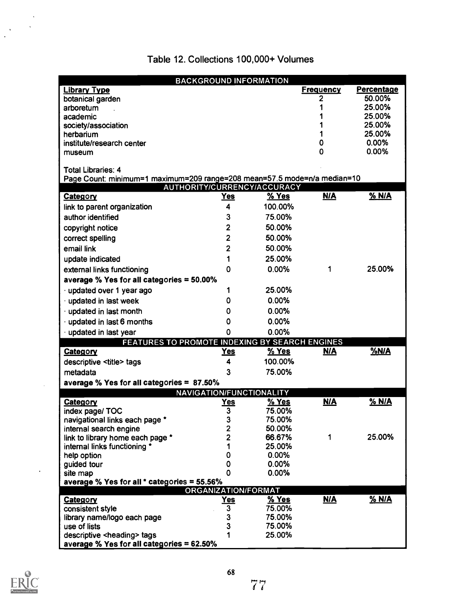|                                                                                                  |                     | <b>BACKGROUND INFORMATION</b> |                  |                   |
|--------------------------------------------------------------------------------------------------|---------------------|-------------------------------|------------------|-------------------|
| <b>Library Type</b>                                                                              |                     |                               | <b>Frequency</b> | <b>Percentage</b> |
| botanical garden                                                                                 |                     |                               |                  | 50.00%            |
| arboretum                                                                                        |                     |                               |                  | 25.00%            |
| academic                                                                                         |                     |                               |                  | 25.00%            |
| society/association                                                                              |                     |                               |                  | 25.00%            |
| herbarium                                                                                        |                     |                               |                  | 25.00%            |
| institute/research center                                                                        |                     |                               |                  | 0.00%             |
| museum                                                                                           |                     |                               | ი                | 0.00%             |
|                                                                                                  |                     |                               |                  |                   |
| <b>Total Libraries: 4</b>                                                                        |                     |                               |                  |                   |
| Page Count: minimum=1 maximum=209 range=208 mean=57.5 mode=n/a median=10                         |                     | AUTHORITY/CURRENCY/ACCURACY   |                  |                   |
| <b>Category</b>                                                                                  | <u>Yes</u>          | % Yes                         | <u>N/A</u>       | % N/A             |
|                                                                                                  |                     | 100.00%                       |                  |                   |
| link to parent organization                                                                      | 4                   |                               |                  |                   |
| author identified                                                                                | 3                   | 75.00%                        |                  |                   |
| copyright notice                                                                                 | 2                   | 50.00%                        |                  |                   |
| correct spelling                                                                                 | $\overline{2}$      | 50.00%                        |                  |                   |
| email link                                                                                       | $\overline{2}$      | 50.00%                        |                  |                   |
| update indicated                                                                                 | 1                   | 25.00%                        |                  |                   |
| external links functioning                                                                       | 0                   | 0.00%                         | 1                | 25.00%            |
| average % Yes for all categories $=$ 50.00%                                                      |                     |                               |                  |                   |
| · updated over 1 year ago                                                                        | 1                   | 25.00%                        |                  |                   |
|                                                                                                  |                     | 0.00%                         |                  |                   |
| · updated in last week                                                                           | 0                   |                               |                  |                   |
| updated in last month                                                                            | 0                   | 0.00%                         |                  |                   |
| updated in last 6 months                                                                         | 0                   | 0.00%                         |                  |                   |
| updated in last year                                                                             | 0                   | 0.00%                         |                  |                   |
| FEATURES TO PROMOTE INDEXING BY SEARCH ENGINES                                                   |                     |                               |                  |                   |
| <u>Category</u>                                                                                  | <u>Yes</u>          | $%$ Yes                       | <b>N/A</b>       | <b>%N/A</b>       |
| descriptive <title> tags</title>                                                                 | 4                   | 100.00%                       |                  |                   |
| metadata                                                                                         | 3                   | 75.00%                        |                  |                   |
| average % Yes for all categories = 87.50%                                                        |                     |                               |                  |                   |
|                                                                                                  |                     | NAVIGATION/FUNCTIONALITY      |                  |                   |
| <b>Category</b>                                                                                  | <u>Yes</u>          | % Yes                         | <b>N/A</b>       | % N/A             |
| index page/ TOC                                                                                  | 3                   | 75.00%                        |                  |                   |
| navigational links each page *                                                                   | 3                   | 75.00%                        |                  |                   |
| internal search engine                                                                           | 2                   | 50.00%                        |                  |                   |
| link to library home each page *                                                                 |                     | 66.67%                        |                  | 25.00%            |
| internal links functioning *                                                                     |                     | 25.00%                        |                  |                   |
| help option                                                                                      | 0                   | 0.00%                         |                  |                   |
| guided tour                                                                                      | 0                   | 0.00%                         |                  |                   |
| site map                                                                                         | Ω                   | 0.00%                         |                  |                   |
| average % Yes for all * categories = 55.56%                                                      |                     |                               |                  |                   |
|                                                                                                  | ORGANIZATION/FORMAT |                               |                  |                   |
| <b>Category</b>                                                                                  | <u>Yes</u>          | $%$ Yes                       | <b>N/A</b>       | % N/A             |
| consistent style                                                                                 | 3                   | 75.00%                        |                  |                   |
| library name/logo each page                                                                      | 3                   | 75.00%<br>75.00%              |                  |                   |
| use of lists                                                                                     | 3                   | 25.00%                        |                  |                   |
| descriptive <heading> tags<br/>average % Yes for all categories <math>= 62.50\%</math></heading> |                     |                               |                  |                   |
|                                                                                                  |                     |                               |                  |                   |

## Table 12. Collections 100,000+ Volumes

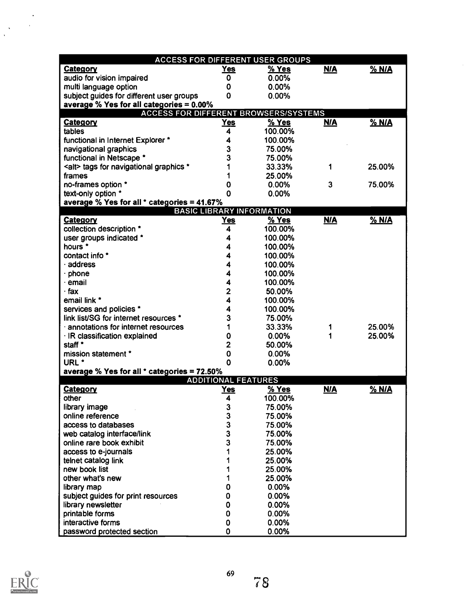|                                                                  |                            | <b>ACCESS FOR DIFFERENT USER GROUPS</b> |            |              |
|------------------------------------------------------------------|----------------------------|-----------------------------------------|------------|--------------|
| Category                                                         | <u>Yes</u>                 | % Yes                                   | <b>N/A</b> | % N/A        |
| audio for vision impaired                                        | 0                          | $0.00\%$                                |            |              |
| multi language option                                            | 0                          | 0.00%                                   |            |              |
| subject guides for different user groups                         | 0                          | 0.00%                                   |            |              |
| average % Yes for all categories = 0.00%                         |                            |                                         |            |              |
| <b>ACCESS FOR DIFFERENT BROWSERS/SYSTEMS</b>                     |                            |                                         |            |              |
| <b>Category</b>                                                  | <u>Yes</u>                 | $%$ Yes                                 | <u>N/A</u> | <u>% N/A</u> |
| tables                                                           | 4                          | 100.00%                                 |            |              |
| functional in Internet Explorer *                                |                            | 100.00%                                 |            |              |
| navigational graphics                                            | 3                          | 75.00%                                  |            |              |
| functional in Netscape *                                         | 3                          | 75.00%                                  |            |              |
| <alt> tags for navigational graphics *</alt>                     |                            | 33.33%                                  | 1          | 25.00%       |
| frames                                                           |                            | 25.00%                                  |            |              |
| no-frames option *                                               | 0                          | 0.00%                                   | 3          | 75.00%       |
| text-only option *                                               | 0                          | 0.00%                                   |            |              |
| average % Yes for all * categories = 41.67%                      |                            |                                         |            |              |
|                                                                  |                            | <b>BASIC LIBRARY INFORMATION</b>        |            |              |
| <b>Category</b>                                                  | <u>Yes</u>                 | % Yes                                   | <u>N/A</u> | % N/A        |
| collection description *                                         | 4                          | 100.00%                                 |            |              |
| user groups indicated *                                          | 4                          | 100.00%                                 |            |              |
| hours *                                                          | 4                          | 100.00%                                 |            |              |
| contact info *                                                   | 4                          | 100.00%                                 |            |              |
| address                                                          | 4                          | 100.00%                                 |            |              |
| phone                                                            | 4                          | 100.00%                                 |            |              |
| email                                                            | 4                          | 100.00%                                 |            |              |
| fax                                                              | 2                          | 50.00%                                  |            |              |
| email link *                                                     | 4                          | 100.00%                                 |            |              |
| services and policies *<br>link list/SG for internet resources * | 4<br>3                     | 100.00%                                 |            |              |
| annotations for internet resources                               | 1                          | 75.00%<br>33.33%                        |            | 25.00%       |
|                                                                  | 0                          | 0.00%                                   | 1<br>1     | 25.00%       |
| IR classification explained<br>staff*                            | $\overline{c}$             | 50.00%                                  |            |              |
| mission statement *                                              | 0                          | 0.00%                                   |            |              |
| URL <sup>*</sup>                                                 | 0                          | 0.00%                                   |            |              |
| average % Yes for all * categories = 72.50%                      |                            |                                         |            |              |
|                                                                  | <b>ADDITIONAL FEATURES</b> |                                         |            |              |
| <b>Category</b>                                                  | <u>Yes</u>                 | % Yes                                   | <u>N/A</u> | % N/A        |
| other                                                            | 4                          | 100.00%                                 |            |              |
| library image                                                    | 3                          | 75.00%                                  |            |              |
| online reference                                                 | 3                          | 75.00%                                  |            |              |
| access to databases                                              | 3                          | 75.00%                                  |            |              |
| web catalog interface/link                                       | 3                          | 75.00%                                  |            |              |
| online rare book exhibit                                         | 3                          | 75.00%                                  |            |              |
| access to e-journals                                             |                            | 25.00%                                  |            |              |
| telnet catalog link                                              |                            | 25.00%                                  |            |              |
| new book list                                                    |                            | 25.00%                                  |            |              |
| other what's new                                                 |                            | 25.00%                                  |            |              |
| library map                                                      | 0                          | 0.00%                                   |            |              |
| subject guides for print resources                               | 0                          | 0.00%                                   |            |              |
| library newsletter                                               | 0                          | 0.00%                                   |            |              |
| printable forms                                                  | 0                          | 0.00%                                   |            |              |
| interactive forms                                                | 0                          | 0.00%                                   |            |              |
| password protected section                                       | 0                          | 0.00%                                   |            |              |



 $\ddot{\phantom{0}}$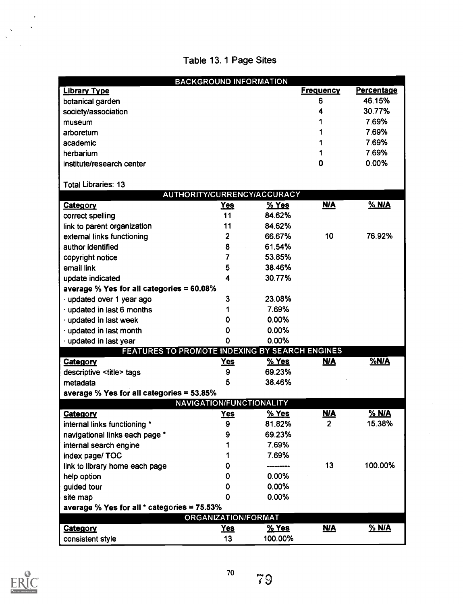# Table 13. 1 Page Sites

|                                                | <b>BACKGROUND INFORMATION</b>   |              |                  |                   |
|------------------------------------------------|---------------------------------|--------------|------------------|-------------------|
| <b>Library Type</b>                            |                                 |              | <b>Frequency</b> | <b>Percentage</b> |
| botanical garden                               |                                 |              | 6                | 46.15%            |
| society/association                            |                                 |              | 4                | 30.77%            |
| museum                                         |                                 |              |                  | 7.69%             |
| arboretum                                      |                                 |              |                  | 7.69%             |
| academic                                       |                                 |              |                  | 7.69%             |
| herbarium                                      |                                 |              |                  | 7.69%             |
| institute/research center                      |                                 |              | 0                | 0.00%             |
|                                                |                                 |              |                  |                   |
| <b>Total Libraries: 13</b>                     |                                 |              |                  |                   |
|                                                | AUTHORITY/CURRENCY/ACCURACY     |              |                  |                   |
| <b>Category</b>                                | <u>Yes</u>                      | % Yes        | <u>N/A</u>       | % N/A             |
| correct spelling                               | 11                              | 84.62%       |                  |                   |
| link to parent organization                    | 11                              | 84.62%       |                  |                   |
| external links functioning                     | $\overline{2}$                  | 66.67%       | 10               | 76.92%            |
| author identified                              | 8                               | 61.54%       |                  |                   |
| copyright notice                               | 7                               | 53.85%       |                  |                   |
| email link                                     | 5                               | 38.46%       |                  |                   |
| update indicated                               | 4                               | 30.77%       |                  |                   |
| average $%$ Yes for all categories = 60.08%    |                                 |              |                  |                   |
| · updated over 1 year ago                      | 3                               | 23.08%       |                  |                   |
| $\cdot$ updated in last 6 months               | 1                               | 7.69%        |                  |                   |
| · updated in last week                         | 0                               | 0.00%        |                  |                   |
| · updated in last month                        | 0                               | 0.00%        |                  |                   |
| updated in last year                           | Ω                               | 0.00%        |                  |                   |
| FEATURES TO PROMOTE INDEXING BY SEARCH ENGINES |                                 |              |                  |                   |
| <b>Category</b>                                | Yes                             | % Yes        | <u>N/A</u>       | % N/A             |
| descriptive <title> tags</title>               | 9                               | 69.23%       |                  |                   |
| metadata                                       | 5                               | 38.46%       |                  |                   |
| average % Yes for all categories = 53.85%      |                                 |              |                  |                   |
|                                                | <b>NAVIGATION/FUNCTIONALITY</b> |              |                  |                   |
| <b>Category</b>                                | <u>Yes</u>                      | <u>% Yes</u> | <b>N/A</b>       | % N/A             |
| internal links functioning                     | 9                               | 81.82%       | 2                | 15.38%            |
| navigational links each page *                 | 9                               | 69.23%       |                  |                   |
| internal search engine                         | 1                               | 7.69%        |                  |                   |
| index page/TOC                                 | 1                               | 7.69%        |                  |                   |
| link to library home each page                 | 0                               |              | 13               | 100.00%           |
| help option                                    | 0                               | 0.00%        |                  |                   |
| guided tour                                    | 0                               | 0.00%        |                  |                   |
| site map                                       | 0                               | 0.00%        |                  |                   |
| average % Yes for all * categories = 75.53%    |                                 |              |                  |                   |
|                                                | ORGANIZATION/FORMAT             |              |                  |                   |
| Category                                       | <b>Yes</b>                      | $%$ Yes      | <b>N/A</b>       | % N/A             |
| consistent style                               | 13                              | 100.00%      |                  |                   |



 $\frac{1}{\sqrt{2}}$ 

70

79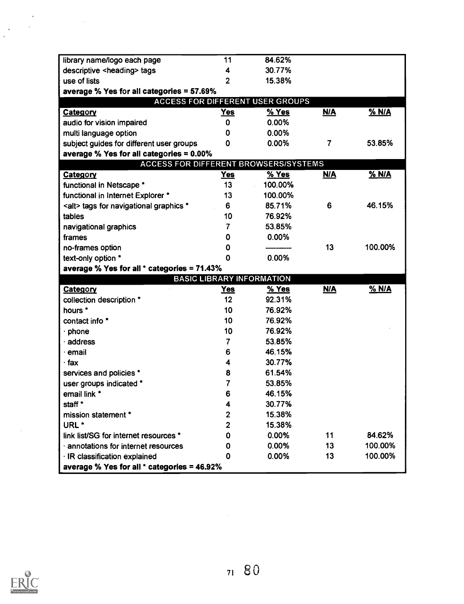| library name/logo each page                  | 11             | 84.62%                                  |            |         |
|----------------------------------------------|----------------|-----------------------------------------|------------|---------|
| descriptive <heading> tags</heading>         | 4              | 30.77%                                  |            |         |
| use of lists                                 | $\overline{2}$ | 15.38%                                  |            |         |
| average % Yes for all categories = 57.69%    |                |                                         |            |         |
|                                              |                | <b>ACCESS FOR DIFFERENT USER GROUPS</b> |            |         |
| Category                                     | <b>Yes</b>     | % Yes                                   | <b>N/A</b> | % N/A   |
| audio for vision impaired                    | 0              | 0.00%                                   |            |         |
| multi language option                        | 0              | 0.00%                                   |            |         |
| subject guides for different user groups     | 0              | 0.00%                                   | 7          | 53.85%  |
| average % Yes for all categories = 0.00%     |                |                                         |            |         |
| ACCESS FOR DIFFERENT BROWSERS/SYSTEMS        |                |                                         |            |         |
| <b>Category</b>                              | <u>Yes</u>     | % Yes                                   | <u>N/A</u> | % N/A   |
| functional in Netscape *                     | 13             | 100.00%                                 |            |         |
| functional in Internet Explorer *            | 13             | 100.00%                                 |            |         |
| <alt> tags for navigational graphics *</alt> | 6              | 85.71%                                  | 6          | 46.15%  |
| tables                                       | 10             | 76.92%                                  |            |         |
| navigational graphics                        | 7              | 53.85%                                  |            |         |
| frames                                       | 0              | 0.00%                                   |            |         |
| no-frames option                             | 0              |                                         | 13         | 100.00% |
| text-only option *                           | 0              | 0.00%                                   |            |         |
| average % Yes for all * categories = 71.43%  |                |                                         |            |         |
|                                              |                | <b>BASIC LIBRARY INFORMATION</b>        |            |         |
| Category                                     | <u>Yes</u>     | $%$ Yes                                 | <b>N/A</b> | % N/A   |
| collection description *                     | 12             | 92.31%                                  |            |         |
| hours *                                      | 10             | 76.92%                                  |            |         |
| contact info *                               | 10             | 76.92%                                  |            |         |
| $\cdot$ phone                                | 10             | 76.92%                                  |            |         |
| address                                      | 7              | 53.85%                                  |            |         |
| email                                        | 6              | 46.15%                                  |            |         |
| ∙ fax                                        | 4              | 30.77%                                  |            |         |
| services and policies *                      | 8              | 61.54%                                  |            |         |
| user groups indicated *                      | 7              | 53.85%                                  |            |         |
| email link *                                 | 6              | 46.15%                                  |            |         |
| staff *                                      | 4              | 30.77%                                  |            |         |
| mission statement *                          | 2              | 15.38%                                  |            |         |
| URL <sup>*</sup>                             | 2              | 15.38%                                  |            |         |
| link list/SG for internet resources *        | 0              | 0.00%                                   | 11         | 84.62%  |
| annotations for internet resources           | 0              | 0.00%                                   | 13         | 100.00% |
| · IR classification explained                | 0              | 0.00%                                   | 13         | 100.00% |
| average % Yes for all * categories = 46.92%  |                |                                         |            |         |
|                                              |                |                                         |            |         |



 $\bar{\beta}$ 

 $\frac{1}{\sqrt{2}}$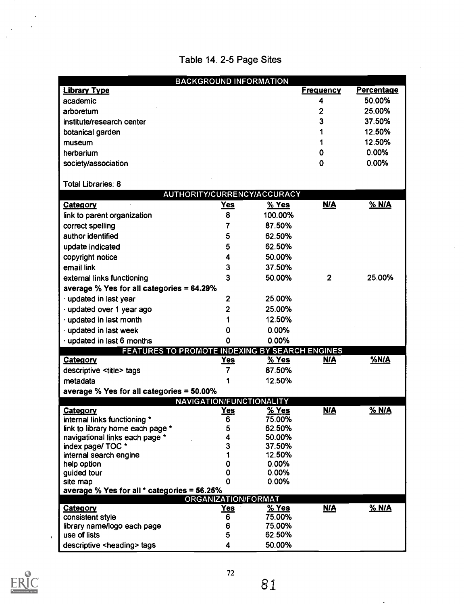# Table 14. 2-5 Page Sites

|                                                | <b>BACKGROUND INFORMATION</b> |                 |                  |                    |
|------------------------------------------------|-------------------------------|-----------------|------------------|--------------------|
| <b>Library Type</b>                            |                               |                 | <b>Frequency</b> | Percentage         |
| academic                                       |                               |                 | 4                | 50.00%             |
| arboretum                                      |                               |                 | 2                | 25.00%             |
| institute/research center                      |                               |                 | 3                | 37.50%             |
| botanical garden                               |                               |                 |                  | 12.50%             |
| museum                                         |                               |                 |                  | 12.50%             |
| herbarium                                      |                               |                 | 0                | 0.00%              |
| society/association                            |                               |                 | 0                | 0.00%              |
|                                                |                               |                 |                  |                    |
| <b>Total Libraries: 8</b>                      |                               |                 |                  |                    |
|                                                | AUTHORITY/CURRENCY/ACCURACY   |                 |                  |                    |
| Category                                       | <u>Yes</u>                    | % Yes           | <u>N/A</u>       | $\frac{6}{26}$ N/A |
| link to parent organization                    | 8                             | 100.00%         |                  |                    |
| correct spelling                               | 7                             | 87.50%          |                  |                    |
| author identified                              | 5                             | 62.50%          |                  |                    |
| update indicated                               | 5                             | 62.50%          |                  |                    |
| copyright notice                               | 4                             | 50.00%          |                  |                    |
| email link                                     | 3                             | 37.50%          |                  |                    |
|                                                | 3                             | 50.00%          | $\overline{2}$   | 25.00%             |
| external links functioning                     |                               |                 |                  |                    |
| average % Yes for all categories = 64.29%      |                               |                 |                  |                    |
| · updated in last year                         | 2                             | 25.00%          |                  |                    |
| · updated over 1 year ago                      | 2                             | 25.00%          |                  |                    |
| · updated in last month                        | 1                             | 12.50%          |                  |                    |
| · updated in last week                         | 0                             | 0.00%           |                  |                    |
| updated in last 6 months                       | 0                             | 0.00%           |                  |                    |
| FEATURES TO PROMOTE INDEXING BY SEARCH ENGINES |                               |                 |                  |                    |
| <b>Category</b>                                | <u>Yes</u>                    | $%$ Yes         | <u>N/A</u>       | %N/A               |
| descriptive <title> tags</title>               | 7                             | 87.50%          |                  |                    |
| metadata                                       |                               | 12.50%          |                  |                    |
| average % Yes for all categories = 50.00%      |                               |                 |                  |                    |
|                                                | NAVIGATION/FUNCTIONALITY      |                 |                  |                    |
| <b>Category</b>                                | <u>Yes</u>                    | <u>% Yes</u>    | <b>N/A</b>       | % N/A              |
| internal links functioning *                   | 6                             | 75.00%          |                  |                    |
| link to library home each page *               | 5                             | 62.50%          |                  |                    |
| navigational links each page *                 |                               | 50.00%          |                  |                    |
| index page/ TOC *                              | 3                             | 37.50%          |                  |                    |
| internal search engine<br>help option          | 0                             | 12.50%<br>0.00% |                  |                    |
| guided tour                                    | 0                             | 0.00%           |                  |                    |
| site map                                       | 0                             | 0.00%           |                  |                    |
| average % Yes for all * categories = 56.25%    |                               |                 |                  |                    |
|                                                | ORGANIZATION/FORMAT           |                 |                  |                    |
| <b>Category</b>                                | <u>Yes</u>                    | $%$ Yes         | <b>N/A</b>       | % N/A              |
| consistent style                               | 6                             | 75.00%          |                  |                    |
| library name/logo each page                    | 6                             | 75.00%          |                  |                    |
| use of lists                                   | 5                             | 62.50%          |                  |                    |
| descriptive <heading> tags</heading>           | 4                             | 50.00%          |                  |                    |



 $\overline{1}$ 

81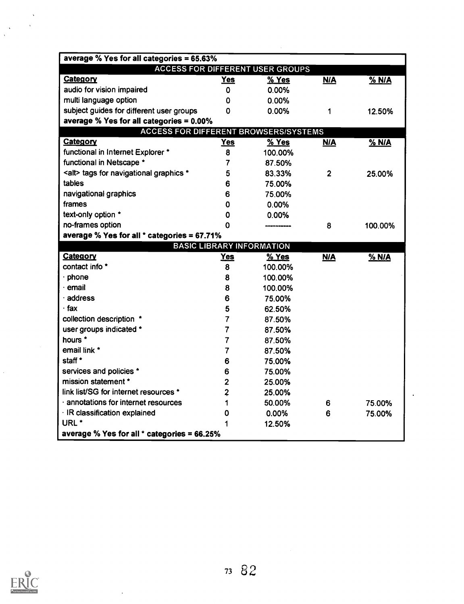| average % Yes for all categories = 65.63%    |                |                                         |                |         |
|----------------------------------------------|----------------|-----------------------------------------|----------------|---------|
|                                              |                | <b>ACCESS FOR DIFFERENT USER GROUPS</b> |                |         |
| <b>Category</b>                              | <u>Yes</u>     | % Yes                                   | <b>N/A</b>     | $%$ N/A |
| audio for vision impaired                    | 0              | 0.00%                                   |                |         |
| multi language option                        | 0              | 0.00%                                   |                |         |
| subject guides for different user groups     | 0              | 0.00%                                   | 1              | 12.50%  |
| average % Yes for all categories = 0.00%     |                |                                         |                |         |
| <b>ACCESS FOR DIFFERENT BROWSERS/SYSTEMS</b> |                |                                         |                |         |
| Category                                     | <u>Yes</u>     | % Yes                                   | <b>N/A</b>     | % N/A   |
| functional in Internet Explorer *            | 8              | 100.00%                                 |                |         |
| functional in Netscape *                     | 7              | 87.50%                                  |                |         |
| <alt> tags for navigational graphics *</alt> | 5              | 83.33%                                  | $\overline{2}$ | 25.00%  |
| tables                                       | 6              | 75.00%                                  |                |         |
| navigational graphics                        | 6              | 75.00%                                  |                |         |
| frames                                       | 0              | 0.00%                                   |                |         |
| text-only option *                           | 0              | 0.00%                                   |                |         |
| no-frames option                             | 0              |                                         | 8              | 100.00% |
| average % Yes for all * categories = 67.71%  |                |                                         |                |         |
|                                              |                | <b>BASIC LIBRARY INFORMATION</b>        |                |         |
| Category                                     | <u>Yes</u>     | % Yes                                   | N/A            | % N/A   |
| contact info *                               | 8              | 100.00%                                 |                |         |
| $\cdot$ phone                                | 8              | 100.00%                                 |                |         |
| · email                                      | 8              | 100.00%                                 |                |         |
| · address                                    | 6              | 75.00%                                  |                |         |
| ∙ fax                                        | 5              | 62.50%                                  |                |         |
| collection description *                     | 7              | 87.50%                                  |                |         |
| user groups indicated *                      | 7              | 87.50%                                  |                |         |
| hours <sup>*</sup>                           | 7              | 87.50%                                  |                |         |
| email link *                                 | 7              | 87.50%                                  |                |         |
| staff*                                       | 6              | 75.00%                                  |                |         |
| services and policies *                      | 6              | 75.00%                                  |                |         |
| mission statement *                          | $\overline{2}$ | 25.00%                                  |                |         |
| link list/SG for internet resources *        | 2              | 25.00%                                  |                |         |
| · annotations for internet resources         | 1              | 50.00%                                  | 6              | 75.00%  |
| · IR classification explained                | $\Omega$       | 0.00%                                   | 6              | 75.00%  |
| URL <sup>*</sup>                             |                | 12.50%                                  |                |         |
|                                              |                |                                         |                |         |



l,

 $\ddot{\phantom{0}}$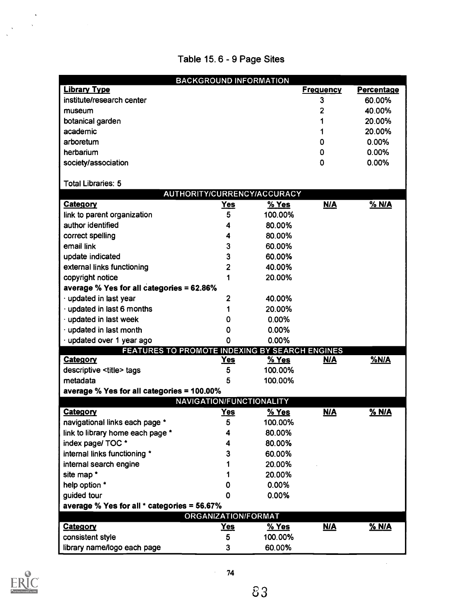|  |  | Table 15.6 - 9 Page Sites |  |  |
|--|--|---------------------------|--|--|
|--|--|---------------------------|--|--|

|                                                |                     | <b>BACKGROUND INFORMATION</b>   |                  |                   |
|------------------------------------------------|---------------------|---------------------------------|------------------|-------------------|
| <b>Library Type</b>                            |                     |                                 | <b>Frequency</b> | <b>Percentage</b> |
| institute/research center                      |                     |                                 | 3                | 60.00%            |
| museum                                         |                     |                                 | 2                | 40.00%            |
| botanical garden                               |                     |                                 | 1                | 20.00%            |
| academic                                       |                     |                                 |                  | 20.00%            |
| arboretum                                      |                     |                                 | 0                | 0.00%             |
| herbarium                                      |                     |                                 | 0                | 0.00%             |
| society/association                            |                     |                                 | 0                | 0.00%             |
| <b>Total Libraries: 5</b>                      |                     |                                 |                  |                   |
|                                                |                     | AUTHORITY/CURRENCY/ACCURACY     |                  |                   |
| <b>Category</b>                                | <u>Yes</u>          | <u>% Yes</u>                    | <u>N/A</u>       | <u>% N/A</u>      |
| link to parent organization                    | 5                   | 100.00%                         |                  |                   |
| author identified                              | 4                   | 80.00%                          |                  |                   |
| correct spelling                               | 4                   | 80.00%                          |                  |                   |
| email link                                     | 3                   | 60.00%                          |                  |                   |
| update indicated                               | 3                   | 60.00%                          |                  |                   |
| external links functioning                     | 2                   | 40.00%                          |                  |                   |
| copyright notice                               | 1                   | 20.00%                          |                  |                   |
| average % Yes for all categories = 62.86%      |                     |                                 |                  |                   |
| $\cdot$ updated in last year                   | 2                   | 40.00%                          |                  |                   |
| · updated in last 6 months                     | 1                   | 20.00%                          |                  |                   |
| · updated in last week                         | 0                   | 0.00%                           |                  |                   |
| updated in last month                          | 0                   | 0.00%                           |                  |                   |
| updated over 1 year ago                        | 0                   | 0.00%                           |                  |                   |
| FEATURES TO PROMOTE INDEXING BY SEARCH ENGINES |                     |                                 |                  |                   |
| <b>Category</b>                                | Yes                 | % Yes                           | <u>N/A</u>       | $%$ N/A           |
| descriptive <title> tags</title>               | 5                   | 100.00%                         |                  |                   |
| metadata                                       | 5                   | 100.00%                         |                  |                   |
| average % Yes for all categories = 100.00%     |                     |                                 |                  |                   |
|                                                |                     | <b>NAVIGATION/FUNCTIONALITY</b> |                  |                   |
| <b>Category</b>                                | <u>Yes</u>          | % Yes                           | <u>N/A</u>       | % N/A             |
| navigational links each page                   | 5                   | 100.00%                         |                  |                   |
| link to library home each page *               |                     | 80.00%                          |                  |                   |
| index page/ TOC *                              |                     | 80.00%                          |                  |                   |
| internal links functioning *                   |                     | 60.00%                          |                  |                   |
| internal search engine                         |                     | 20.00%                          |                  |                   |
| site map*                                      |                     | 20.00%                          |                  |                   |
| help option *                                  | 0                   | 0.00%                           |                  |                   |
| guided tour                                    | ٥                   | 0.00%                           |                  |                   |
| average % Yes for all * categories = 56.67%    |                     |                                 |                  |                   |
|                                                | ORGANIZATION/FORMAT |                                 |                  |                   |
| <b>Category</b>                                | Yes                 | $%$ Yes                         | <b>N/A</b>       | % N/A             |
| consistent style                               | 5                   | 100.00%                         |                  |                   |
| library name/logo each page                    | 3                   | 60.00%                          |                  |                   |



 $\ddot{\phantom{0}}$ 

 $\ddot{\phantom{a}}$ 

 $\frac{1}{2}$ 

 $\mathcal{L}^{(1)}$ 

83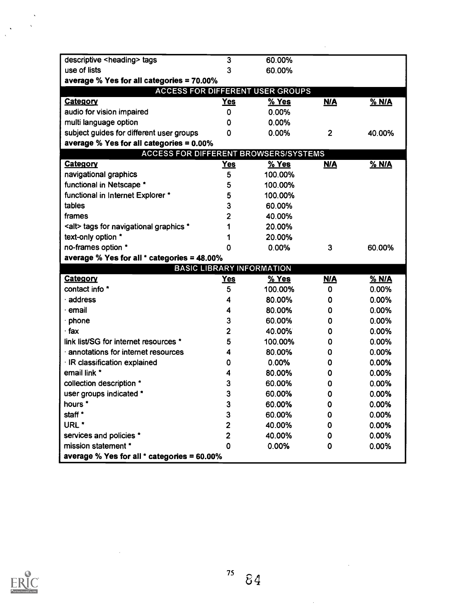| descriptive <heading> tags</heading>                               | 3                       | 60.00%                                  |                |        |
|--------------------------------------------------------------------|-------------------------|-----------------------------------------|----------------|--------|
| use of lists                                                       | 3                       | 60.00%                                  |                |        |
| average % Yes for all categories = 70.00%                          |                         |                                         |                |        |
|                                                                    |                         | <b>ACCESS FOR DIFFERENT USER GROUPS</b> |                |        |
| Category                                                           | <u>Yes</u>              | $%$ Yes                                 | <b>N/A</b>     | % N/A  |
| audio for vision impaired                                          | 0                       | 0.00%                                   |                |        |
| multi language option                                              | 0                       | 0.00%                                   |                |        |
| subject guides for different user groups                           | 0                       | 0.00%                                   | $\overline{2}$ | 40.00% |
| average % Yes for all categories = 0.00%                           |                         |                                         |                |        |
| <b>ACCESS FOR DIFFERENT BROWSERS/SYSTEMS</b>                       |                         |                                         |                |        |
| <b>Category</b>                                                    | <u>Yes</u>              | % Yes                                   | <b>N/A</b>     | % N/A  |
| navigational graphics                                              | $\overline{\mathbf{5}}$ | 100.00%                                 |                |        |
| functional in Netscape *                                           | 5                       | 100.00%                                 |                |        |
| functional in Internet Explorer *                                  | 5                       | 100.00%                                 |                |        |
| tables                                                             | 3                       | 60.00%                                  |                |        |
| frames                                                             | 2                       | 40.00%                                  |                |        |
| <alt> tags for navigational graphics *</alt>                       | 1                       | 20.00%                                  |                |        |
| text-only option *                                                 | 1                       | 20.00%                                  |                |        |
| no-frames option *                                                 | 0                       | 0.00%                                   | 3              | 60.00% |
| average % Yes for all * categories = 48.00%                        |                         |                                         |                |        |
|                                                                    |                         | <b>BASIC LIBRARY INFORMATION</b>        |                |        |
| <b>Category</b>                                                    | <u>Yes</u>              | $%$ Yes                                 | <u>N/A</u>     | % N/A  |
|                                                                    | 5                       | 100.00%                                 | 0              | 0.00%  |
| contact info *                                                     |                         |                                         |                |        |
| address                                                            | 4                       | 80.00%                                  | 0              | 0.00%  |
| email                                                              | 4                       | 80.00%                                  | 0              | 0.00%  |
| phone                                                              | 3                       | 60.00%                                  | 0              | 0.00%  |
| fax                                                                | 2                       | 40.00%                                  | 0              | 0.00%  |
| link list/SG for internet resources *                              | 5                       | 100.00%                                 | 0              | 0.00%  |
| annotations for internet resources                                 | 4                       | 80.00%                                  | 0              | 0.00%  |
| IR classification explained                                        | 0                       | 0.00%                                   | 0              | 0.00%  |
| email link *                                                       | 4                       | 80.00%                                  | 0              | 0.00%  |
| collection description *                                           | 3                       | 60.00%                                  | 0              | 0.00%  |
| user groups indicated *                                            | 3                       | 60.00%                                  | 0              | 0.00%  |
| hours *                                                            | 3                       | 60.00%                                  | 0              | 0.00%  |
| staff *                                                            | 3                       | 60.00%                                  | 0              | 0.00%  |
| URL <sup>*</sup>                                                   | 2                       | 40.00%                                  | 0              | 0.00%  |
| services and policies *                                            | $\overline{\mathbf{c}}$ | 40.00%                                  | 0              | 0.00%  |
| mission statement *<br>average % Yes for all * categories = 60.00% | 0                       | 0.00%                                   | 0              | 0.00%  |

 $\hat{\mathcal{A}}$ 



 $\hat{\mathcal{A}}$ 

 $\ddot{\phantom{1}}$ 

 $\bar{\lambda}$ 

 $\frac{1}{\sqrt{2}}$ 

 $\bar{z}$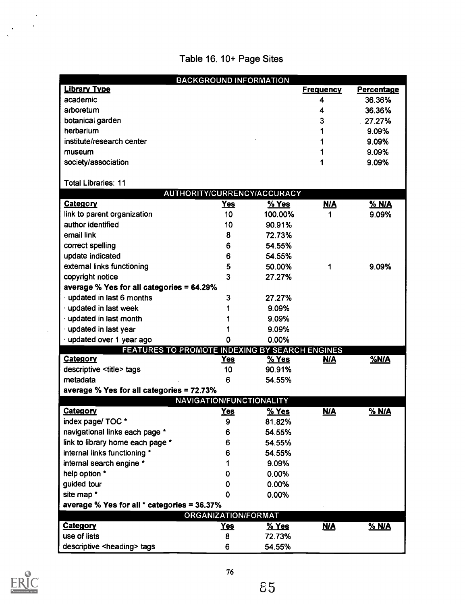# Table 16. 10+ Page Sites

|                                                | <b>BACKGROUND INFORMATION</b> |                             |                  |                   |
|------------------------------------------------|-------------------------------|-----------------------------|------------------|-------------------|
| <b>Library Type</b>                            |                               |                             | <u>Frequency</u> | <b>Percentage</b> |
| academic                                       |                               |                             | 4                | 36.36%            |
| arboretum                                      |                               |                             | 4                | 36.36%            |
| botanical garden                               |                               |                             | 3                | 27.27%            |
| herbarium                                      |                               |                             |                  | 9.09%             |
| institute/research center                      |                               |                             |                  | 9.09%             |
| museum                                         |                               |                             |                  | 9.09%             |
| society/association                            |                               |                             |                  | 9.09%             |
| <b>Total Libraries: 11</b>                     |                               |                             |                  |                   |
|                                                |                               | AUTHORITY/CURRENCY/ACCURACY |                  |                   |
| <b>Category</b>                                | <u>Yes</u>                    | % Yes                       | <u>N/A</u>       | <b>% N/A</b>      |
| link to parent organization                    | 10                            | 100.00%                     | 1                | 9.09%             |
| author identified                              | 10                            | 90.91%                      |                  |                   |
| email link                                     | 8                             | 72.73%                      |                  |                   |
| correct spelling                               | 6                             | 54.55%                      |                  |                   |
| update indicated                               | 6                             | 54.55%                      |                  |                   |
| external links functioning                     | 5                             | 50.00%                      | 1                | 9.09%             |
| copyright notice                               | 3                             | 27.27%                      |                  |                   |
| average % Yes for all categories = 64.29%      |                               |                             |                  |                   |
| $\cdot$ updated in last 6 months               | 3                             | 27.27%                      |                  |                   |
| · updated in last week                         |                               | 9.09%                       |                  |                   |
| · updated in last month                        |                               | 9.09%                       |                  |                   |
| · updated in last year                         |                               | 9.09%                       |                  |                   |
| updated over 1 year ago                        | 0                             | 0.00%                       |                  |                   |
| FEATURES TO PROMOTE INDEXING BY SEARCH ENGINES |                               |                             |                  |                   |
| <b>Category</b>                                | <u>Yes</u>                    | <u>% Yes</u>                | <u>N/A</u>       | $%$ N/A           |
| descriptive <title> tags</title>               | 10                            | 90.91%                      |                  |                   |
| metadata                                       | 6                             | 54.55%                      |                  |                   |
| average % Yes for all categories = 72.73%      |                               |                             |                  |                   |
|                                                | NAVIGATION/FUNCTIONALITY      |                             |                  |                   |
| <b>Category</b>                                | <u>Yes</u>                    | <u>% Yes</u>                | <b>N/A</b>       | % N/A             |
| index page/ TOC *                              | 9                             | 81.82%                      |                  |                   |
| navigational links each page *                 | 6                             | 54.55%                      |                  |                   |
| link to library home each page *               | 6                             | 54.55%                      |                  |                   |
| internal links functioning *                   | 6                             | 54.55%                      |                  |                   |
| internal search engine *                       |                               | 9.09%                       |                  |                   |
| help option *                                  | O                             | 0.00%                       |                  |                   |
| guided tour                                    | 0                             | 0.00%                       |                  |                   |
| site map *                                     | ٥                             | 0.00%                       |                  |                   |
| average % Yes for all * categories = 36.37%    |                               |                             |                  |                   |
|                                                | ORGANIZATION/FORMAT           |                             |                  |                   |
| <b>Category</b>                                | <u>Yes</u>                    | <u>% Yes</u>                | <u>N/A</u>       | <u>% N/A</u>      |
| use of lists                                   | 8                             | 72.73%                      |                  |                   |
| descriptive <heading> tags</heading>           | 6                             | 54.55%                      |                  |                   |



 $\lambda$ 

 $\ddot{\phantom{1}}$ 

 $\ddot{\phantom{a}}$ 

 $85$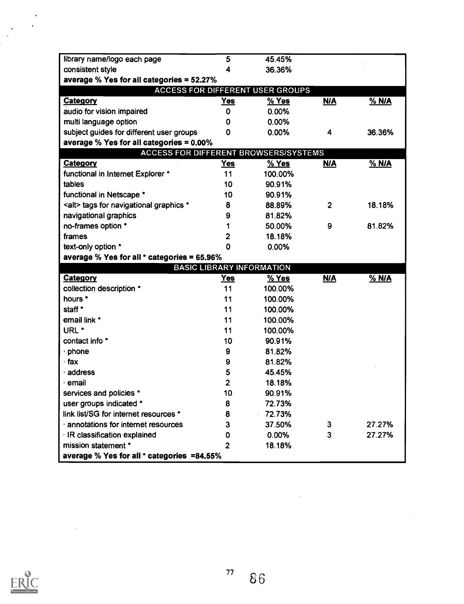| library name/logo each page                                       | 5              | 45.45%                           |                |        |
|-------------------------------------------------------------------|----------------|----------------------------------|----------------|--------|
| consistent style                                                  | 4              | 36.36%                           |                |        |
| average % Yes for all categories = 52.27%                         |                |                                  |                |        |
|                                                                   |                | ACCESS FOR DIFFERENT USER GROUPS |                |        |
| <b>Category</b>                                                   | Yes            | % Yes                            | N/A            | % N/A  |
| audio for vision impaired                                         | 0              | 0.00%                            |                |        |
| multi language option                                             | 0              | 0.00%                            |                |        |
| subject guides for different user groups                          | 0              | 0.00%                            | 4              | 36.36% |
| average % Yes for all categories $= 0.00\%$                       |                |                                  |                |        |
| <b>ACCESS FOR DIFFERENT BROWSERS/SYSTEMS</b>                      |                |                                  |                |        |
| <b>Category</b>                                                   | <u>Yes</u>     | $%$ Yes                          | <u>N/A</u>     | % N/A  |
| functional in Internet Explorer *                                 | 11             | 100.00%                          |                |        |
| tables                                                            | 10             | 90.91%                           |                |        |
| functional in Netscape *                                          | 10             | 90.91%                           |                |        |
| <alt> tags for navigational graphics *</alt>                      | 8              | 88.89%                           | $\overline{2}$ | 18.18% |
| navigational graphics                                             | 9              | 81.82%                           |                |        |
| no-frames option *                                                | 1              | 50.00%                           | 9              | 81.82% |
| frames                                                            | 2              | 18.18%                           |                |        |
| text-only option *                                                | $\mathbf 0$    | 0.00%                            |                |        |
| average % Yes for all * categories = 65.96%                       |                |                                  |                |        |
|                                                                   |                | <b>BASIC LIBRARY INFORMATION</b> |                |        |
| <b>Category</b>                                                   | <u>Yes</u>     | % Yes                            | N/A            | % N/A  |
| collection description *                                          | 11             | 100.00%                          |                |        |
| hours *                                                           | 11             | 100.00%                          |                |        |
| staff *                                                           | 11             | 100.00%                          |                |        |
| email link *                                                      | 11             | 100.00%                          |                |        |
| URL <sup>*</sup>                                                  | 11             | 100.00%                          |                |        |
| contact info *                                                    | 10             | 90.91%                           |                |        |
| phone                                                             | 9              | 81.82%                           |                |        |
| · fax                                                             | 9              | 81.82%                           |                |        |
| address                                                           | 5              | 45.45%                           |                |        |
| email                                                             | $\overline{2}$ | 18.18%                           |                |        |
| services and policies *                                           | 10             | 90.91%                           |                |        |
| user groups indicated *                                           | 8              | 72.73%                           |                |        |
|                                                                   |                |                                  |                |        |
| link list/SG for internet resources *                             | 8              | 72.73%                           |                |        |
| annotations for internet resources                                | 3              | 37.50%                           | 3              | 27.27% |
| · IR classification explained                                     | 0              | 0.00%                            | 3              | 27.27% |
| mission statement *<br>average % Yes for all * categories =84.55% | $\overline{2}$ | 18.18%                           |                |        |



 $\bar{\phantom{a}}$ 

 $\ddot{\phantom{0}}$ 

 $\frac{1}{\sqrt{2}}$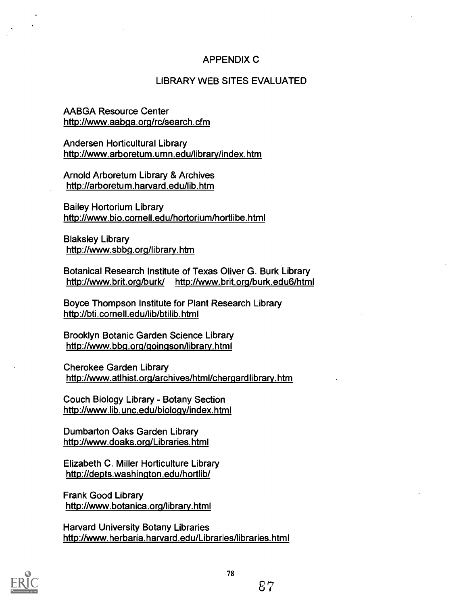## APPENDIX C

## LIBRARY WEB SITES EVALUATED

## AABGA Resource Center http://www.aabga.org/rc/search.cfm

Andersen Horticultural Library http://www.arboretum.umn.edu/library/index.htm

Arnold Arboretum Library & Archives http://arboretum.harvard.edu/lib.htm

Bailey Hortorium Library http://www.bio.cornell.edu/hortorium/hortlibe.html

Blaksley Library http://vwvw.sbbg.org/library.htm

Botanical Research Institute of Texas Oliver G. Burk Library http://www.brit.org/burk/ http://www.brit.org/burk.edu6/html

Boyce Thompson Institute for Plant Research Library http://bti.cornell.edu/lib/btilib.html

Brooklyn Botanic Garden Science Library http://www.bbg.org/goingson/library.html

Cherokee Garden Library http://www.atlhist.org/archives/html/chergardlibrary.htm

Couch Biology Library - Botany Section http://www.lib.unc.edu/biologv/index.html

Dumbarton Oaks Garden Library http://www.doaks.orq/Libraries.html

Elizabeth C. Miller Horticulture Library http://depts.washinqton.edu/hortlib/

Frank Good Library http://www.botanica.org/librarv.html

Harvard University Botany Libraries http://www.herbaria.harvard.edu/Libraries/libraries.html

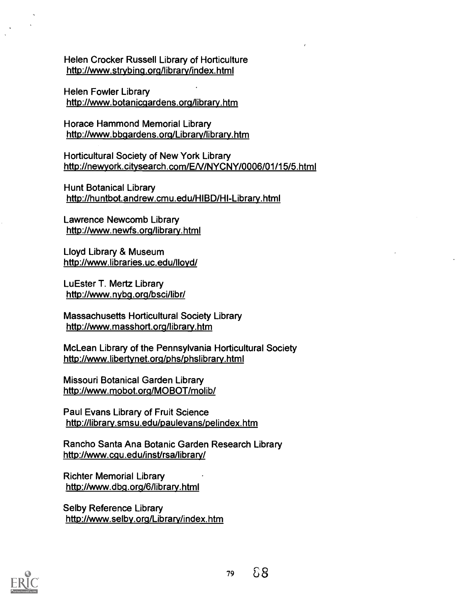Helen Crocker Russell Library of Horticulture http://www.strybing.orq/librarv/index.html

Helen Fowler Library http://www.botanicqardens.org/library.htm

Horace Hammond Memorial Library http://www.bbgardens.ora/Librarv/library.htm

Horticultural Society of New York Library http://newyork.citysearch.com/EN/NYCNY/0006/01/15/5.html

Hunt Botanical Library http://huntbot.andrew.cmu.edu/HIBD/HI-Library.html

Lawrence Newcomb Library http://www.newfs.org/library.html

Lloyd Library & Museum http://www.libraries.uc.edu/lloyd/

LuEster T. Mertz Library http://www.nybg.org/bsci/libr/

Massachusetts Horticultural Society Library http://www.masshort.org/librarv.htm

McLean Library of the Pennsylvania Horticultural Society http://www.libertynet.orq/phs/phslibrarv.html

Missouri Botanical Garden Library http://www.mobot.orq/MOBOT/molib/

Paul Evans Library of Fruit Science http://librarv.smsu.edu/paulevans/pelindex.htm

Rancho Santa Ana Botanic Garden Research Library http://www.cqu.edu/inst/rsa/library/

Richter Memorial Library http://www.dbq.org/6/library.html

Selby Reference Library http://www.selbv.ora/Librarv/index.htm

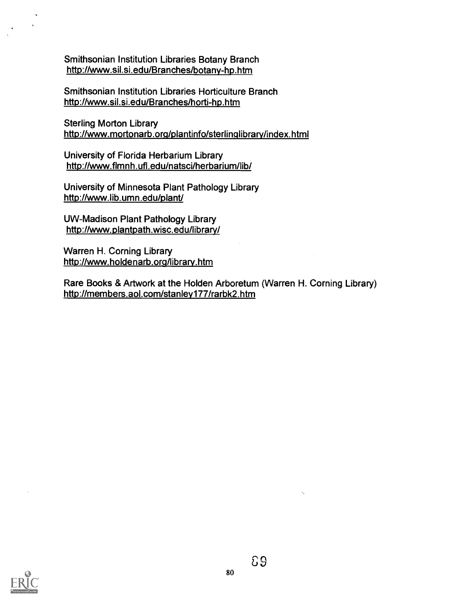Smithsonian Institution Libraries Botany Branch http://www.sil.si.edu/Branches/botanv-hp.htm

Smithsonian Institution Libraries Horticulture Branch http://www.sil.si.edu/Branches/horti-hp.htm

Sterling Morton Library http://www.mortonarb.org/plantinfo/sterlinglibrarv/index.html

University of Florida Herbarium Library http://www.flmnh.ufl.edu/natsci/herbarium/lib/

University of Minnesota Plant Pathology Library http://www.lib.umn.edu/plant/

UW-Madison Plant Pathology Library http://www.plantpath.wisc.edu/library/

Warren H. Corning Library http://www.holdenarb.org/librarv.htm

Rare Books & Artwork at the Holden Arboretum (Warren H. Corning Library) http://members.aol.com/stanlev177/rarbk2.htm

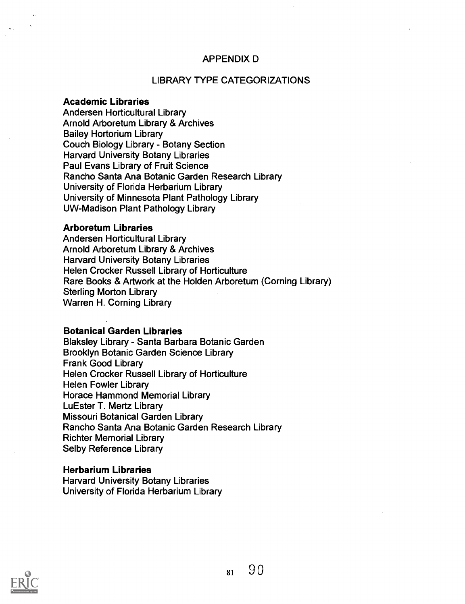#### APPENDIX D

#### LIBRARY TYPE CATEGORIZATIONS

#### Academic Libraries

Andersen Horticultural Library Arnold Arboretum Library & Archives Bailey Hortorium Library Couch Biology Library - Botany Section Harvard University Botany Libraries Paul Evans Library of Fruit Science Rancho Santa Ana Botanic Garden Research Library University of Florida Herbarium Library University of Minnesota Plant Pathology Library UW-Madison Plant Pathology Library

#### Arboretum Libraries

Andersen Horticultural Library Arnold Arboretum Library & Archives Harvard University Botany Libraries Helen Crocker Russell Library of Horticulture Rare Books & Artwork at the Holden Arboretum (Corning Library) Sterling Morton Library Warren H. Corning Library

#### Botanical Garden Libraries

Blaksley Library - Santa Barbara Botanic Garden Brooklyn Botanic Garden Science Library Frank Good Library Helen Crocker Russell Library of Horticulture Helen Fowler Library Horace Hammond Memorial Library LuEster T. Mertz Library Missouri Botanical Garden Library Rancho Santa Ana Botanic Garden Research Library Richter Memorial Library Selby Reference Library

#### Herbarium Libraries

Harvard University Botany Libraries University of Florida Herbarium Library

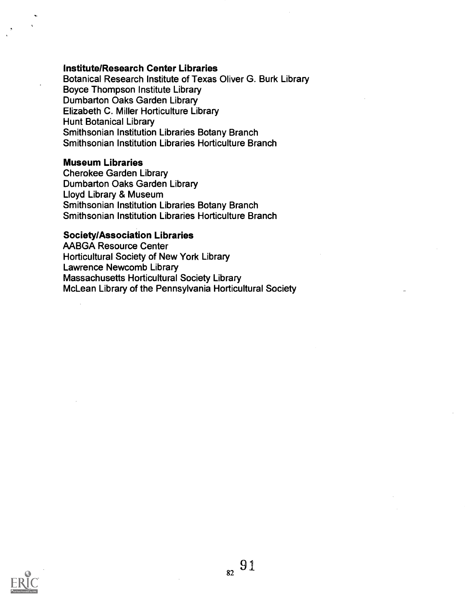#### Institute/Research Center Libraries

Botanical Research Institute of Texas Oliver G. Burk Library Boyce Thompson Institute Library Dumbarton Oaks Garden Library Elizabeth C. Miller Horticulture Library Hunt Botanical Library Smithsonian Institution Libraries Botany Branch Smithsonian Institution Libraries Horticulture Branch

#### Museum Libraries

Cherokee Garden Library Dumbarton Oaks Garden Library Lloyd Library & Museum Smithsonian Institution Libraries Botany Branch Smithsonian Institution Libraries Horticulture Branch

#### Society/Association Libraries

AABGA Resource Center Horticultural Society of New York Library Lawrence Newcomb Library Massachusetts Horticultural Society Library McLean Library of the Pennsylvania Horticultural Society

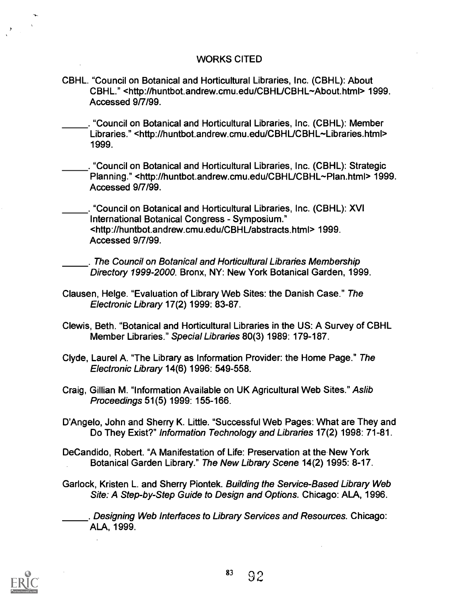## WORKS CITED

- CBHL. "Council on Botanical and Horticultural Libraries, Inc. (CBHL): About CBHL." <http://huntbot.andrew.cmu.edu/CBHUCBHL-About.html> 1999. Accessed 9/7/99.
	- . "Council on Botanical and Horticultural Libraries, Inc. (CBHL): Member Libraries." <http://huntbot.andrew.cmu.edu/CBHUCBHL-Libraries.html> 1999.

. "Council on Botanical and Horticultural Libraries, Inc. (CBHL): Strategic Planning." <http://huntbot.andrew.cmu.edu/CBHUCBHL-Plan.html> 1999. Accessed 9/7/99.

. "Council on Botanical and Horticultural Libraries, Inc. (CBHL): XVI International Botanical Congress - Symposium." <http://huntbot.andrew.cmu.edu/CBHUabstracts.html> 1999. Accessed 9/7/99.

. The Council on Botanical and Horticultural Libraries Membership Directory 1999-2000. Bronx, NY: New York Botanical Garden, 1999.

- Clausen, Helge. "Evaluation of Library Web Sites: the Danish Case." The Electronic Library 17(2) 1999: 83-87.
- Clewis, Beth. "Botanical and Horticultural Libraries in the US: A Survey of CBHL Member Libraries." Special Libraries 80(3) 1989: 179-187.
- Clyde, Laurel A. "The Library as Information Provider: the Home Page." The Electronic Library 14(6) 1996: 549-558.
- Craig, Gillian M. "Information Available on UK Agricultural Web Sites." Aslib Proceedings 51(5) 1999: 155-166.
- D'Angelo, John and Sherry K. Little. "Successful Web Pages: What are They and Do They Exist?" Information Technology and Libraries 17(2) 1998: 71-81.
- DeCandido, Robert. "A Manifestation of Life: Preservation at the New York Botanical Garden Library." The New Library Scene 14(2) 1995: 8-17.
- Garlock, Kristen L. and Sherry Piontek. Building the Service-Based Library Web Site: A Step-by-Step Guide to Design and Options. Chicago: ALA, 1996.

. Designing Web Interfaces to Library Services and Resources. Chicago: ALA, 1999.

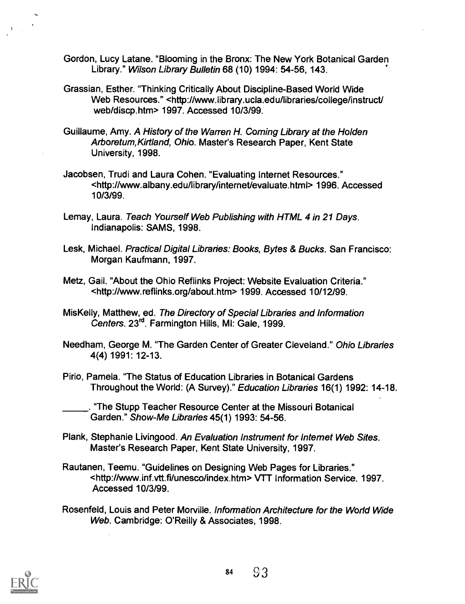- Gordon, Lucy Latane. "Blooming in the Bronx: The New York Botanical Garden Library." Wilson Library Bulletin 68 (10) 1994: 54-56, 143.
- Grassian, Esther. "Thinking Critically About Discipline-Based World Wide Web Resources." <http://www.library.ucla.edu/libraries/college/instruct/ web/discp.htm> 1997. Accessed 10/3/99.
- Guillaume, Amy. A History of the Warren H. Coming Library at the Holden Arboretum,Kirtland, Ohio. Master's Research Paper, Kent State University, 1998.
- Jacobsen, Trudi and Laura Cohen. "Evaluating Internet Resources." <http://www.albany.edu/library/internet/evaluate.html> 1996. Accessed 10/3/99.
- Lemay, Laura. Teach Yourself Web Publishing with HTML 4 in 21 Days. Indianapolis: SAMS, 1998.
- Lesk, Michael. Practical Digital Libraries: Books, Bytes & Bucks. San Francisco: Morgan Kaufmann, 1997.
- Metz, Gail. "About the Ohio Reflinks Project: Website Evaluation Criteria." <http://www.reflinks.org/about.htm> 1999. Accessed 10/12/99.
- MisKelly, Matthew, ed. The Directory of Special Libraries and Information Centers. 23<sup>rd</sup>. Farmington Hills, MI: Gale, 1999.
- Needham, George M. "The Garden Center of Greater Cleveland." Ohio Libraries 4(4) 1991: 12-13.
- Pirio, Pamela. "The Status of Education Libraries in Botanical Gardens Throughout the World: (A Survey)." Education Libraries 16(1) 1992: 14-18.

. "The Stupp Teacher Resource Center at the Missouri Botanical Garden." Show-Me Libraries 45(1) 1993: 54-56.

- Plank, Stephanie Livingood. An Evaluation Instrument for Internet Web Sites. Master's Research Paper, Kent State University, 1997.
- Rautanen, Teemu. "Guidelines on Designing Web Pages for Libraries." <http://www.inf.vtt.fi/unesco/index.htm> VTT Information Service. 1997. Accessed 10/3/99.
- Rosenfeld, Louis and Peter Morville. Information Architecture for the World Wide Web. Cambridge: O'Reilly & Associates, 1998.

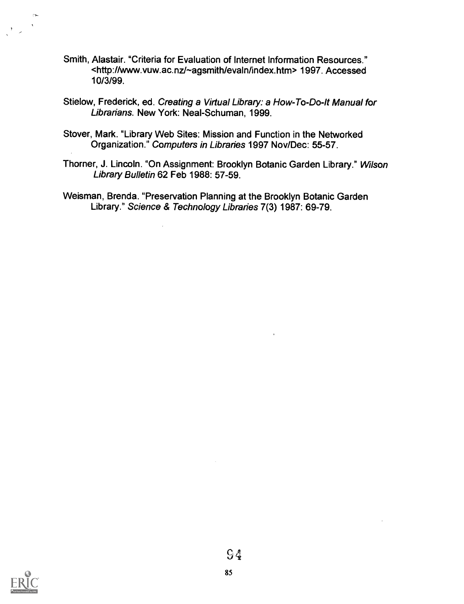- Smith, Alastair. "Criteria for Evaluation of Internet Information Resources." <http://www.vuw.ac.nz/~agsmith/evaln/index.htm> 1997. Accessed 10/3/99.
- Stielow, Frederick, ed. Creating a Virtual Library: a How-To-Do-lt Manual for Librarians. New York: Neal-Schuman, 1999.
- Stover, Mark. "Library Web Sites: Mission and Function in the Networked Organization." Computers in Libraries 1997 Nov/Dec: 55-57.
- Thorner, J. Lincoln. "On Assignment: Brooklyn Botanic Garden Library." Wilson Library Bulletin 62 Feb 1988: 57-59.
- Weisman, Brenda. "Preservation Planning at the Brooklyn Botanic Garden Library." Science & Technology Libraries 7(3) 1987: 69-79.